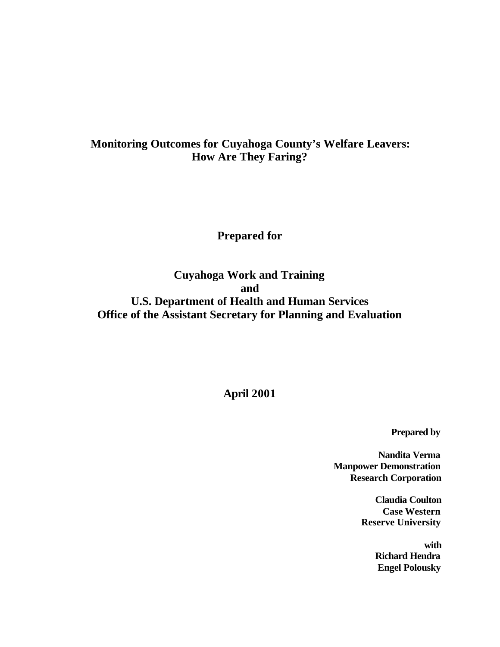# **Monitoring Outcomes for Cuyahoga County's Welfare Leavers: How Are They Faring?**

**Prepared for**

**Cuyahoga Work and Training and U.S. Department of Health and Human Services Office of the Assistant Secretary for Planning and Evaluation** 

**April 2001**

**Prepared by**

**Nandita Verma Manpower Demonstration Research Corporation**

> **Claudia Coulton Case Western Reserve University**

> > **with Richard Hendra Engel Polousky**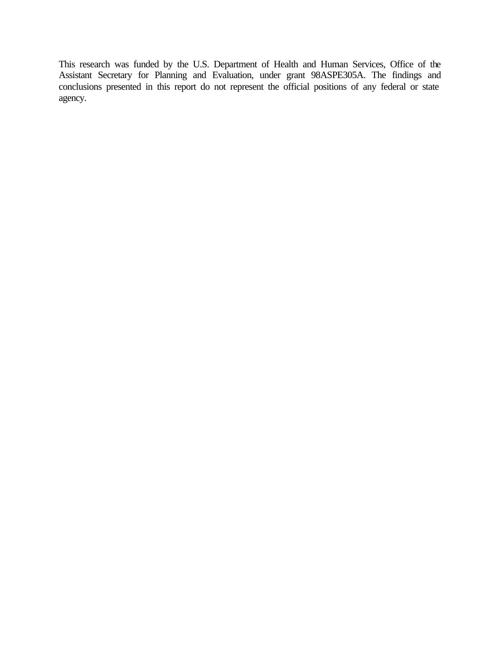This research was funded by the U.S. Department of Health and Human Services, Office of the Assistant Secretary for Planning and Evaluation, under grant 98ASPE305A. The findings and conclusions presented in this report do not represent the official positions of any federal or state agency.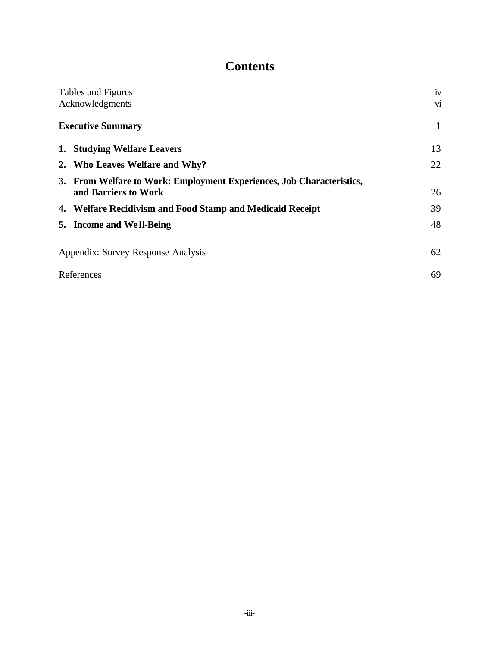# **Contents**

| Tables and Figures                                                    | iv           |
|-----------------------------------------------------------------------|--------------|
| Acknowledgments                                                       | $\dot{M}$    |
| <b>Executive Summary</b>                                              | $\mathbf{1}$ |
| 1. Studying Welfare Leavers                                           | 13           |
| 2. Who Leaves Welfare and Why?                                        | 22           |
| 3. From Welfare to Work: Employment Experiences, Job Characteristics, |              |
| and Barriers to Work                                                  | 26           |
| 4. Welfare Recidivism and Food Stamp and Medicaid Receipt             | 39           |
| 5. Income and Well-Being                                              | 48           |
| Appendix: Survey Response Analysis                                    | 62           |
| References                                                            | 69           |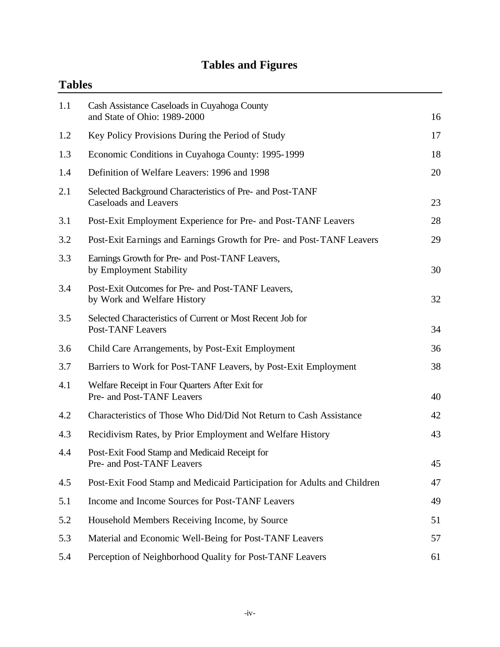# **Tables and Figures**

|     | <b>Tables</b>                                                                             |    |  |  |
|-----|-------------------------------------------------------------------------------------------|----|--|--|
| 1.1 | Cash Assistance Caseloads in Cuyahoga County<br>and State of Ohio: 1989-2000              | 16 |  |  |
| 1.2 | Key Policy Provisions During the Period of Study                                          | 17 |  |  |
| 1.3 | Economic Conditions in Cuyahoga County: 1995-1999                                         | 18 |  |  |
| 1.4 | Definition of Welfare Leavers: 1996 and 1998                                              | 20 |  |  |
| 2.1 | Selected Background Characteristics of Pre- and Post-TANF<br><b>Caseloads and Leavers</b> | 23 |  |  |
| 3.1 | Post-Exit Employment Experience for Pre- and Post-TANF Leavers                            | 28 |  |  |
| 3.2 | Post-Exit Earnings and Earnings Growth for Pre- and Post-TANF Leavers                     | 29 |  |  |
| 3.3 | Earnings Growth for Pre- and Post-TANF Leavers,<br>by Employment Stability                | 30 |  |  |
| 3.4 | Post-Exit Outcomes for Pre- and Post-TANF Leavers,<br>by Work and Welfare History         | 32 |  |  |
| 3.5 | Selected Characteristics of Current or Most Recent Job for<br><b>Post-TANF Leavers</b>    | 34 |  |  |
| 3.6 | Child Care Arrangements, by Post-Exit Employment                                          | 36 |  |  |
| 3.7 | Barriers to Work for Post-TANF Leavers, by Post-Exit Employment                           | 38 |  |  |
| 4.1 | Welfare Receipt in Four Quarters After Exit for<br>Pre- and Post-TANF Leavers             | 40 |  |  |
| 4.2 | Characteristics of Those Who Did/Did Not Return to Cash Assistance                        | 42 |  |  |
| 4.3 | Recidivism Rates, by Prior Employment and Welfare History                                 | 43 |  |  |
| 4.4 | Post-Exit Food Stamp and Medicaid Receipt for<br>Pre- and Post-TANF Leavers               | 45 |  |  |
| 4.5 | Post-Exit Food Stamp and Medicaid Participation for Adults and Children                   | 47 |  |  |
| 5.1 | Income and Income Sources for Post-TANF Leavers                                           | 49 |  |  |
| 5.2 | Household Members Receiving Income, by Source                                             | 51 |  |  |
| 5.3 | Material and Economic Well-Being for Post-TANF Leavers                                    | 57 |  |  |
| 5.4 | Perception of Neighborhood Quality for Post-TANF Leavers                                  | 61 |  |  |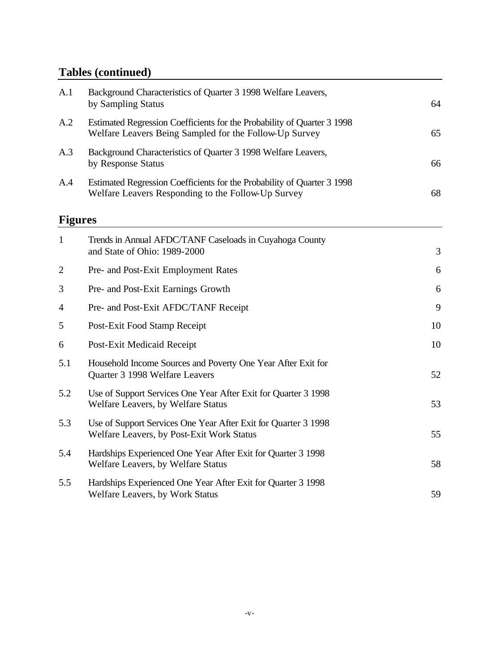# **Tables (continued)**

| A.1            | Background Characteristics of Quarter 3 1998 Welfare Leavers,<br>by Sampling Status                                               | 64 |
|----------------|-----------------------------------------------------------------------------------------------------------------------------------|----|
| A.2            | Estimated Regression Coefficients for the Probability of Quarter 3 1998<br>Welfare Leavers Being Sampled for the Follow-Up Survey | 65 |
| A.3            | Background Characteristics of Quarter 3 1998 Welfare Leavers,<br>by Response Status                                               | 66 |
| A.4            | Estimated Regression Coefficients for the Probability of Quarter 3 1998<br>Welfare Leavers Responding to the Follow-Up Survey     | 68 |
| <b>Figures</b> |                                                                                                                                   |    |
| $\mathbf{1}$   | Trends in Annual AFDC/TANF Caseloads in Cuyahoga County<br>and State of Ohio: 1989-2000                                           | 3  |
| $\overline{c}$ | Pre- and Post-Exit Employment Rates                                                                                               | 6  |
| 3              | Pre- and Post-Exit Earnings Growth                                                                                                | 6  |
| $\overline{4}$ | Pre- and Post-Exit AFDC/TANF Receipt                                                                                              | 9  |
| 5              | Post-Exit Food Stamp Receipt                                                                                                      | 10 |
| 6              | Post-Exit Medicaid Receipt                                                                                                        | 10 |
| 5.1            | Household Income Sources and Poverty One Year After Exit for<br>Quarter 3 1998 Welfare Leavers                                    | 52 |
| 5.2            | Use of Support Services One Year After Exit for Quarter 3 1998<br>Welfare Leavers, by Welfare Status                              | 53 |
| 5.3            | Use of Support Services One Year After Exit for Quarter 3 1998<br>Welfare Leavers, by Post-Exit Work Status                       | 55 |
| 5.4            | Hardships Experienced One Year After Exit for Quarter 3 1998<br>Welfare Leavers, by Welfare Status                                | 58 |
| 5.5            | Hardships Experienced One Year After Exit for Quarter 3 1998<br>Welfare Leavers, by Work Status                                   | 59 |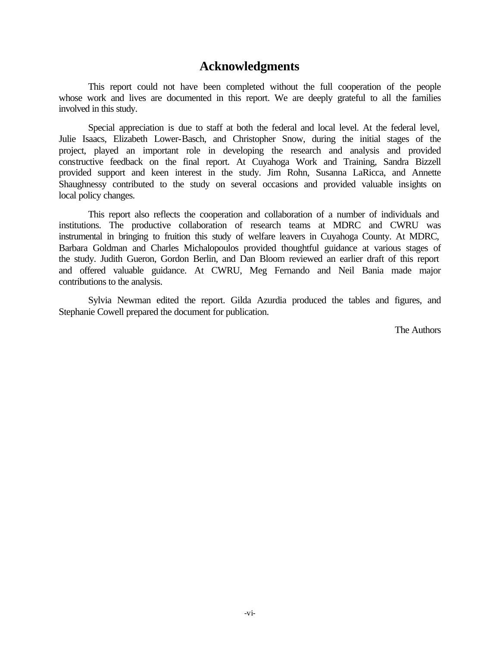# **Acknowledgments**

This report could not have been completed without the full cooperation of the people whose work and lives are documented in this report. We are deeply grateful to all the families involved in this study.

Special appreciation is due to staff at both the federal and local level. At the federal level, Julie Isaacs, Elizabeth Lower-Basch, and Christopher Snow, during the initial stages of the project, played an important role in developing the research and analysis and provided constructive feedback on the final report. At Cuyahoga Work and Training, Sandra Bizzell provided support and keen interest in the study. Jim Rohn, Susanna LaRicca, and Annette Shaughnessy contributed to the study on several occasions and provided valuable insights on local policy changes.

This report also reflects the cooperation and collaboration of a number of individuals and institutions. The productive collaboration of research teams at MDRC and CWRU was instrumental in bringing to fruition this study of welfare leavers in Cuyahoga County. At MDRC, Barbara Goldman and Charles Michalopoulos provided thoughtful guidance at various stages of the study. Judith Gueron, Gordon Berlin, and Dan Bloom reviewed an earlier draft of this report and offered valuable guidance. At CWRU, Meg Fernando and Neil Bania made major contributions to the analysis.

Sylvia Newman edited the report. Gilda Azurdia produced the tables and figures, and Stephanie Cowell prepared the document for publication.

The Authors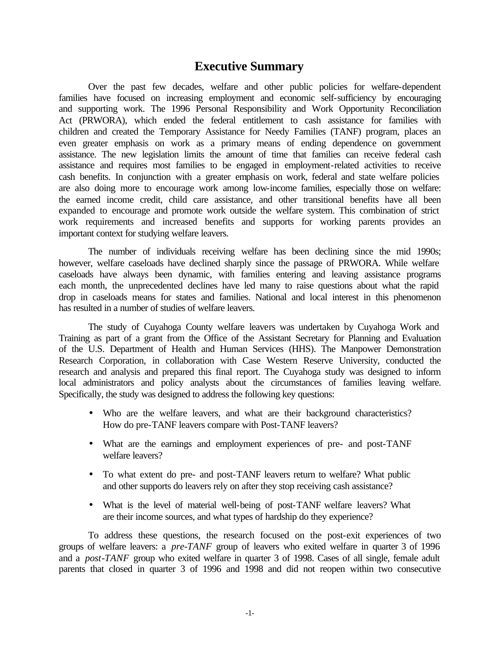# **Executive Summary**

Over the past few decades, welfare and other public policies for welfare-dependent families have focused on increasing employment and economic self-sufficiency by encouraging and supporting work. The 1996 Personal Responsibility and Work Opportunity Reconciliation Act (PRWORA), which ended the federal entitlement to cash assistance for families with children and created the Temporary Assistance for Needy Families (TANF) program, places an even greater emphasis on work as a primary means of ending dependence on government assistance. The new legislation limits the amount of time that families can receive federal cash assistance and requires most families to be engaged in employment-related activities to receive cash benefits. In conjunction with a greater emphasis on work, federal and state welfare policies are also doing more to encourage work among low-income families, especially those on welfare: the earned income credit, child care assistance, and other transitional benefits have all been expanded to encourage and promote work outside the welfare system. This combination of strict work requirements and increased benefits and supports for working parents provides an important context for studying welfare leavers.

The number of individuals receiving welfare has been declining since the mid 1990s; however, welfare caseloads have declined sharply since the passage of PRWORA. While welfare caseloads have always been dynamic, with families entering and leaving assistance programs each month, the unprecedented declines have led many to raise questions about what the rapid drop in caseloads means for states and families. National and local interest in this phenomenon has resulted in a number of studies of welfare leavers.

The study of Cuyahoga County welfare leavers was undertaken by Cuyahoga Work and Training as part of a grant from the Office of the Assistant Secretary for Planning and Evaluation of the U.S. Department of Health and Human Services (HHS). The Manpower Demonstration Research Corporation, in collaboration with Case Western Reserve University, conducted the research and analysis and prepared this final report. The Cuyahoga study was designed to inform local administrators and policy analysts about the circumstances of families leaving welfare. Specifically, the study was designed to address the following key questions:

- Who are the welfare leavers, and what are their background characteristics? How do pre-TANF leavers compare with Post-TANF leavers?
- What are the earnings and employment experiences of pre- and post-TANF welfare leavers?
- To what extent do pre- and post-TANF leavers return to welfare? What public and other supports do leavers rely on after they stop receiving cash assistance?
- What is the level of material well-being of post-TANF welfare leavers? What are their income sources, and what types of hardship do they experience?

To address these questions, the research focused on the post-exit experiences of two groups of welfare leavers: a *pre-TANF* group of leavers who exited welfare in quarter 3 of 1996 and a *post-TANF* group who exited welfare in quarter 3 of 1998. Cases of all single, female adult parents that closed in quarter 3 of 1996 and 1998 and did not reopen within two consecutive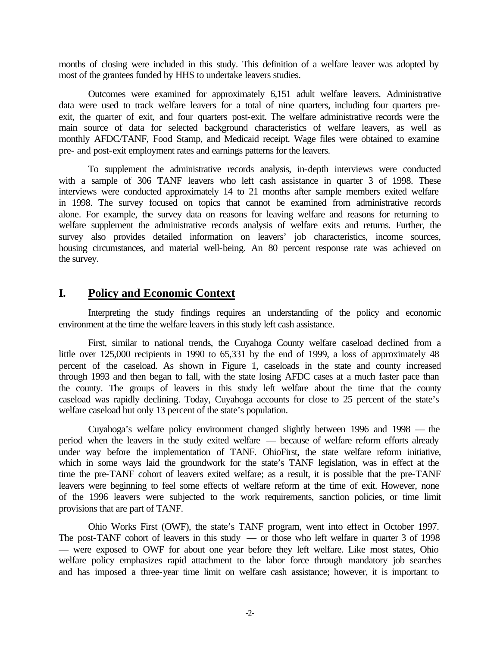months of closing were included in this study. This definition of a welfare leaver was adopted by most of the grantees funded by HHS to undertake leavers studies.

Outcomes were examined for approximately 6,151 adult welfare leavers. Administrative data were used to track welfare leavers for a total of nine quarters, including four quarters preexit, the quarter of exit, and four quarters post-exit. The welfare administrative records were the main source of data for selected background characteristics of welfare leavers, as well as monthly AFDC/TANF, Food Stamp, and Medicaid receipt. Wage files were obtained to examine pre- and post-exit employment rates and earnings patterns for the leavers.

To supplement the administrative records analysis, in-depth interviews were conducted with a sample of 306 TANF leavers who left cash assistance in quarter 3 of 1998. These interviews were conducted approximately 14 to 21 months after sample members exited welfare in 1998. The survey focused on topics that cannot be examined from administrative records alone. For example, the survey data on reasons for leaving welfare and reasons for returning to welfare supplement the administrative records analysis of welfare exits and returns. Further, the survey also provides detailed information on leavers' job characteristics, income sources, housing circumstances, and material well-being. An 80 percent response rate was achieved on the survey.

## **I. Policy and Economic Context**

Interpreting the study findings requires an understanding of the policy and economic environment at the time the welfare leavers in this study left cash assistance.

First, similar to national trends, the Cuyahoga County welfare caseload declined from a little over 125,000 recipients in 1990 to 65,331 by the end of 1999, a loss of approximately 48 percent of the caseload. As shown in Figure 1, caseloads in the state and county increased through 1993 and then began to fall, with the state losing AFDC cases at a much faster pace than the county. The groups of leavers in this study left welfare about the time that the county caseload was rapidly declining. Today, Cuyahoga accounts for close to 25 percent of the state's welfare caseload but only 13 percent of the state's population.

Cuyahoga's welfare policy environment changed slightly between 1996 and 1998 — the period when the leavers in the study exited welfare — because of welfare reform efforts already under way before the implementation of TANF. OhioFirst, the state welfare reform initiative, which in some ways laid the groundwork for the state's TANF legislation, was in effect at the time the pre-TANF cohort of leavers exited welfare; as a result, it is possible that the pre-TANF leavers were beginning to feel some effects of welfare reform at the time of exit. However, none of the 1996 leavers were subjected to the work requirements, sanction policies, or time limit provisions that are part of TANF.

Ohio Works First (OWF), the state's TANF program, went into effect in October 1997. The post-TANF cohort of leavers in this study — or those who left welfare in quarter 3 of 1998 — were exposed to OWF for about one year before they left welfare. Like most states, Ohio welfare policy emphasizes rapid attachment to the labor force through mandatory job searches and has imposed a three-year time limit on welfare cash assistance; however, it is important to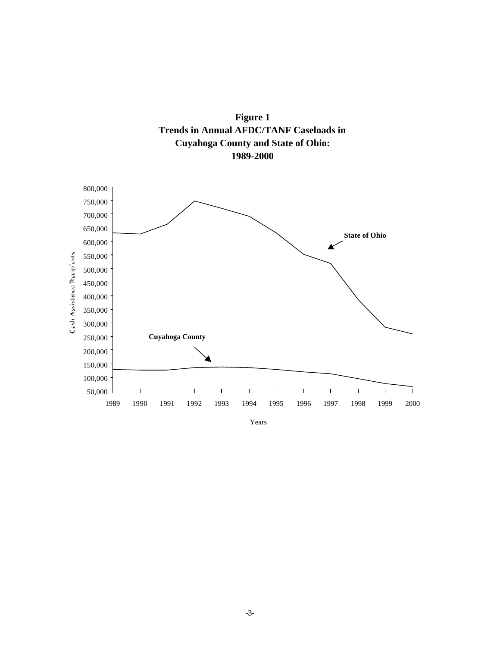



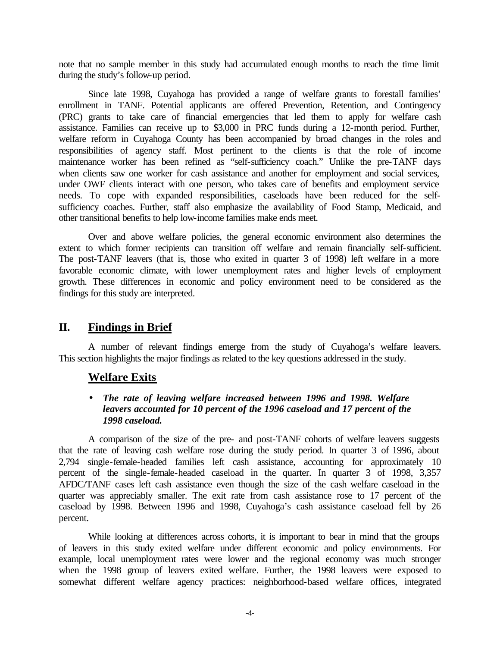note that no sample member in this study had accumulated enough months to reach the time limit during the study's follow-up period.

Since late 1998, Cuyahoga has provided a range of welfare grants to forestall families' enrollment in TANF. Potential applicants are offered Prevention, Retention, and Contingency (PRC) grants to take care of financial emergencies that led them to apply for welfare cash assistance. Families can receive up to \$3,000 in PRC funds during a 12-month period. Further, welfare reform in Cuyahoga County has been accompanied by broad changes in the roles and responsibilities of agency staff. Most pertinent to the clients is that the role of income maintenance worker has been refined as "self-sufficiency coach." Unlike the pre-TANF days when clients saw one worker for cash assistance and another for employment and social services, under OWF clients interact with one person, who takes care of benefits and employment service needs. To cope with expanded responsibilities, caseloads have been reduced for the selfsufficiency coaches. Further, staff also emphasize the availability of Food Stamp, Medicaid, and other transitional benefits to help low-income families make ends meet.

Over and above welfare policies, the general economic environment also determines the extent to which former recipients can transition off welfare and remain financially self-sufficient. The post-TANF leavers (that is, those who exited in quarter 3 of 1998) left welfare in a more favorable economic climate, with lower unemployment rates and higher levels of employment growth. These differences in economic and policy environment need to be considered as the findings for this study are interpreted.

# **II. Findings in Brief**

A number of relevant findings emerge from the study of Cuyahoga's welfare leavers. This section highlights the major findings as related to the key questions addressed in the study.

#### **Welfare Exits**

#### • *The rate of leaving welfare increased between 1996 and 1998. Welfare leavers accounted for 10 percent of the 1996 caseload and 17 percent of the 1998 caseload.*

A comparison of the size of the pre- and post-TANF cohorts of welfare leavers suggests that the rate of leaving cash welfare rose during the study period. In quarter 3 of 1996, about 2,794 single-female-headed families left cash assistance, accounting for approximately 10 percent of the single-female-headed caseload in the quarter. In quarter 3 of 1998, 3,357 AFDC/TANF cases left cash assistance even though the size of the cash welfare caseload in the quarter was appreciably smaller. The exit rate from cash assistance rose to 17 percent of the caseload by 1998. Between 1996 and 1998, Cuyahoga's cash assistance caseload fell by 26 percent.

While looking at differences across cohorts, it is important to bear in mind that the groups of leavers in this study exited welfare under different economic and policy environments. For example, local unemployment rates were lower and the regional economy was much stronger when the 1998 group of leavers exited welfare. Further, the 1998 leavers were exposed to somewhat different welfare agency practices: neighborhood-based welfare offices, integrated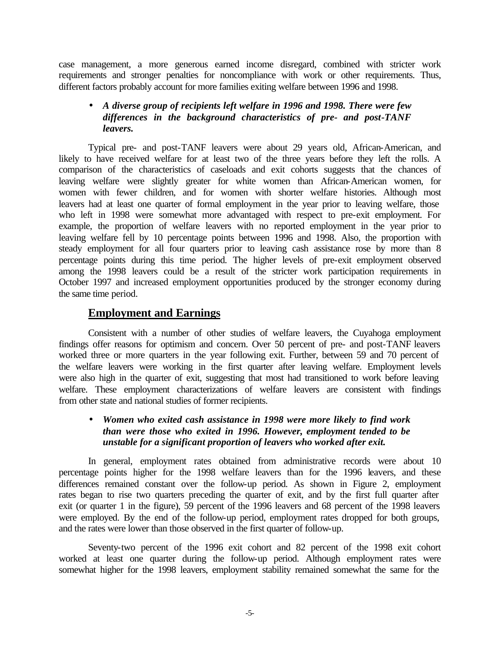case management, a more generous earned income disregard, combined with stricter work requirements and stronger penalties for noncompliance with work or other requirements. Thus, different factors probably account for more families exiting welfare between 1996 and 1998.

#### • *A diverse group of recipients left welfare in 1996 and 1998. There were few differences in the background characteristics of pre- and post-TANF leavers.*

Typical pre- and post-TANF leavers were about 29 years old, African-American, and likely to have received welfare for at least two of the three years before they left the rolls. A comparison of the characteristics of caseloads and exit cohorts suggests that the chances of leaving welfare were slightly greater for white women than African-American women, for women with fewer children, and for women with shorter welfare histories. Although most leavers had at least one quarter of formal employment in the year prior to leaving welfare, those who left in 1998 were somewhat more advantaged with respect to pre-exit employment. For example, the proportion of welfare leavers with no reported employment in the year prior to leaving welfare fell by 10 percentage points between 1996 and 1998. Also, the proportion with steady employment for all four quarters prior to leaving cash assistance rose by more than 8 percentage points during this time period. The higher levels of pre-exit employment observed among the 1998 leavers could be a result of the stricter work participation requirements in October 1997 and increased employment opportunities produced by the stronger economy during the same time period.

## **Employment and Earnings**

Consistent with a number of other studies of welfare leavers, the Cuyahoga employment findings offer reasons for optimism and concern. Over 50 percent of pre- and post-TANF leavers worked three or more quarters in the year following exit. Further, between 59 and 70 percent of the welfare leavers were working in the first quarter after leaving welfare. Employment levels were also high in the quarter of exit, suggesting that most had transitioned to work before leaving welfare. These employment characterizations of welfare leavers are consistent with findings from other state and national studies of former recipients.

#### • *Women who exited cash assistance in 1998 were more likely to find work than were those who exited in 1996. However, employment tended to be unstable for a significant proportion of leavers who worked after exit.*

In general, employment rates obtained from administrative records were about 10 percentage points higher for the 1998 welfare leavers than for the 1996 leavers, and these differences remained constant over the follow-up period. As shown in Figure 2, employment rates began to rise two quarters preceding the quarter of exit, and by the first full quarter after exit (or quarter 1 in the figure), 59 percent of the 1996 leavers and 68 percent of the 1998 leavers were employed. By the end of the follow-up period, employment rates dropped for both groups, and the rates were lower than those observed in the first quarter of follow-up.

Seventy-two percent of the 1996 exit cohort and 82 percent of the 1998 exit cohort worked at least one quarter during the follow-up period. Although employment rates were somewhat higher for the 1998 leavers, employment stability remained somewhat the same for the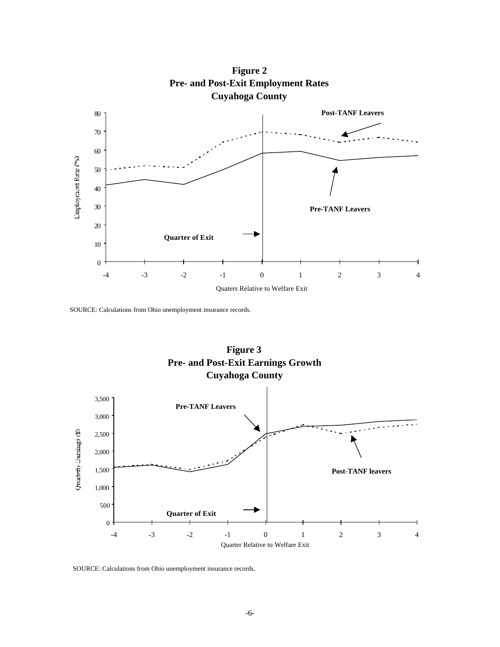

**Figure 2 Pre- and Post-Exit Employment Rates**

SOURCE: Calculations from Ohio unemployment insurance records.



SOURCE: Calculations from Ohio unemployment insurance records.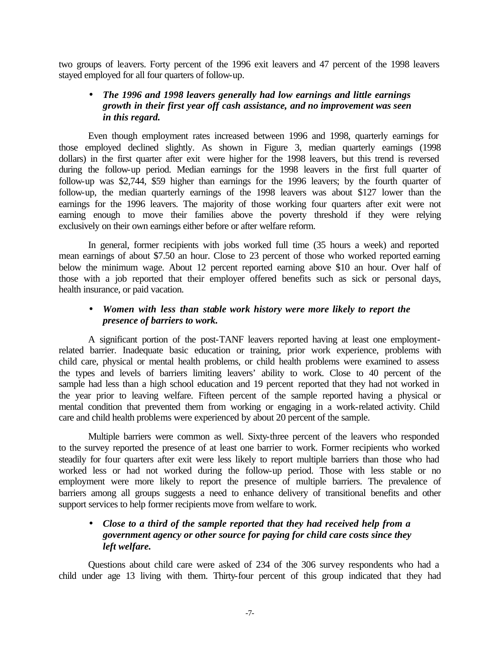two groups of leavers. Forty percent of the 1996 exit leavers and 47 percent of the 1998 leavers stayed employed for all four quarters of follow-up.

#### • *The 1996 and 1998 leavers generally had low earnings and little earnings growth in their first year off cash assistance, and no improvement was seen in this regard.*

Even though employment rates increased between 1996 and 1998, quarterly earnings for those employed declined slightly. As shown in Figure 3, median quarterly earnings (1998 dollars) in the first quarter after exit were higher for the 1998 leavers, but this trend is reversed during the follow-up period. Median earnings for the 1998 leavers in the first full quarter of follow-up was \$2,744, \$59 higher than earnings for the 1996 leavers; by the fourth quarter of follow-up, the median quarterly earnings of the 1998 leavers was about \$127 lower than the earnings for the 1996 leavers. The majority of those working four quarters after exit were not earning enough to move their families above the poverty threshold if they were relying exclusively on their own earnings either before or after welfare reform.

In general, former recipients with jobs worked full time (35 hours a week) and reported mean earnings of about \$7.50 an hour. Close to 23 percent of those who worked reported earning below the minimum wage. About 12 percent reported earning above \$10 an hour. Over half of those with a job reported that their employer offered benefits such as sick or personal days, health insurance, or paid vacation.

#### • *Women with less than stable work history were more likely to report the presence of barriers to work.*

A significant portion of the post-TANF leavers reported having at least one employmentrelated barrier. Inadequate basic education or training, prior work experience, problems with child care, physical or mental health problems, or child health problems were examined to assess the types and levels of barriers limiting leavers' ability to work. Close to 40 percent of the sample had less than a high school education and 19 percent reported that they had not worked in the year prior to leaving welfare. Fifteen percent of the sample reported having a physical or mental condition that prevented them from working or engaging in a work-related activity. Child care and child health problems were experienced by about 20 percent of the sample.

Multiple barriers were common as well. Sixty-three percent of the leavers who responded to the survey reported the presence of at least one barrier to work. Former recipients who worked steadily for four quarters after exit were less likely to report multiple barriers than those who had worked less or had not worked during the follow-up period. Those with less stable or no employment were more likely to report the presence of multiple barriers. The prevalence of barriers among all groups suggests a need to enhance delivery of transitional benefits and other support services to help former recipients move from welfare to work.

#### • *Close to a third of the sample reported that they had received help from a government agency or other source for paying for child care costs since they left welfare.*

Questions about child care were asked of 234 of the 306 survey respondents who had a child under age 13 living with them. Thirty-four percent of this group indicated that they had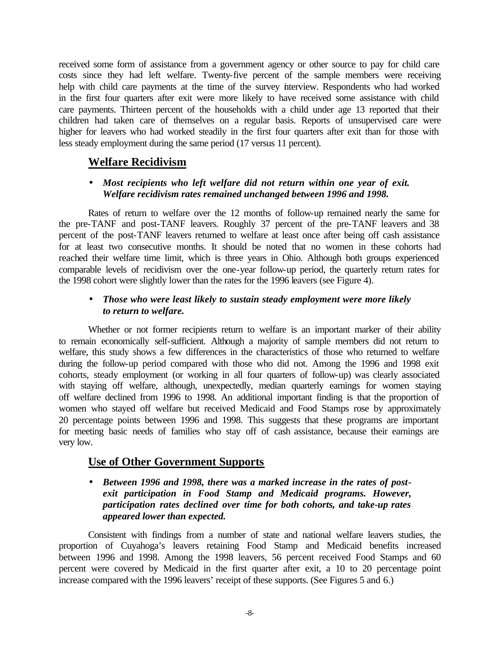received some form of assistance from a government agency or other source to pay for child care costs since they had left welfare. Twenty-five percent of the sample members were receiving help with child care payments at the time of the survey interview. Respondents who had worked in the first four quarters after exit were more likely to have received some assistance with child care payments. Thirteen percent of the households with a child under age 13 reported that their children had taken care of themselves on a regular basis. Reports of unsupervised care were higher for leavers who had worked steadily in the first four quarters after exit than for those with less steady employment during the same period (17 versus 11 percent).

## **Welfare Recidivism**

#### • *Most recipients who left welfare did not return within one year of exit. Welfare recidivism rates remained unchanged between 1996 and 1998.*

Rates of return to welfare over the 12 months of follow-up remained nearly the same for the pre-TANF and post-TANF leavers. Roughly 37 percent of the pre-TANF leavers and 38 percent of the post-TANF leavers returned to welfare at least once after being off cash assistance for at least two consecutive months. It should be noted that no women in these cohorts had reached their welfare time limit, which is three years in Ohio. Although both groups experienced comparable levels of recidivism over the one-year follow-up period, the quarterly return rates for the 1998 cohort were slightly lower than the rates for the 1996 leavers (see Figure 4).

#### • *Those who were least likely to sustain steady employment were more likely to return to welfare.*

Whether or not former recipients return to welfare is an important marker of their ability to remain economically self-sufficient. Although a majority of sample members did not return to welfare, this study shows a few differences in the characteristics of those who returned to welfare during the follow-up period compared with those who did not. Among the 1996 and 1998 exit cohorts, steady employment (or working in all four quarters of follow-up) was clearly associated with staying off welfare, although, unexpectedly, median quarterly earnings for women staying off welfare declined from 1996 to 1998. An additional important finding is that the proportion of women who stayed off welfare but received Medicaid and Food Stamps rose by approximately 20 percentage points between 1996 and 1998. This suggests that these programs are important for meeting basic needs of families who stay off of cash assistance, because their earnings are very low.

# **Use of Other Government Supports**

#### • *Between 1996 and 1998, there was a marked increase in the rates of postexit participation in Food Stamp and Medicaid programs. However, participation rates declined over time for both cohorts, and take-up rates appeared lower than expected.*

Consistent with findings from a number of state and national welfare leavers studies, the proportion of Cuyahoga's leavers retaining Food Stamp and Medicaid benefits increased between 1996 and 1998. Among the 1998 leavers, 56 percent received Food Stamps and 60 percent were covered by Medicaid in the first quarter after exit, a 10 to 20 percentage point increase compared with the 1996 leavers' receipt of these supports. (See Figures 5 and 6.)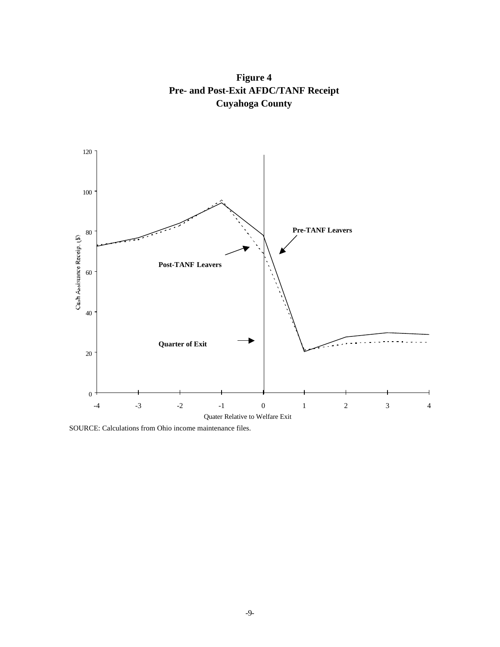

**Figure 4 Pre- and Post-Exit AFDC/TANF Receipt Cuyahoga County**

SOURCE: Calculations from Ohio income maintenance files.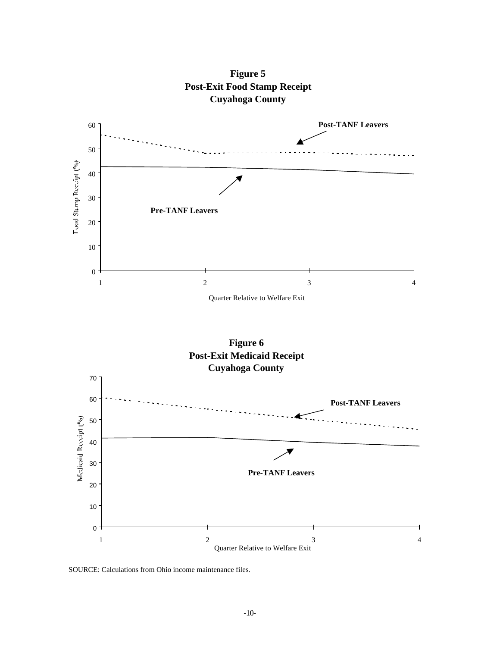

**Figure 5 Post-Exit Food Stamp Receipt Cuyahoga County**

**Figure 6 Post-Exit Medicaid Receipt Cuyahoga County**



SOURCE: Calculations from Ohio income maintenance files.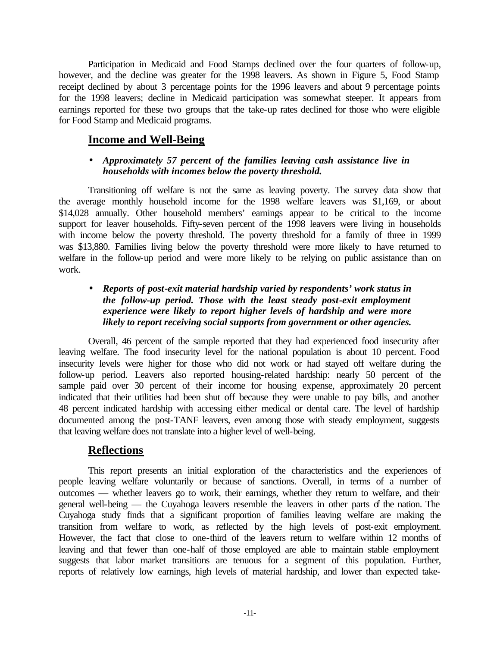Participation in Medicaid and Food Stamps declined over the four quarters of follow-up, however, and the decline was greater for the 1998 leavers. As shown in Figure 5, Food Stamp receipt declined by about 3 percentage points for the 1996 leavers and about 9 percentage points for the 1998 leavers; decline in Medicaid participation was somewhat steeper. It appears from earnings reported for these two groups that the take-up rates declined for those who were eligible for Food Stamp and Medicaid programs.

## **Income and Well-Being**

#### • *Approximately 57 percent of the families leaving cash assistance live in households with incomes below the poverty threshold.*

Transitioning off welfare is not the same as leaving poverty. The survey data show that the average monthly household income for the 1998 welfare leavers was \$1,169, or about \$14,028 annually. Other household members' earnings appear to be critical to the income support for leaver households. Fifty-seven percent of the 1998 leavers were living in households with income below the poverty threshold. The poverty threshold for a family of three in 1999 was \$13,880. Families living below the poverty threshold were more likely to have returned to welfare in the follow-up period and were more likely to be relying on public assistance than on work.

#### • *Reports of post-exit material hardship varied by respondents' work status in the follow-up period. Those with the least steady post-exit employment experience were likely to report higher levels of hardship and were more likely to report receiving social supports from government or other agencies.*

Overall, 46 percent of the sample reported that they had experienced food insecurity after leaving welfare. The food insecurity level for the national population is about 10 percent. Food insecurity levels were higher for those who did not work or had stayed off welfare during the follow-up period. Leavers also reported housing-related hardship: nearly 50 percent of the sample paid over 30 percent of their income for housing expense, approximately 20 percent indicated that their utilities had been shut off because they were unable to pay bills, and another 48 percent indicated hardship with accessing either medical or dental care. The level of hardship documented among the post-TANF leavers, even among those with steady employment, suggests that leaving welfare does not translate into a higher level of well-being.

# **Reflections**

This report presents an initial exploration of the characteristics and the experiences of people leaving welfare voluntarily or because of sanctions. Overall, in terms of a number of outcomes — whether leavers go to work, their earnings, whether they return to welfare, and their general well-being — the Cuyahoga leavers resemble the leavers in other parts of the nation. The Cuyahoga study finds that a significant proportion of families leaving welfare are making the transition from welfare to work, as reflected by the high levels of post-exit employment. However, the fact that close to one-third of the leavers return to welfare within 12 months of leaving and that fewer than one-half of those employed are able to maintain stable employment suggests that labor market transitions are tenuous for a segment of this population. Further, reports of relatively low earnings, high levels of material hardship, and lower than expected take-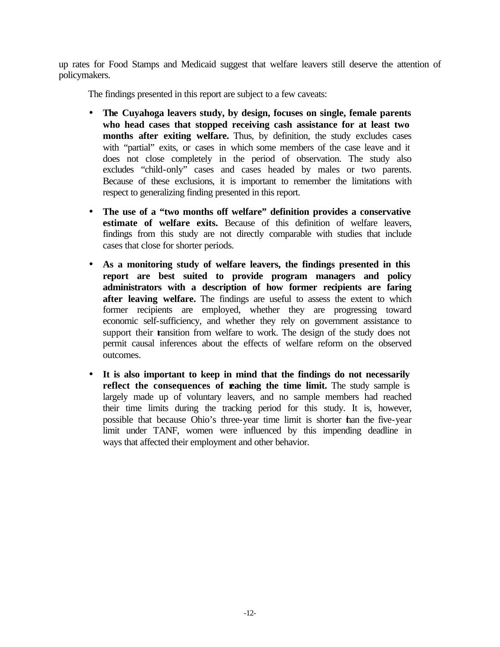up rates for Food Stamps and Medicaid suggest that welfare leavers still deserve the attention of policymakers.

The findings presented in this report are subject to a few caveats:

- **The Cuyahoga leavers study, by design, focuses on single, female parents who head cases that stopped receiving cash assistance for at least two months after exiting welfare.** Thus, by definition, the study excludes cases with "partial" exits, or cases in which some members of the case leave and it does not close completely in the period of observation. The study also excludes "child-only" cases and cases headed by males or two parents. Because of these exclusions, it is important to remember the limitations with respect to generalizing finding presented in this report.
- **The use of a "two months off welfare" definition provides a conservative estimate of welfare exits.** Because of this definition of welfare leavers, findings from this study are not directly comparable with studies that include cases that close for shorter periods.
- **As a monitoring study of welfare leavers, the findings presented in this report are best suited to provide program managers and policy administrators with a description of how former recipients are faring after leaving welfare.** The findings are useful to assess the extent to which former recipients are employed, whether they are progressing toward economic self-sufficiency, and whether they rely on government assistance to support their transition from welfare to work. The design of the study does not permit causal inferences about the effects of welfare reform on the observed outcomes.
- **It is also important to keep in mind that the findings do not necessarily reflect the consequences of reaching the time limit.** The study sample is largely made up of voluntary leavers, and no sample members had reached their time limits during the tracking period for this study. It is, however, possible that because Ohio's three-year time limit is shorter than the five-year limit under TANF, women were influenced by this impending deadline in ways that affected their employment and other behavior.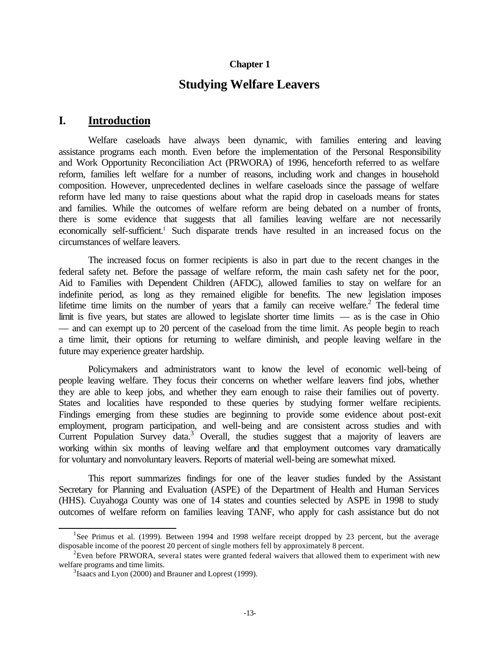#### **Chapter 1**

## **Studying Welfare Leavers**

#### **I. Introduction**

Welfare caseloads have always been dynamic, with families entering and leaving assistance programs each month. Even before the implementation of the Personal Responsibility and Work Opportunity Reconciliation Act (PRWORA) of 1996, henceforth referred to as welfare reform, families left welfare for a number of reasons, including work and changes in household composition. However, unprecedented declines in welfare caseloads since the passage of welfare reform have led many to raise questions about what the rapid drop in caseloads means for states and families. While the outcomes of welfare reform are being debated on a number of fronts, there is some evidence that suggests that all families leaving welfare are not necessarily economically self-sufficient.<sup>1</sup> Such disparate trends have resulted in an increased focus on the circumstances of welfare leavers.

The increased focus on former recipients is also in part due to the recent changes in the federal safety net. Before the passage of welfare reform, the main cash safety net for the poor, Aid to Families with Dependent Children (AFDC), allowed families to stay on welfare for an indefinite period, as long as they remained eligible for benefits. The new legislation imposes lifetime time limits on the number of years that a family can receive welfare.<sup>2</sup> The federal time limit is five years, but states are allowed to legislate shorter time limits — as is the case in Ohio — and can exempt up to 20 percent of the caseload from the time limit. As people begin to reach a time limit, their options for returning to welfare diminish, and people leaving welfare in the future may experience greater hardship.

Policymakers and administrators want to know the level of economic well-being of people leaving welfare. They focus their concerns on whether welfare leavers find jobs, whether they are able to keep jobs, and whether they earn enough to raise their families out of poverty. States and localities have responded to these queries by studying former welfare recipients. Findings emerging from these studies are beginning to provide some evidence about post-exit employment, program participation, and well-being and are consistent across studies and with Current Population Survey data.<sup>3</sup> Overall, the studies suggest that a majority of leavers are working within six months of leaving welfare and that employment outcomes vary dramatically for voluntary and nonvoluntary leavers. Reports of material well-being are somewhat mixed.

This report summarizes findings for one of the leaver studies funded by the Assistant Secretary for Planning and Evaluation (ASPE) of the Department of Health and Human Services (HHS). Cuyahoga County was one of 14 states and counties selected by ASPE in 1998 to study outcomes of welfare reform on families leaving TANF, who apply for cash assistance but do not

<sup>&</sup>lt;sup>1</sup>See Primus et al. (1999). Between 1994 and 1998 welfare receipt dropped by 23 percent, but the average disposable income of the poorest 20 percent of single mothers fell by approximately 8 percent.

 $2$ Even before PRWORA, several states were granted federal waivers that allowed them to experiment with new welfare programs and time limits.

<sup>&</sup>lt;sup>3</sup> Isaacs and Lyon (2000) and Brauner and Loprest (1999).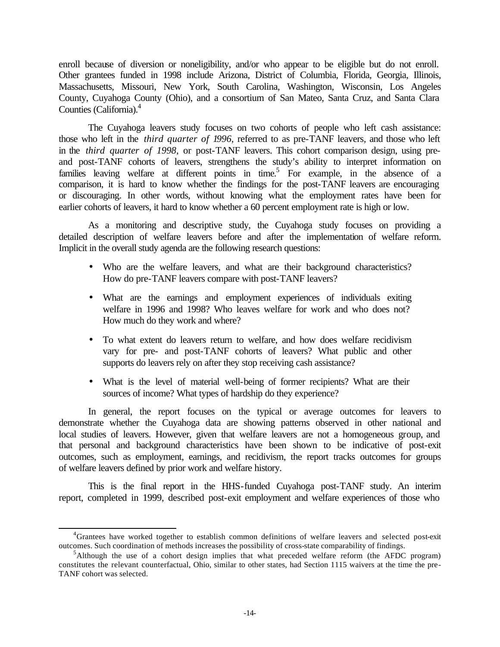enroll because of diversion or noneligibility, and/or who appear to be eligible but do not enroll. Other grantees funded in 1998 include Arizona, District of Columbia, Florida, Georgia, Illinois, Massachusetts, Missouri, New York, South Carolina, Washington, Wisconsin, Los Angeles County, Cuyahoga County (Ohio), and a consortium of San Mateo, Santa Cruz, and Santa Clara Counties (California).<sup>4</sup>

The Cuyahoga leavers study focuses on two cohorts of people who left cash assistance: those who left in the *third quarter of 1996*, referred to as pre-TANF leavers*,* and those who left in the *third quarter of 1998*, or post-TANF leavers. This cohort comparison design, using preand post-TANF cohorts of leavers, strengthens the study's ability to interpret information on families leaving welfare at different points in time.<sup>5</sup> For example, in the absence of a comparison, it is hard to know whether the findings for the post-TANF leavers are encouraging or discouraging. In other words, without knowing what the employment rates have been for earlier cohorts of leavers, it hard to know whether a 60 percent employment rate is high or low.

As a monitoring and descriptive study, the Cuyahoga study focuses on providing a detailed description of welfare leavers before and after the implementation of welfare reform. Implicit in the overall study agenda are the following research questions:

- Who are the welfare leavers, and what are their background characteristics? How do pre-TANF leavers compare with post-TANF leavers?
- What are the earnings and employment experiences of individuals exiting welfare in 1996 and 1998? Who leaves welfare for work and who does not? How much do they work and where?
- To what extent do leavers return to welfare, and how does welfare recidivism vary for pre- and post-TANF cohorts of leavers? What public and other supports do leavers rely on after they stop receiving cash assistance?
- What is the level of material well-being of former recipients? What are their sources of income? What types of hardship do they experience?

In general, the report focuses on the typical or average outcomes for leavers to demonstrate whether the Cuyahoga data are showing patterns observed in other national and local studies of leavers. However, given that welfare leavers are not a homogeneous group, and that personal and background characteristics have been shown to be indicative of post-exit outcomes, such as employment, earnings, and recidivism, the report tracks outcomes for groups of welfare leavers defined by prior work and welfare history.

This is the final report in the HHS-funded Cuyahoga post-TANF study. An interim report, completed in 1999, described post-exit employment and welfare experiences of those who

<sup>4</sup>Grantees have worked together to establish common definitions of welfare leavers and selected post-exit outcomes. Such coordination of methods increases the possibility of cross-state comparability of findings.

 $<sup>5</sup>$ Although the use of a cohort design implies that what preceded welfare reform (the AFDC program)</sup> constitutes the relevant counterfactual, Ohio, similar to other states, had Section 1115 waivers at the time the pre-TANF cohort was selected.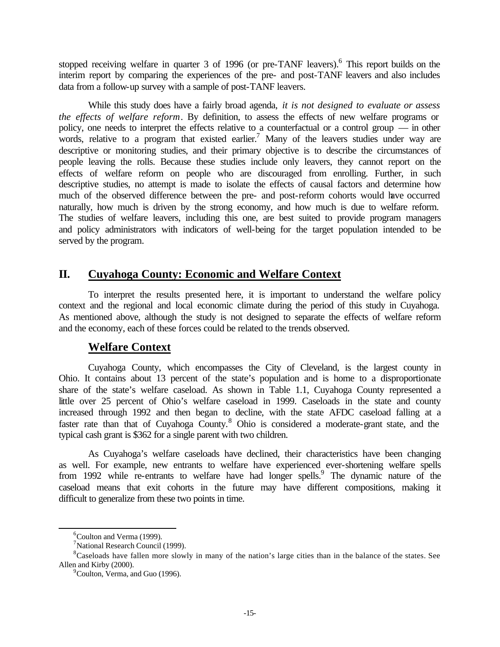stopped receiving welfare in quarter 3 of 1996 (or pre-TANF leavers). <sup>6</sup> This report builds on the interim report by comparing the experiences of the pre- and post-TANF leavers and also includes data from a follow-up survey with a sample of post-TANF leavers.

While this study does have a fairly broad agenda, *it is not designed to evaluate or assess the effects of welfare reform*. By definition, to assess the effects of new welfare programs or policy, one needs to interpret the effects relative to a counterfactual or a control group — in other words, relative to a program that existed earlier.<sup>7</sup> Many of the leavers studies under way are descriptive or monitoring studies, and their primary objective is to describe the circumstances of people leaving the rolls. Because these studies include only leavers, they cannot report on the effects of welfare reform on people who are discouraged from enrolling. Further, in such descriptive studies, no attempt is made to isolate the effects of causal factors and determine how much of the observed difference between the pre- and post-reform cohorts would have occurred naturally, how much is driven by the strong economy, and how much is due to welfare reform. The studies of welfare leavers, including this one, are best suited to provide program managers and policy administrators with indicators of well-being for the target population intended to be served by the program.

## **II. Cuyahoga County: Economic and Welfare Context**

To interpret the results presented here, it is important to understand the welfare policy context and the regional and local economic climate during the period of this study in Cuyahoga. As mentioned above, although the study is not designed to separate the effects of welfare reform and the economy, each of these forces could be related to the trends observed.

# **Welfare Context**

Cuyahoga County, which encompasses the City of Cleveland, is the largest county in Ohio. It contains about 13 percent of the state's population and is home to a disproportionate share of the state's welfare caseload. As shown in Table 1.1, Cuyahoga County represented a little over 25 percent of Ohio's welfare caseload in 1999. Caseloads in the state and county increased through 1992 and then began to decline, with the state AFDC caseload falling at a faster rate than that of Cuyahoga County.<sup>8</sup> Ohio is considered a moderate-grant state, and the typical cash grant is \$362 for a single parent with two children.

As Cuyahoga's welfare caseloads have declined, their characteristics have been changing as well. For example, new entrants to welfare have experienced ever-shortening welfare spells from 1992 while re-entrants to welfare have had longer spells.<sup>9</sup> The dynamic nature of the caseload means that exit cohorts in the future may have different compositions, making it difficult to generalize from these two points in time.

<sup>&</sup>lt;sup>6</sup>Coulton and Verma (1999).

 $\alpha$ <sup>7</sup>National Research Council (1999).

<sup>&</sup>lt;sup>8</sup>Caseloads have fallen more slowly in many of the nation's large cities than in the balance of the states. See Allen and Kirby (2000).

<sup>&</sup>lt;sup>9</sup>Coulton, Verma, and Guo (1996).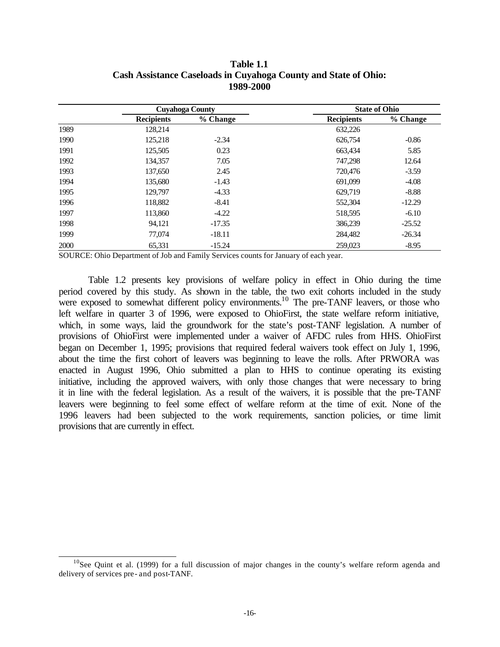|      |                        | 1989-2000 |                      |          |
|------|------------------------|-----------|----------------------|----------|
|      | <b>Cuyahoga County</b> |           | <b>State of Ohio</b> |          |
|      | <b>Recipients</b>      | % Change  | <b>Recipients</b>    | % Change |
| 1989 | 128,214                |           | 632,226              |          |
| 1990 | 125,218                | $-2.34$   | 626,754              | $-0.86$  |
| 1991 | 125,505                | 0.23      | 663,434              | 5.85     |
| 1992 | 134.357                | 7.05      | 747,298              | 12.64    |
| 1993 | 137,650                | 2.45      | 720,476              | $-3.59$  |
| 1994 | 135,680                | $-1.43$   | 691,099              | $-4.08$  |
| 1995 | 129,797                | $-4.33$   | 629,719              | $-8.88$  |
| 1996 | 118,882                | $-8.41$   | 552,304              | $-12.29$ |
| 1997 | 113,860                | $-4.22$   | 518,595              | $-6.10$  |
| 1998 | 94,121                 | $-17.35$  | 386,239              | $-25.52$ |
| 1999 | 77,074                 | $-18.11$  | 284,482              | $-26.34$ |
| 2000 | 65,331                 | $-15.24$  | 259,023              | $-8.95$  |

#### **Table 1.1 Cash Assistance Caseloads in Cuyahoga County and State of Ohio: 1989-2000**

SOURCE: Ohio Department of Job and Family Services counts for January of each year.

Table 1.2 presents key provisions of welfare policy in effect in Ohio during the time period covered by this study. As shown in the table, the two exit cohorts included in the study were exposed to somewhat different policy environments.<sup>10</sup> The pre-TANF leavers, or those who left welfare in quarter 3 of 1996, were exposed to OhioFirst, the state welfare reform initiative, which, in some ways, laid the groundwork for the state's post-TANF legislation. A number of provisions of OhioFirst were implemented under a waiver of AFDC rules from HHS. OhioFirst began on December 1, 1995; provisions that required federal waivers took effect on July 1, 1996, about the time the first cohort of leavers was beginning to leave the rolls. After PRWORA was enacted in August 1996, Ohio submitted a plan to HHS to continue operating its existing initiative, including the approved waivers, with only those changes that were necessary to bring it in line with the federal legislation. As a result of the waivers, it is possible that the pre-TANF leavers were beginning to feel some effect of welfare reform at the time of exit. None of the 1996 leavers had been subjected to the work requirements, sanction policies, or time limit provisions that are currently in effect.

 $10$ See Quint et al. (1999) for a full discussion of major changes in the county's welfare reform agenda and delivery of services pre- and post-TANF.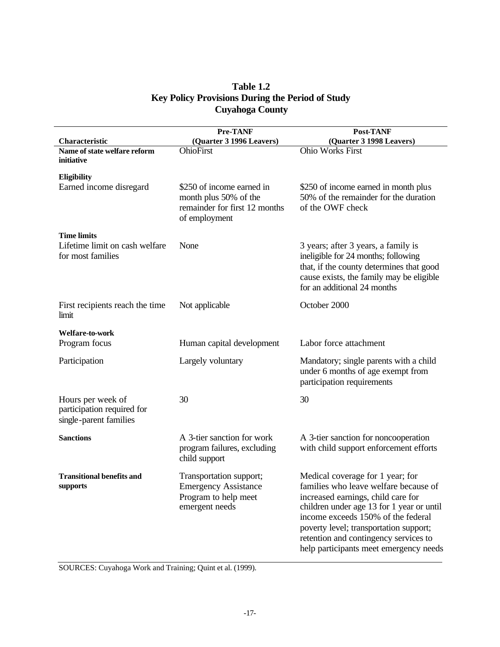### **Table 1.2 Key Policy Provisions During the Period of Study Cuyahoga County**

| Characteristic                                                            | Pre-TANF<br>(Quarter 3 1996 Leavers)                                                                 | Post-TANF<br>(Quarter 3 1998 Leavers)                                                                                                                                                                                                                                                                                           |
|---------------------------------------------------------------------------|------------------------------------------------------------------------------------------------------|---------------------------------------------------------------------------------------------------------------------------------------------------------------------------------------------------------------------------------------------------------------------------------------------------------------------------------|
| Name of state welfare reform<br>initiative                                | <b>OhioFirst</b>                                                                                     | <b>Ohio Works First</b>                                                                                                                                                                                                                                                                                                         |
| Eligibility<br>Earned income disregard                                    | \$250 of income earned in<br>month plus 50% of the<br>remainder for first 12 months<br>of employment | \$250 of income earned in month plus<br>50% of the remainder for the duration<br>of the OWF check                                                                                                                                                                                                                               |
| <b>Time limits</b><br>Lifetime limit on cash welfare<br>for most families | None                                                                                                 | 3 years; after 3 years, a family is<br>ineligible for 24 months; following<br>that, if the county determines that good<br>cause exists, the family may be eligible<br>for an additional 24 months                                                                                                                               |
| First recipients reach the time<br>limit                                  | Not applicable                                                                                       | October 2000                                                                                                                                                                                                                                                                                                                    |
| Welfare-to-work<br>Program focus                                          | Human capital development                                                                            | Labor force attachment                                                                                                                                                                                                                                                                                                          |
| Participation                                                             | Largely voluntary                                                                                    | Mandatory; single parents with a child<br>under 6 months of age exempt from<br>participation requirements                                                                                                                                                                                                                       |
| Hours per week of<br>participation required for<br>single-parent families | 30                                                                                                   | 30                                                                                                                                                                                                                                                                                                                              |
| <b>Sanctions</b>                                                          | A 3-tier sanction for work<br>program failures, excluding<br>child support                           | A 3-tier sanction for noncooperation<br>with child support enforcement efforts                                                                                                                                                                                                                                                  |
| <b>Transitional benefits and</b><br>supports                              | Transportation support;<br><b>Emergency Assistance</b><br>Program to help meet<br>emergent needs     | Medical coverage for 1 year; for<br>families who leave welfare because of<br>increased earnings, child care for<br>children under age 13 for 1 year or until<br>income exceeds 150% of the federal<br>poverty level; transportation support;<br>retention and contingency services to<br>help participants meet emergency needs |

SOURCES: Cuyahoga Work and Training; Quint et al. (1999).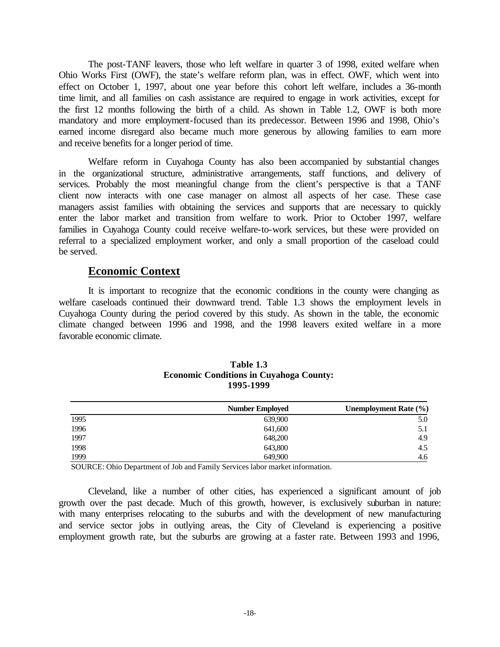The post-TANF leavers, those who left welfare in quarter 3 of 1998, exited welfare when Ohio Works First (OWF), the state's welfare reform plan, was in effect. OWF, which went into effect on October 1, 1997, about one year before this cohort left welfare, includes a 36-month time limit, and all families on cash assistance are required to engage in work activities, except for the first 12 months following the birth of a child. As shown in Table 1.2, OWF is both more mandatory and more employment-focused than its predecessor. Between 1996 and 1998, Ohio's earned income disregard also became much more generous by allowing families to earn more and receive benefits for a longer period of time.

Welfare reform in Cuyahoga County has also been accompanied by substantial changes in the organizational structure, administrative arrangements, staff functions, and delivery of services. Probably the most meaningful change from the client's perspective is that a TANF client now interacts with one case manager on almost all aspects of her case. These case managers assist families with obtaining the services and supports that are necessary to quickly enter the labor market and transition from welfare to work. Prior to October 1997, welfare families in Cuyahoga County could receive welfare-to-work services, but these were provided on referral to a specialized employment worker, and only a small proportion of the caseload could be served.

#### **Economic Context**

It is important to recognize that the economic conditions in the county were changing as welfare caseloads continued their downward trend. Table 1.3 shows the employment levels in Cuyahoga County during the period covered by this study. As shown in the table, the economic climate changed between 1996 and 1998, and the 1998 leavers exited welfare in a more favorable economic climate.

|      | <b>Number Employed</b> | Unemployment Rate $(\% )$ |
|------|------------------------|---------------------------|
| 1995 | 639,900                | 5.0                       |
| 1996 | 641,600                | 5.1                       |
| 1997 | 648,200                | 4.9                       |
| 1998 | 643,800                | 4.5                       |
| 1999 | 649,900                | 4.6                       |

#### **Table 1.3 Economic Conditions in Cuyahoga County: 1995-1999**

SOURCE: Ohio Department of Job and Family Services labor market information.

Cleveland, like a number of other cities, has experienced a significant amount of job growth over the past decade. Much of this growth, however, is exclusively suburban in nature: with many enterprises relocating to the suburbs and with the development of new manufacturing and service sector jobs in outlying areas, the City of Cleveland is experiencing a positive employment growth rate, but the suburbs are growing at a faster rate. Between 1993 and 1996,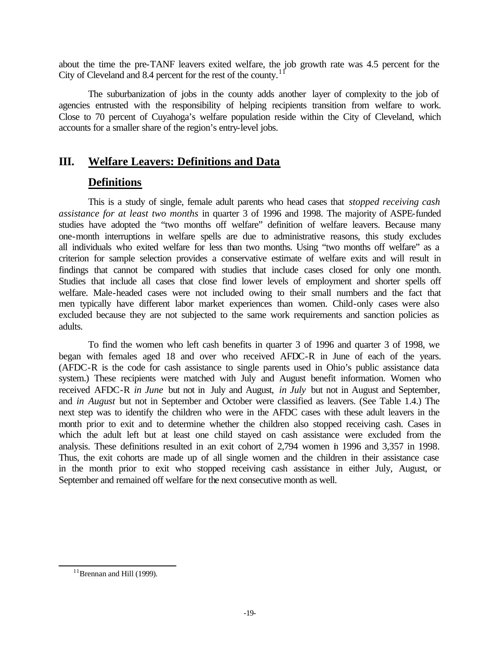about the time the pre-TANF leavers exited welfare, the job growth rate was 4.5 percent for the City of Cleveland and 8.4 percent for the rest of the county.<sup>11</sup>

The suburbanization of jobs in the county adds another layer of complexity to the job of agencies entrusted with the responsibility of helping recipients transition from welfare to work. Close to 70 percent of Cuyahoga's welfare population reside within the City of Cleveland, which accounts for a smaller share of the region's entry-level jobs.

## **III. Welfare Leavers: Definitions and Data**

## **Definitions**

This is a study of single, female adult parents who head cases that *stopped receiving cash assistance for at least two months* in quarter 3 of 1996 and 1998. The majority of ASPE-funded studies have adopted the "two months off welfare" definition of welfare leavers. Because many one-month interruptions in welfare spells are due to administrative reasons, this study excludes all individuals who exited welfare for less than two months. Using "two months off welfare" as a criterion for sample selection provides a conservative estimate of welfare exits and will result in findings that cannot be compared with studies that include cases closed for only one month. Studies that include all cases that close find lower levels of employment and shorter spells off welfare. Male-headed cases were not included owing to their small numbers and the fact that men typically have different labor market experiences than women. Child-only cases were also excluded because they are not subjected to the same work requirements and sanction policies as adults.

To find the women who left cash benefits in quarter 3 of 1996 and quarter 3 of 1998, we began with females aged 18 and over who received AFDC-R in June of each of the years. (AFDC-R is the code for cash assistance to single parents used in Ohio's public assistance data system.) These recipients were matched with July and August benefit information. Women who received AFDC-R *in June* but not in July and August, *in July* but not in August and September, and *in August* but not in September and October were classified as leavers. (See Table 1.4.) The next step was to identify the children who were in the AFDC cases with these adult leavers in the month prior to exit and to determine whether the children also stopped receiving cash. Cases in which the adult left but at least one child stayed on cash assistance were excluded from the analysis. These definitions resulted in an exit cohort of 2,794 women in 1996 and 3,357 in 1998. Thus, the exit cohorts are made up of all single women and the children in their assistance case in the month prior to exit who stopped receiving cash assistance in either July, August, or September and remained off welfare for the next consecutive month as well.

 $11$ Brennan and Hill (1999).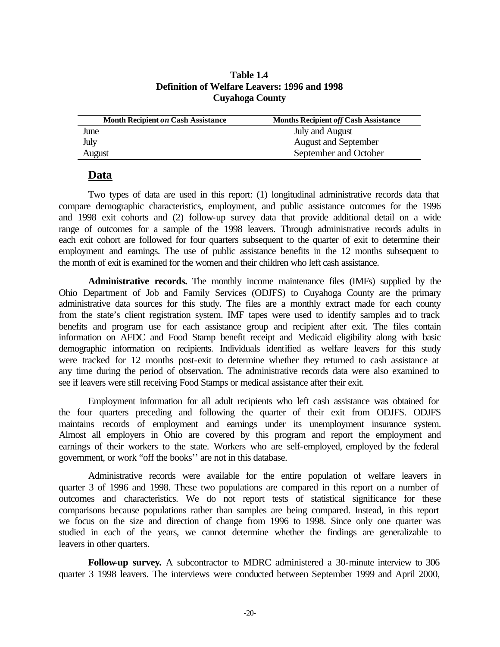**Table 1.4 Definition of Welfare Leavers: 1996 and 1998 Cuyahoga County**

| <b>Month Recipient on Cash Assistance</b> | <b>Months Recipient off Cash Assistance</b> |
|-------------------------------------------|---------------------------------------------|
| June                                      | July and August                             |
| July                                      | <b>August and September</b>                 |
| August                                    | September and October                       |

#### **Data**

Two types of data are used in this report: (1) longitudinal administrative records data that compare demographic characteristics, employment, and public assistance outcomes for the 1996 and 1998 exit cohorts and (2) follow-up survey data that provide additional detail on a wide range of outcomes for a sample of the 1998 leavers. Through administrative records adults in each exit cohort are followed for four quarters subsequent to the quarter of exit to determine their employment and earnings. The use of public assistance benefits in the 12 months subsequent to the month of exit is examined for the women and their children who left cash assistance.

**Administrative records.** The monthly income maintenance files (IMFs) supplied by the Ohio Department of Job and Family Services (ODJFS) to Cuyahoga County are the primary administrative data sources for this study. The files are a monthly extract made for each county from the state's client registration system. IMF tapes were used to identify samples and to track benefits and program use for each assistance group and recipient after exit. The files contain information on AFDC and Food Stamp benefit receipt and Medicaid eligibility along with basic demographic information on recipients. Individuals identified as welfare leavers for this study were tracked for 12 months post-exit to determine whether they returned to cash assistance at any time during the period of observation. The administrative records data were also examined to see if leavers were still receiving Food Stamps or medical assistance after their exit.

Employment information for all adult recipients who left cash assistance was obtained for the four quarters preceding and following the quarter of their exit from ODJFS. ODJFS maintains records of employment and earnings under its unemployment insurance system. Almost all employers in Ohio are covered by this program and report the employment and earnings of their workers to the state. Workers who are self-employed, employed by the federal government, or work "off the books'' are not in this database.

Administrative records were available for the entire population of welfare leavers in quarter 3 of 1996 and 1998. These two populations are compared in this report on a number of outcomes and characteristics. We do not report tests of statistical significance for these comparisons because populations rather than samples are being compared. Instead, in this report we focus on the size and direction of change from 1996 to 1998. Since only one quarter was studied in each of the years, we cannot determine whether the findings are generalizable to leavers in other quarters.

**Follow-up survey.** A subcontractor to MDRC administered a 30-minute interview to 306 quarter 3 1998 leavers. The interviews were conducted between September 1999 and April 2000,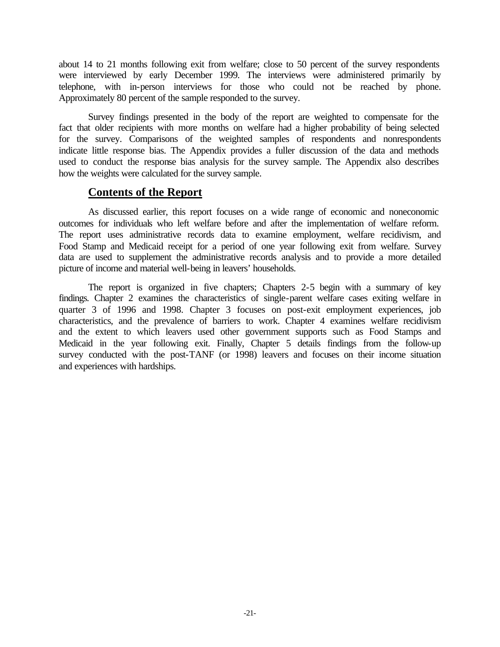about 14 to 21 months following exit from welfare; close to 50 percent of the survey respondents were interviewed by early December 1999. The interviews were administered primarily by telephone, with in-person interviews for those who could not be reached by phone. Approximately 80 percent of the sample responded to the survey.

Survey findings presented in the body of the report are weighted to compensate for the fact that older recipients with more months on welfare had a higher probability of being selected for the survey. Comparisons of the weighted samples of respondents and nonrespondents indicate little response bias. The Appendix provides a fuller discussion of the data and methods used to conduct the response bias analysis for the survey sample. The Appendix also describes how the weights were calculated for the survey sample.

## **Contents of the Report**

As discussed earlier, this report focuses on a wide range of economic and noneconomic outcomes for individuals who left welfare before and after the implementation of welfare reform. The report uses administrative records data to examine employment, welfare recidivism, and Food Stamp and Medicaid receipt for a period of one year following exit from welfare. Survey data are used to supplement the administrative records analysis and to provide a more detailed picture of income and material well-being in leavers' households.

The report is organized in five chapters; Chapters 2-5 begin with a summary of key findings. Chapter 2 examines the characteristics of single-parent welfare cases exiting welfare in quarter 3 of 1996 and 1998. Chapter 3 focuses on post-exit employment experiences, job characteristics, and the prevalence of barriers to work. Chapter 4 examines welfare recidivism and the extent to which leavers used other government supports such as Food Stamps and Medicaid in the year following exit. Finally, Chapter 5 details findings from the follow-up survey conducted with the post-TANF (or 1998) leavers and focuses on their income situation and experiences with hardships.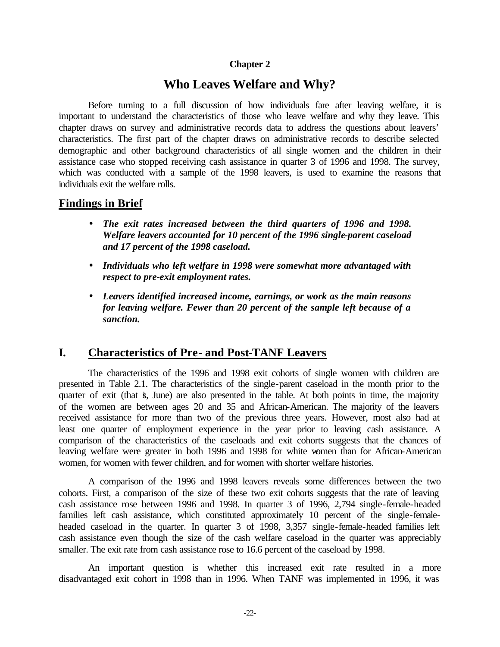#### **Chapter 2**

## **Who Leaves Welfare and Why?**

Before turning to a full discussion of how individuals fare after leaving welfare, it is important to understand the characteristics of those who leave welfare and why they leave. This chapter draws on survey and administrative records data to address the questions about leavers' characteristics. The first part of the chapter draws on administrative records to describe selected demographic and other background characteristics of all single women and the children in their assistance case who stopped receiving cash assistance in quarter 3 of 1996 and 1998. The survey, which was conducted with a sample of the 1998 leavers, is used to examine the reasons that individuals exit the welfare rolls.

#### **Findings in Brief**

- *The exit rates increased between the third quarters of 1996 and 1998. Welfare leavers accounted for 10 percent of the 1996 single-parent caseload and 17 percent of the 1998 caseload.*
- *Individuals who left welfare in 1998 were somewhat more advantaged with respect to pre-exit employment rates.*
- *Leavers identified increased income, earnings, or work as the main reasons for leaving welfare. Fewer than 20 percent of the sample left because of a sanction.*

## **I. Characteristics of Pre- and Post-TANF Leavers**

The characteristics of the 1996 and 1998 exit cohorts of single women with children are presented in Table 2.1. The characteristics of the single-parent caseload in the month prior to the quarter of exit (that is, June) are also presented in the table. At both points in time, the majority of the women are between ages 20 and 35 and African-American. The majority of the leavers received assistance for more than two of the previous three years. However, most also had at least one quarter of employment experience in the year prior to leaving cash assistance. A comparison of the characteristics of the caseloads and exit cohorts suggests that the chances of leaving welfare were greater in both 1996 and 1998 for white women than for African-American women, for women with fewer children, and for women with shorter welfare histories.

A comparison of the 1996 and 1998 leavers reveals some differences between the two cohorts. First, a comparison of the size of these two exit cohorts suggests that the rate of leaving cash assistance rose between 1996 and 1998. In quarter 3 of 1996, 2,794 single-female-headed families left cash assistance, which constituted approximately 10 percent of the single-femaleheaded caseload in the quarter. In quarter 3 of 1998, 3,357 single-female-headed families left cash assistance even though the size of the cash welfare caseload in the quarter was appreciably smaller. The exit rate from cash assistance rose to 16.6 percent of the caseload by 1998.

An important question is whether this increased exit rate resulted in a more disadvantaged exit cohort in 1998 than in 1996. When TANF was implemented in 1996, it was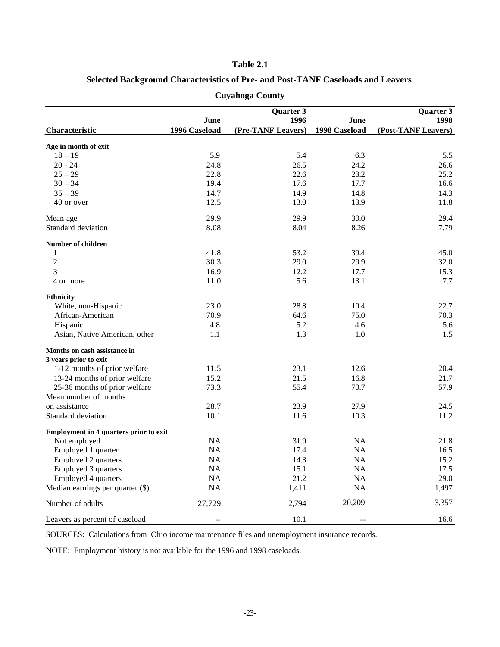#### **Table 2.1**

#### **Selected Background Characteristics of Pre- and Post-TANF Caseloads and Leavers**

|                                               |               | Quarter 3          |               | Quarter 3           |
|-----------------------------------------------|---------------|--------------------|---------------|---------------------|
|                                               | June          | 1996               | June          | 1998                |
| Characteristic                                | 1996 Caseload | (Pre-TANF Leavers) | 1998 Caseload | (Post-TANF Leavers) |
| Age in month of exit                          |               |                    |               |                     |
| $18 - 19$                                     | 5.9           | 5.4                | 6.3           | 5.5                 |
| $20 - 24$                                     | 24.8          | 26.5               | 24.2          | 26.6                |
| $25 - 29$                                     | 22.8          | 22.6               | 23.2          | 25.2                |
| $30 - 34$                                     | 19.4          | 17.6               | 17.7          | 16.6                |
| $35 - 39$                                     | 14.7          | 14.9               | 14.8          | 14.3                |
| 40 or over                                    | 12.5          | 13.0               | 13.9          | 11.8                |
| Mean age                                      | 29.9          | 29.9               | 30.0          | 29.4                |
| Standard deviation                            | 8.08          | 8.04               | 8.26          | 7.79                |
| <b>Number of children</b>                     |               |                    |               |                     |
| 1                                             | 41.8          | 53.2               | 39.4          | 45.0                |
| $\overline{2}$                                | 30.3          | 29.0               | 29.9          | 32.0                |
| 3                                             | 16.9          | 12.2               | 17.7          | 15.3                |
| 4 or more                                     | 11.0          | 5.6                | 13.1          | 7.7                 |
| <b>Ethnicity</b>                              |               |                    |               |                     |
| White, non-Hispanic                           | 23.0          | 28.8               | 19.4          | 22.7                |
| African-American                              | 70.9          | 64.6               | 75.0          | 70.3                |
| Hispanic                                      | 4.8           | 5.2                | 4.6           | 5.6                 |
| Asian, Native American, other                 | 1.1           | 1.3                | 1.0           | 1.5                 |
| Months on cash assistance in                  |               |                    |               |                     |
| 3 years prior to exit                         |               |                    |               |                     |
| 1-12 months of prior welfare                  | 11.5          | 23.1               | 12.6          | 20.4                |
| 13-24 months of prior welfare                 | 15.2          | 21.5               | 16.8          | 21.7                |
| 25-36 months of prior welfare                 | 73.3          | 55.4               | 70.7          | 57.9                |
| Mean number of months                         |               |                    |               |                     |
| on assistance                                 | 28.7          | 23.9               | 27.9          | 24.5                |
| Standard deviation                            | 10.1          | 11.6               | 10.3          | 11.2                |
| <b>Employment in 4 quarters prior to exit</b> |               |                    |               |                     |
| Not employed                                  | NA            | 31.9               | <b>NA</b>     | 21.8                |
| Employed 1 quarter                            | NA            | 17.4               | NA            | 16.5                |
| <b>Employed 2 quarters</b>                    | <b>NA</b>     | 14.3               | NA            | 15.2                |
| <b>Employed 3 quarters</b>                    | NA            | 15.1               | NA            | 17.5                |
| Employed 4 quarters                           | NA            | 21.2               | NA            | 29.0                |
| Median earnings per quarter (\$)              | NA            | 1,411              | <b>NA</b>     | 1.497               |
| Number of adults                              | 27,729        | 2,794              | 20,209        | 3,357               |
| Leavers as percent of caseload                |               | 10.1               |               | 16.6                |

#### **Cuyahoga County**

SOURCES: Calculations from Ohio income maintenance files and unemployment insurance records.

NOTE: Employment history is not available for the 1996 and 1998 caseloads.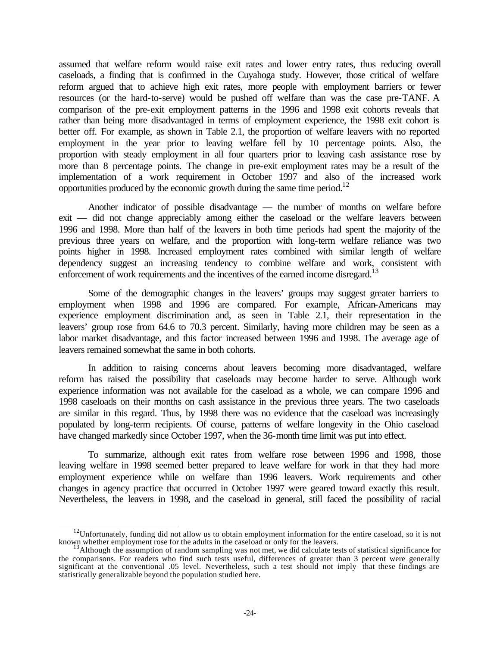assumed that welfare reform would raise exit rates and lower entry rates, thus reducing overall caseloads, a finding that is confirmed in the Cuyahoga study. However, those critical of welfare reform argued that to achieve high exit rates, more people with employment barriers or fewer resources (or the hard-to-serve) would be pushed off welfare than was the case pre-TANF. A comparison of the pre-exit employment patterns in the 1996 and 1998 exit cohorts reveals that rather than being more disadvantaged in terms of employment experience, the 1998 exit cohort is better off. For example, as shown in Table 2.1, the proportion of welfare leavers with no reported employment in the year prior to leaving welfare fell by 10 percentage points. Also, the proportion with steady employment in all four quarters prior to leaving cash assistance rose by more than 8 percentage points. The change in pre-exit employment rates may be a result of the implementation of a work requirement in October 1997 and also of the increased work opportunities produced by the economic growth during the same time period.<sup>12</sup>

Another indicator of possible disadvantage — the number of months on welfare before exit — did not change appreciably among either the caseload or the welfare leavers between 1996 and 1998. More than half of the leavers in both time periods had spent the majority of the previous three years on welfare, and the proportion with long-term welfare reliance was two points higher in 1998. Increased employment rates combined with similar length of welfare dependency suggest an increasing tendency to combine welfare and work, consistent with enforcement of work requirements and the incentives of the earned income disregard.<sup>13</sup>

Some of the demographic changes in the leavers' groups may suggest greater barriers to employment when 1998 and 1996 are compared. For example, African-Americans may experience employment discrimination and, as seen in Table 2.1, their representation in the leavers' group rose from 64.6 to 70.3 percent. Similarly, having more children may be seen as a labor market disadvantage, and this factor increased between 1996 and 1998. The average age of leavers remained somewhat the same in both cohorts.

In addition to raising concerns about leavers becoming more disadvantaged, welfare reform has raised the possibility that caseloads may become harder to serve. Although work experience information was not available for the caseload as a whole, we can compare 1996 and 1998 caseloads on their months on cash assistance in the previous three years. The two caseloads are similar in this regard. Thus, by 1998 there was no evidence that the caseload was increasingly populated by long-term recipients. Of course, patterns of welfare longevity in the Ohio caseload have changed markedly since October 1997, when the 36-month time limit was put into effect.

To summarize, although exit rates from welfare rose between 1996 and 1998, those leaving welfare in 1998 seemed better prepared to leave welfare for work in that they had more employment experience while on welfare than 1996 leavers. Work requirements and other changes in agency practice that occurred in October 1997 were geared toward exactly this result. Nevertheless, the leavers in 1998, and the caseload in general, still faced the possibility of racial

 $12$ Unfortunately, funding did not allow us to obtain employment information for the entire caseload, so it is not known whether employment rose for the adults in the caseload or only for the leavers.

<sup>13</sup>Although the assumption of random sampling was not met, we did calculate tests of statistical significance for the comparisons. For readers who find such tests useful, differences of greater than 3 percent were generally significant at the conventional .05 level. Nevertheless, such a test should not imply that these findings are statistically generalizable beyond the population studied here.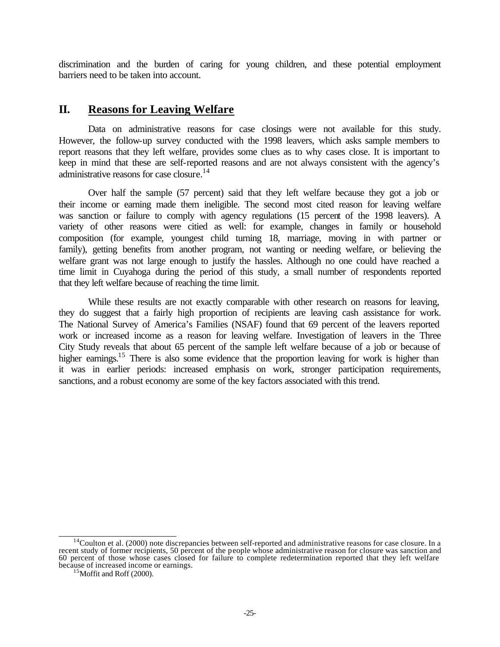discrimination and the burden of caring for young children, and these potential employment barriers need to be taken into account.

## **II. Reasons for Leaving Welfare**

Data on administrative reasons for case closings were not available for this study. However, the follow-up survey conducted with the 1998 leavers, which asks sample members to report reasons that they left welfare, provides some clues as to why cases close. It is important to keep in mind that these are self-reported reasons and are not always consistent with the agency's administrative reasons for case closure.<sup>14</sup>

Over half the sample (57 percent) said that they left welfare because they got a job or their income or earning made them ineligible. The second most cited reason for leaving welfare was sanction or failure to comply with agency regulations (15 percent of the 1998 leavers). A variety of other reasons were citied as well: for example, changes in family or household composition (for example, youngest child turning 18, marriage, moving in with partner or family), getting benefits from another program, not wanting or needing welfare, or believing the welfare grant was not large enough to justify the hassles. Although no one could have reached a time limit in Cuyahoga during the period of this study, a small number of respondents reported that they left welfare because of reaching the time limit.

While these results are not exactly comparable with other research on reasons for leaving, they do suggest that a fairly high proportion of recipients are leaving cash assistance for work. The National Survey of America's Families (NSAF) found that 69 percent of the leavers reported work or increased income as a reason for leaving welfare. Investigation of leavers in the Three City Study reveals that about 65 percent of the sample left welfare because of a job or because of higher earnings.<sup>15</sup> There is also some evidence that the proportion leaving for work is higher than it was in earlier periods: increased emphasis on work, stronger participation requirements, sanctions, and a robust economy are some of the key factors associated with this trend.

l  $14$ Coulton et al. (2000) note discrepancies between self-reported and administrative reasons for case closure. In a recent study of former recipients, 50 percent of the people whose administrative reason for closure was sanction and 60 percent of those whose cases closed for failure to complete redetermination reported that they left welfare because of increased income or earnings.

 $15$ Moffit and Roff (2000).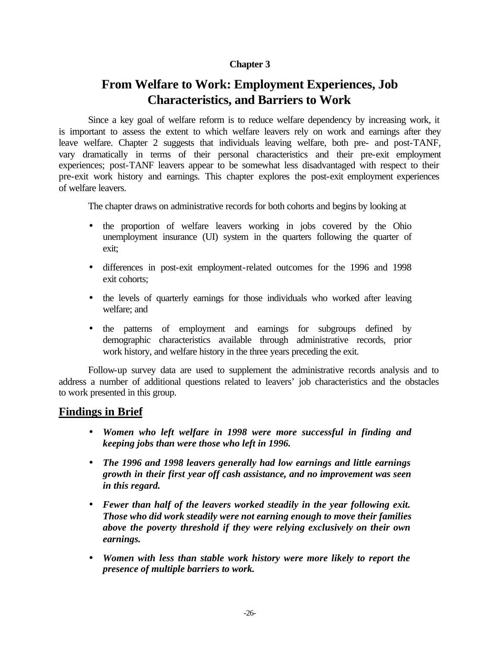#### **Chapter 3**

# **From Welfare to Work: Employment Experiences, Job Characteristics, and Barriers to Work**

Since a key goal of welfare reform is to reduce welfare dependency by increasing work, it is important to assess the extent to which welfare leavers rely on work and earnings after they leave welfare. Chapter 2 suggests that individuals leaving welfare, both pre- and post-TANF, vary dramatically in terms of their personal characteristics and their pre-exit employment experiences; post-TANF leavers appear to be somewhat less disadvantaged with respect to their pre-exit work history and earnings. This chapter explores the post-exit employment experiences of welfare leavers.

The chapter draws on administrative records for both cohorts and begins by looking at

- the proportion of welfare leavers working in jobs covered by the Ohio unemployment insurance (UI) system in the quarters following the quarter of exit;
- differences in post-exit employment-related outcomes for the 1996 and 1998 exit cohorts;
- the levels of quarterly earnings for those individuals who worked after leaving welfare; and
- the patterns of employment and earnings for subgroups defined by demographic characteristics available through administrative records, prior work history, and welfare history in the three years preceding the exit.

Follow-up survey data are used to supplement the administrative records analysis and to address a number of additional questions related to leavers' job characteristics and the obstacles to work presented in this group.

## **Findings in Brief**

- *Women who left welfare in 1998 were more successful in finding and keeping jobs than were those who left in 1996.*
- *The 1996 and 1998 leavers generally had low earnings and little earnings growth in their first year off cash assistance, and no improvement was seen in this regard.*
- *Fewer than half of the leavers worked steadily in the year following exit. Those who did work steadily were not earning enough to move their families above the poverty threshold if they were relying exclusively on their own earnings.*
- *Women with less than stable work history were more likely to report the presence of multiple barriers to work.*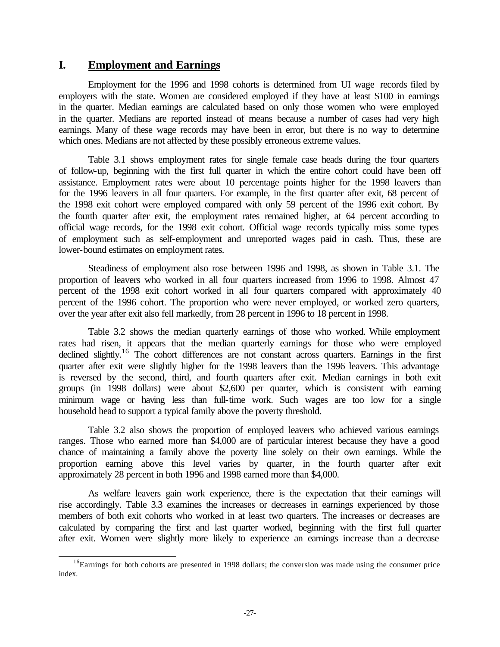#### **I. Employment and Earnings**

l

Employment for the 1996 and 1998 cohorts is determined from UI wage records filed by employers with the state. Women are considered employed if they have at least \$100 in earnings in the quarter. Median earnings are calculated based on only those women who were employed in the quarter. Medians are reported instead of means because a number of cases had very high earnings. Many of these wage records may have been in error, but there is no way to determine which ones. Medians are not affected by these possibly erroneous extreme values.

Table 3.1 shows employment rates for single female case heads during the four quarters of follow-up, beginning with the first full quarter in which the entire cohort could have been off assistance. Employment rates were about 10 percentage points higher for the 1998 leavers than for the 1996 leavers in all four quarters. For example, in the first quarter after exit, 68 percent of the 1998 exit cohort were employed compared with only 59 percent of the 1996 exit cohort. By the fourth quarter after exit, the employment rates remained higher, at 64 percent according to official wage records, for the 1998 exit cohort. Official wage records typically miss some types of employment such as self-employment and unreported wages paid in cash. Thus, these are lower-bound estimates on employment rates.

Steadiness of employment also rose between 1996 and 1998, as shown in Table 3.1. The proportion of leavers who worked in all four quarters increased from 1996 to 1998. Almost 47 percent of the 1998 exit cohort worked in all four quarters compared with approximately 40 percent of the 1996 cohort. The proportion who were never employed, or worked zero quarters, over the year after exit also fell markedly, from 28 percent in 1996 to 18 percent in 1998.

Table 3.2 shows the median quarterly earnings of those who worked. While employment rates had risen, it appears that the median quarterly earnings for those who were employed declined slightly.<sup>16</sup> The cohort differences are not constant across quarters. Earnings in the first quarter after exit were slightly higher for the 1998 leavers than the 1996 leavers. This advantage is reversed by the second, third, and fourth quarters after exit. Median earnings in both exit groups (in 1998 dollars) were about \$2,600 per quarter, which is consistent with earning minimum wage or having less than full-time work. Such wages are too low for a single household head to support a typical family above the poverty threshold.

Table 3.2 also shows the proportion of employed leavers who achieved various earnings ranges. Those who earned more than \$4,000 are of particular interest because they have a good chance of maintaining a family above the poverty line solely on their own earnings. While the proportion earning above this level varies by quarter, in the fourth quarter after exit approximately 28 percent in both 1996 and 1998 earned more than \$4,000.

As welfare leavers gain work experience, there is the expectation that their earnings will rise accordingly. Table 3.3 examines the increases or decreases in earnings experienced by those members of both exit cohorts who worked in at least two quarters. The increases or decreases are calculated by comparing the first and last quarter worked, beginning with the first full quarter after exit. Women were slightly more likely to experience an earnings increase than a decrease

 $16$ Earnings for both cohorts are presented in 1998 dollars; the conversion was made using the consumer price index.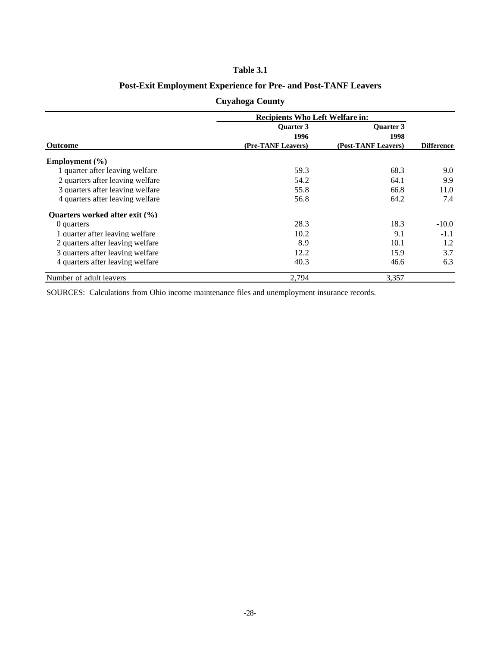#### **Table 3.1**

#### **Post-Exit Employment Experience for Pre- and Post-TANF Leavers**

|                                    | <b>Recipients Who Left Welfare in:</b> |                     |                   |
|------------------------------------|----------------------------------------|---------------------|-------------------|
|                                    | <b>Ouarter 3</b>                       | <b>Ouarter 3</b>    |                   |
|                                    | 1996                                   | 1998                |                   |
| <b>Outcome</b>                     | (Pre-TANF Leavers)                     | (Post-TANF Leavers) | <b>Difference</b> |
| Employment $(\% )$                 |                                        |                     |                   |
| 1 quarter after leaving welfare    | 59.3                                   | 68.3                | 9.0               |
| 2 quarters after leaving welfare   | 54.2                                   | 64.1                | 9.9               |
| 3 quarters after leaving welfare   | 55.8                                   | 66.8                | 11.0              |
| 4 quarters after leaving welfare   | 56.8                                   | 64.2                | 7.4               |
| Ouarters worked after exit $(\% )$ |                                        |                     |                   |
| 0 quarters                         | 28.3                                   | 18.3                | $-10.0$           |
| 1 quarter after leaving welfare    | 10.2                                   | 9.1                 | $-1.1$            |
| 2 quarters after leaving welfare   | 8.9                                    | 10.1                | 1.2               |
| 3 quarters after leaving welfare   | 12.2                                   | 15.9                | 3.7               |
| 4 quarters after leaving welfare   | 40.3                                   | 46.6                | 6.3               |
| Number of adult leavers            | 2,794                                  | 3,357               |                   |

#### **Cuyahoga County**

SOURCES: Calculations from Ohio income maintenance files and unemployment insurance records.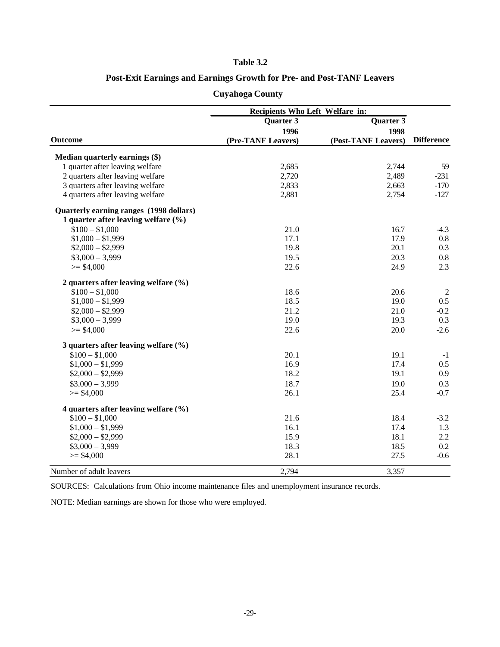#### **Table 3.2**

#### **Post-Exit Earnings and Earnings Growth for Pre- and Post-TANF Leavers**

|                                          | Recipients Who Left Welfare in: |                     |                   |
|------------------------------------------|---------------------------------|---------------------|-------------------|
|                                          | <b>Quarter 3</b>                | Quarter 3           |                   |
|                                          | 1996                            | 1998                |                   |
| <b>Outcome</b>                           | (Pre-TANF Leavers)              | (Post-TANF Leavers) | <b>Difference</b> |
| Median quarterly earnings (\$)           |                                 |                     |                   |
| 1 quarter after leaving welfare          | 2,685                           | 2,744               | 59                |
| 2 quarters after leaving welfare         | 2,720                           | 2.489               | $-231$            |
| 3 quarters after leaving welfare         | 2,833                           | 2,663               | $-170$            |
| 4 quarters after leaving welfare         | 2,881                           | 2,754               | $-127$            |
| Quarterly earning ranges (1998 dollars)  |                                 |                     |                   |
| 1 quarter after leaving welfare $(\% )$  |                                 |                     |                   |
| $$100 - $1,000$                          | 21.0                            | 16.7                | $-4.3$            |
| $$1,000 - $1,999$                        | 17.1                            | 17.9                | 0.8               |
| $$2,000 - $2,999$                        | 19.8                            | 20.1                | 0.3               |
| $$3,000 - 3,999$                         | 19.5                            | 20.3                | 0.8               |
| $>= $4,000$                              | 22.6                            | 24.9                | 2.3               |
| 2 quarters after leaving welfare $(\% )$ |                                 |                     |                   |
| $$100 - $1,000$                          | 18.6                            | 20.6                | 2                 |
| $$1,000 - $1,999$                        | 18.5                            | 19.0                | 0.5               |
| $$2,000 - $2,999$                        | 21.2                            | 21.0                | $-0.2$            |
| $$3,000 - 3,999$                         | 19.0                            | 19.3                | 0.3               |
| $>= $4,000$                              | 22.6                            | 20.0                | $-2.6$            |
| 3 quarters after leaving welfare $(\% )$ |                                 |                     |                   |
| $$100 - $1,000$                          | 20.1                            | 19.1                | $-1$              |
| $$1,000 - $1,999$                        | 16.9                            | 17.4                | 0.5               |
| $$2,000 - $2,999$                        | 18.2                            | 19.1                | 0.9               |
| $$3,000 - 3,999$                         | 18.7                            | 19.0                | 0.3               |
| $>= $4,000$                              | 26.1                            | 25.4                | $-0.7$            |
| 4 quarters after leaving welfare (%)     |                                 |                     |                   |
| $$100 - $1,000$                          | 21.6                            | 18.4                | $-3.2$            |
| $$1,000 - $1,999$                        | 16.1                            | 17.4                | 1.3               |
| $$2,000 - $2,999$                        | 15.9                            | 18.1                | 2.2               |
| $$3,000 - 3,999$                         | 18.3                            | 18.5                | 0.2               |
| $>= $4,000$                              | 28.1                            | 27.5                | $-0.6$            |
| Number of adult leavers                  | 2,794                           | 3,357               |                   |

#### **Cuyahoga County**

SOURCES: Calculations from Ohio income maintenance files and unemployment insurance records.

NOTE: Median earnings are shown for those who were employed.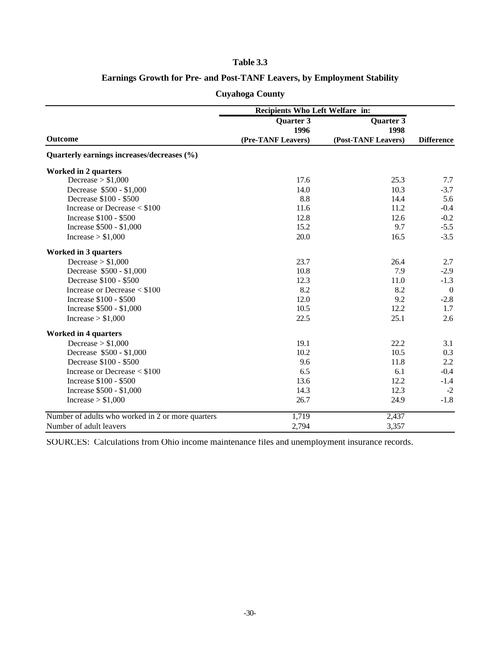#### **Table 3.3**

### **Earnings Growth for Pre- and Post-TANF Leavers, by Employment Stability**

| Recipients Who Left Welfare in:                   |                          |                     |                   |
|---------------------------------------------------|--------------------------|---------------------|-------------------|
|                                                   | <b>Quarter 3</b><br>1996 | Quarter 3<br>1998   |                   |
| <b>Outcome</b>                                    | (Pre-TANF Leavers)       | (Post-TANF Leavers) | <b>Difference</b> |
| Quarterly earnings increases/decreases (%)        |                          |                     |                   |
| <b>Worked in 2 quarters</b>                       |                          |                     |                   |
| Decrease $> $1,000$                               | 17.6                     | 25.3                | 7.7               |
| Decrease \$500 - \$1,000                          | 14.0                     | 10.3                | $-3.7$            |
| Decrease \$100 - \$500                            | 8.8                      | 14.4                | 5.6               |
| Increase or Decrease $<$ \$100                    | 11.6                     | 11.2                | $-0.4$            |
| Increase \$100 - \$500                            | 12.8                     | 12.6                | $-0.2$            |
| Increase \$500 - \$1,000                          | 15.2                     | 9.7                 | $-5.5$            |
| Increase $> $1,000$                               | 20.0                     | 16.5                | $-3.5$            |
| <b>Worked in 3 quarters</b>                       |                          |                     |                   |
| Decrease $> $1,000$                               | 23.7                     | 26.4                | 2.7               |
| Decrease \$500 - \$1,000                          | 10.8                     | 7.9                 | $-2.9$            |
| Decrease \$100 - \$500                            | 12.3                     | 11.0                | $-1.3$            |
| Increase or Decrease $<$ \$100                    | 8.2                      | 8.2                 | $\Omega$          |
| Increase \$100 - \$500                            | 12.0                     | 9.2                 | $-2.8$            |
| Increase \$500 - \$1,000                          | 10.5                     | 12.2                | 1.7               |
| Increase $> $1,000$                               | 22.5                     | 25.1                | 2.6               |
| <b>Worked in 4 quarters</b>                       |                          |                     |                   |
| Decrease $> $1,000$                               | 19.1                     | 22.2                | 3.1               |
| Decrease \$500 - \$1,000                          | 10.2                     | 10.5                | 0.3               |
| Decrease \$100 - \$500                            | 9.6                      | 11.8                | 2.2               |
| Increase or Decrease $<$ \$100                    | 6.5                      | 6.1                 | $-0.4$            |
| Increase \$100 - \$500                            | 13.6                     | 12.2                | $-1.4$            |
| Increase \$500 - \$1,000                          | 14.3                     | 12.3                | $-2$              |
| Increase $> $1,000$                               | 26.7                     | 24.9                | $-1.8$            |
| Number of adults who worked in 2 or more quarters | 1,719                    | 2,437               |                   |
| Number of adult leavers                           | 2,794                    | 3,357               |                   |

#### **Cuyahoga County**

SOURCES: Calculations from Ohio income maintenance files and unemployment insurance records.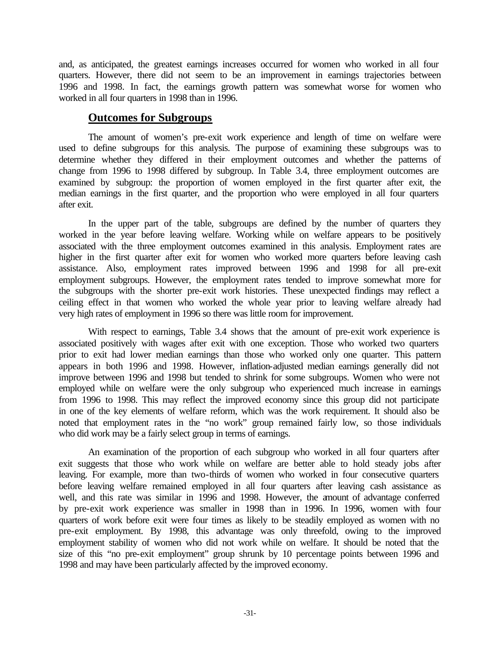and, as anticipated, the greatest earnings increases occurred for women who worked in all four quarters. However, there did not seem to be an improvement in earnings trajectories between 1996 and 1998. In fact, the earnings growth pattern was somewhat worse for women who worked in all four quarters in 1998 than in 1996.

# **Outcomes for Subgroups**

The amount of women's pre-exit work experience and length of time on welfare were used to define subgroups for this analysis. The purpose of examining these subgroups was to determine whether they differed in their employment outcomes and whether the patterns of change from 1996 to 1998 differed by subgroup. In Table 3.4, three employment outcomes are examined by subgroup: the proportion of women employed in the first quarter after exit, the median earnings in the first quarter, and the proportion who were employed in all four quarters after exit.

In the upper part of the table, subgroups are defined by the number of quarters they worked in the year before leaving welfare. Working while on welfare appears to be positively associated with the three employment outcomes examined in this analysis. Employment rates are higher in the first quarter after exit for women who worked more quarters before leaving cash assistance. Also, employment rates improved between 1996 and 1998 for all pre-exit employment subgroups. However, the employment rates tended to improve somewhat more for the subgroups with the shorter pre-exit work histories. These unexpected findings may reflect a ceiling effect in that women who worked the whole year prior to leaving welfare already had very high rates of employment in 1996 so there was little room for improvement.

With respect to earnings, Table 3.4 shows that the amount of pre-exit work experience is associated positively with wages after exit with one exception. Those who worked two quarters prior to exit had lower median earnings than those who worked only one quarter. This pattern appears in both 1996 and 1998. However, inflation-adjusted median earnings generally did not improve between 1996 and 1998 but tended to shrink for some subgroups. Women who were not employed while on welfare were the only subgroup who experienced much increase in earnings from 1996 to 1998. This may reflect the improved economy since this group did not participate in one of the key elements of welfare reform, which was the work requirement. It should also be noted that employment rates in the "no work" group remained fairly low, so those individuals who did work may be a fairly select group in terms of earnings.

An examination of the proportion of each subgroup who worked in all four quarters after exit suggests that those who work while on welfare are better able to hold steady jobs after leaving. For example, more than two-thirds of women who worked in four consecutive quarters before leaving welfare remained employed in all four quarters after leaving cash assistance as well, and this rate was similar in 1996 and 1998. However, the amount of advantage conferred by pre-exit work experience was smaller in 1998 than in 1996. In 1996, women with four quarters of work before exit were four times as likely to be steadily employed as women with no pre-exit employment. By 1998, this advantage was only threefold, owing to the improved employment stability of women who did not work while on welfare. It should be noted that the size of this "no pre-exit employment" group shrunk by 10 percentage points between 1996 and 1998 and may have been particularly affected by the improved economy.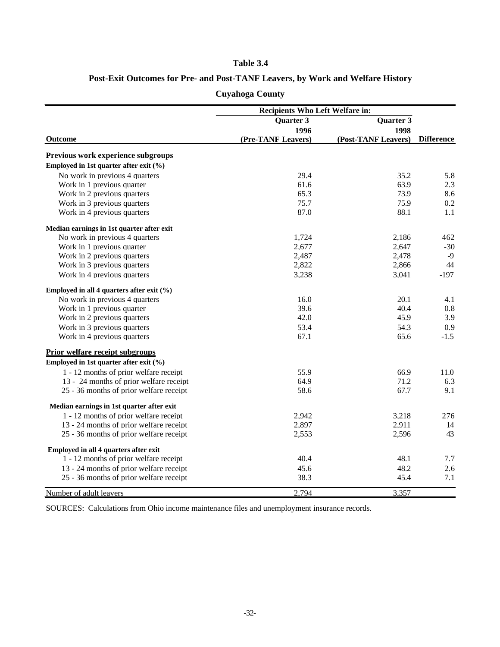#### **Table 3.4**

# **Post-Exit Outcomes for Pre- and Post-TANF Leavers, by Work and Welfare History**

|  | <b>Cuyahoga County</b> |
|--|------------------------|
|  |                        |

|                                               | <b>Recipients Who Left Welfare in:</b> |                     |                   |
|-----------------------------------------------|----------------------------------------|---------------------|-------------------|
|                                               | <b>Quarter 3</b>                       | Quarter 3           |                   |
|                                               | 1996                                   | 1998                |                   |
| <b>Outcome</b>                                | (Pre-TANF Leavers)                     | (Post-TANF Leavers) | <b>Difference</b> |
| <b>Previous work experience subgroups</b>     |                                        |                     |                   |
| Employed in 1st quarter after exit (%)        |                                        |                     |                   |
| No work in previous 4 quarters                | 29.4                                   | 35.2                | 5.8               |
| Work in 1 previous quarter                    | 61.6                                   | 63.9                | 2.3               |
| Work in 2 previous quarters                   | 65.3                                   | 73.9                | 8.6               |
| Work in 3 previous quarters                   | 75.7                                   | 75.9                | 0.2               |
| Work in 4 previous quarters                   | 87.0                                   | 88.1                | 1.1               |
| Median earnings in 1st quarter after exit     |                                        |                     |                   |
| No work in previous 4 quarters                | 1,724                                  | 2,186               | 462               |
| Work in 1 previous quarter                    | 2,677                                  | 2,647               | $-30$             |
| Work in 2 previous quarters                   | 2,487                                  | 2,478               | $-9$              |
| Work in 3 previous quarters                   | 2,822                                  | 2,866               | 44                |
| Work in 4 previous quarters                   | 3,238                                  | 3,041               | $-197$            |
| Employed in all 4 quarters after exit $(\%$ ) |                                        |                     |                   |
| No work in previous 4 quarters                | 16.0                                   | 20.1                | 4.1               |
| Work in 1 previous quarter                    | 39.6                                   | 40.4                | $0.8\,$           |
| Work in 2 previous quarters                   | 42.0                                   | 45.9                | 3.9               |
| Work in 3 previous quarters                   | 53.4                                   | 54.3                | 0.9               |
| Work in 4 previous quarters                   | 67.1                                   | 65.6                | $-1.5$            |
| <b>Prior welfare receipt subgroups</b>        |                                        |                     |                   |
| Employed in 1st quarter after exit (%)        |                                        |                     |                   |
| 1 - 12 months of prior welfare receipt        | 55.9                                   | 66.9                | 11.0              |
| 13 - 24 months of prior welfare receipt       | 64.9                                   | 71.2                | 6.3               |
| 25 - 36 months of prior welfare receipt       | 58.6                                   | 67.7                | 9.1               |
| Median earnings in 1st quarter after exit     |                                        |                     |                   |
| 1 - 12 months of prior welfare receipt        | 2,942                                  | 3,218               | 276               |
| 13 - 24 months of prior welfare receipt       | 2,897                                  | 2,911               | 14                |
| 25 - 36 months of prior welfare receipt       | 2,553                                  | 2,596               | 43                |
| Employed in all 4 quarters after exit         |                                        |                     |                   |
| 1 - 12 months of prior welfare receipt        | 40.4                                   | 48.1                | 7.7               |
| 13 - 24 months of prior welfare receipt       | 45.6                                   | 48.2                | 2.6               |
| 25 - 36 months of prior welfare receipt       | 38.3                                   | 45.4                | 7.1               |
| Number of adult leavers                       | 2,794                                  | 3,357               |                   |

SOURCES: Calculations from Ohio income maintenance files and unemployment insurance records.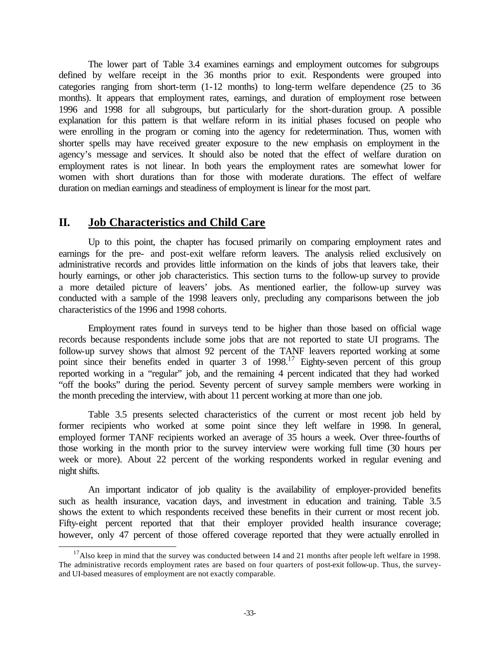The lower part of Table 3.4 examines earnings and employment outcomes for subgroups defined by welfare receipt in the 36 months prior to exit. Respondents were grouped into categories ranging from short-term (1-12 months) to long-term welfare dependence (25 to 36 months). It appears that employment rates, earnings, and duration of employment rose between 1996 and 1998 for all subgroups, but particularly for the short-duration group. A possible explanation for this pattern is that welfare reform in its initial phases focused on people who were enrolling in the program or coming into the agency for redetermination. Thus, women with shorter spells may have received greater exposure to the new emphasis on employment in the agency's message and services. It should also be noted that the effect of welfare duration on employment rates is not linear. In both years the employment rates are somewhat lower for women with short durations than for those with moderate durations. The effect of welfare duration on median earnings and steadiness of employment is linear for the most part.

# **II. Job Characteristics and Child Care**

l

Up to this point, the chapter has focused primarily on comparing employment rates and earnings for the pre- and post-exit welfare reform leavers. The analysis relied exclusively on administrative records and provides little information on the kinds of jobs that leavers take, their hourly earnings, or other job characteristics. This section turns to the follow-up survey to provide a more detailed picture of leavers' jobs. As mentioned earlier, the follow-up survey was conducted with a sample of the 1998 leavers only, precluding any comparisons between the job characteristics of the 1996 and 1998 cohorts.

Employment rates found in surveys tend to be higher than those based on official wage records because respondents include some jobs that are not reported to state UI programs. The follow-up survey shows that almost 92 percent of the TANF leavers reported working at some point since their benefits ended in quarter 3 of 1998.<sup>17</sup> Eighty-seven percent of this group reported working in a "regular" job, and the remaining 4 percent indicated that they had worked "off the books" during the period. Seventy percent of survey sample members were working in the month preceding the interview, with about 11 percent working at more than one job.

Table 3.5 presents selected characteristics of the current or most recent job held by former recipients who worked at some point since they left welfare in 1998. In general, employed former TANF recipients worked an average of 35 hours a week. Over three-fourths of those working in the month prior to the survey interview were working full time (30 hours per week or more). About 22 percent of the working respondents worked in regular evening and night shifts.

An important indicator of job quality is the availability of employer-provided benefits such as health insurance, vacation days, and investment in education and training. Table 3.5 shows the extent to which respondents received these benefits in their current or most recent job. Fifty-eight percent reported that that their employer provided health insurance coverage; however, only 47 percent of those offered coverage reported that they were actually enrolled in

<sup>&</sup>lt;sup>17</sup>Also keep in mind that the survey was conducted between 14 and 21 months after people left welfare in 1998. The administrative records employment rates are based on four quarters of post-exit follow-up. Thus, the surveyand UI-based measures of employment are not exactly comparable.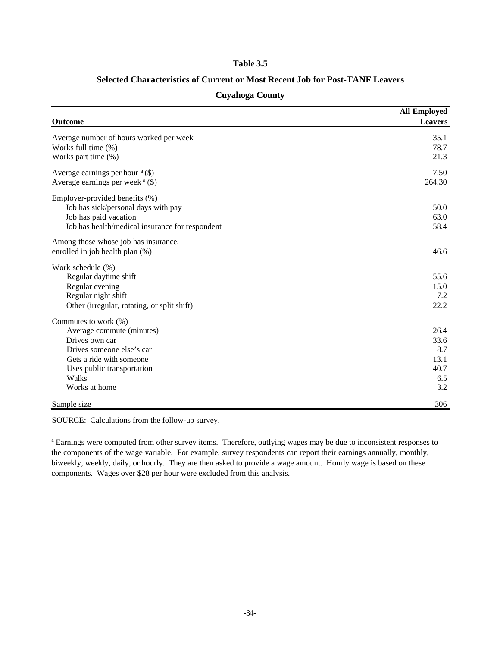#### **Table 3.5**

#### **Selected Characteristics of Current or Most Recent Job for Post-TANF Leavers**

|                                                 | <b>All Employed</b> |
|-------------------------------------------------|---------------------|
| Outcome                                         | <b>Leavers</b>      |
| Average number of hours worked per week         | 35.1                |
| Works full time (%)                             | 78.7                |
| Works part time (%)                             | 21.3                |
| Average earnings per hour $a$ (\$)              | 7.50                |
| Average earnings per week $(a)$                 | 264.30              |
| Employer-provided benefits (%)                  |                     |
| Job has sick/personal days with pay             | 50.0                |
| Job has paid vacation                           | 63.0                |
| Job has health/medical insurance for respondent | 58.4                |
| Among those whose job has insurance,            |                     |
| enrolled in job health plan (%)                 | 46.6                |
| Work schedule (%)                               |                     |
| Regular daytime shift                           | 55.6                |
| Regular evening                                 | 15.0                |
| Regular night shift                             | 7.2                 |
| Other (irregular, rotating, or split shift)     | 22.2                |
| Commutes to work (%)                            |                     |
| Average commute (minutes)                       | 26.4                |
| Drives own car                                  | 33.6                |
| Drives someone else's car                       | 8.7                 |
| Gets a ride with someone                        | 13.1                |
| Uses public transportation                      | 40.7                |
| Walks                                           | 6.5                 |
| Works at home                                   | 3.2                 |
| Sample size                                     | 306                 |

#### **Cuyahoga County**

SOURCE: Calculations from the follow-up survey.

<sup>a</sup> Earnings were computed from other survey items. Therefore, outlying wages may be due to inconsistent responses to the components of the wage variable. For example, survey respondents can report their earnings annually, monthly, biweekly, weekly, daily, or hourly. They are then asked to provide a wage amount. Hourly wage is based on these components. Wages over \$28 per hour were excluded from this analysis.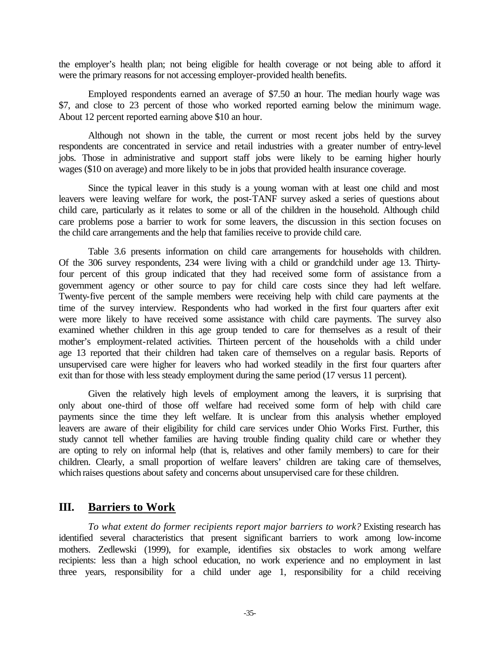the employer's health plan; not being eligible for health coverage or not being able to afford it were the primary reasons for not accessing employer-provided health benefits.

Employed respondents earned an average of \$7.50 an hour. The median hourly wage was \$7, and close to 23 percent of those who worked reported earning below the minimum wage. About 12 percent reported earning above \$10 an hour.

Although not shown in the table, the current or most recent jobs held by the survey respondents are concentrated in service and retail industries with a greater number of entry-level jobs. Those in administrative and support staff jobs were likely to be earning higher hourly wages (\$10 on average) and more likely to be in jobs that provided health insurance coverage.

Since the typical leaver in this study is a young woman with at least one child and most leavers were leaving welfare for work, the post-TANF survey asked a series of questions about child care, particularly as it relates to some or all of the children in the household. Although child care problems pose a barrier to work for some leavers, the discussion in this section focuses on the child care arrangements and the help that families receive to provide child care.

Table 3.6 presents information on child care arrangements for households with children. Of the 306 survey respondents, 234 were living with a child or grandchild under age 13. Thirtyfour percent of this group indicated that they had received some form of assistance from a government agency or other source to pay for child care costs since they had left welfare. Twenty-five percent of the sample members were receiving help with child care payments at the time of the survey interview. Respondents who had worked in the first four quarters after exit were more likely to have received some assistance with child care payments. The survey also examined whether children in this age group tended to care for themselves as a result of their mother's employment-related activities. Thirteen percent of the households with a child under age 13 reported that their children had taken care of themselves on a regular basis. Reports of unsupervised care were higher for leavers who had worked steadily in the first four quarters after exit than for those with less steady employment during the same period (17 versus 11 percent).

Given the relatively high levels of employment among the leavers, it is surprising that only about one-third of those off welfare had received some form of help with child care payments since the time they left welfare. It is unclear from this analysis whether employed leavers are aware of their eligibility for child care services under Ohio Works First. Further, this study cannot tell whether families are having trouble finding quality child care or whether they are opting to rely on informal help (that is, relatives and other family members) to care for their children. Clearly, a small proportion of welfare leavers' children are taking care of themselves, which raises questions about safety and concerns about unsupervised care for these children.

# **III. Barriers to Work**

*To what extent do former recipients report major barriers to work?* Existing research has identified several characteristics that present significant barriers to work among low-income mothers. Zedlewski (1999), for example, identifies six obstacles to work among welfare recipients: less than a high school education, no work experience and no employment in last three years, responsibility for a child under age 1, responsibility for a child receiving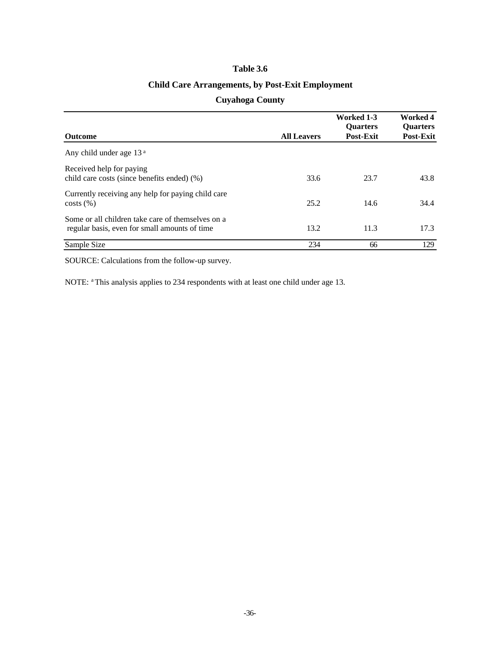### **Table 3.6**

# **Child Care Arrangements, by Post-Exit Employment**

### **Cuyahoga County**

|                                                                                                    |                    | Worked 1-3<br><b>Ouarters</b> | Worked 4<br><b>Ouarters</b> |
|----------------------------------------------------------------------------------------------------|--------------------|-------------------------------|-----------------------------|
| <b>Outcome</b>                                                                                     | <b>All Leavers</b> | Post-Exit                     | <b>Post-Exit</b>            |
| Any child under age $13a$                                                                          |                    |                               |                             |
| Received help for paying<br>child care costs (since benefits ended) (%)                            | 33.6               | 23.7                          | 43.8                        |
| Currently receiving any help for paying child care<br>costs(%)                                     | 25.2               | 14.6                          | 34.4                        |
| Some or all children take care of themselves on a<br>regular basis, even for small amounts of time | 13.2               | 11.3                          | 17.3                        |
| Sample Size                                                                                        | 234                | 66                            | 129                         |

SOURCE: Calculations from the follow-up survey.

NOTE: <sup>a</sup>This analysis applies to 234 respondents with at least one child under age 13.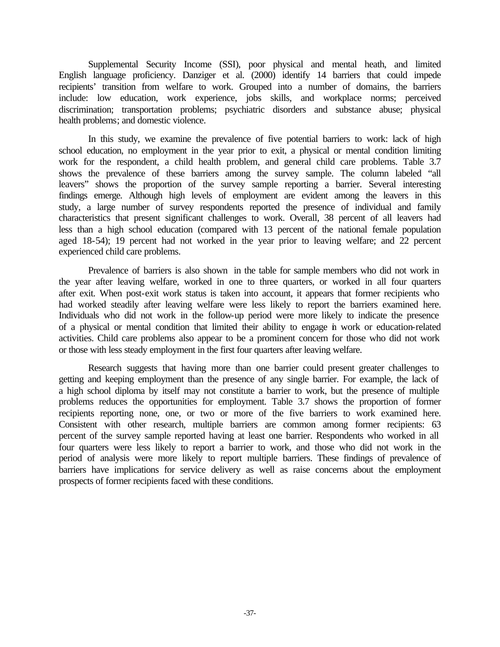Supplemental Security Income (SSI), poor physical and mental heath, and limited English language proficiency. Danziger et al. (2000) identify 14 barriers that could impede recipients' transition from welfare to work. Grouped into a number of domains, the barriers include: low education, work experience, jobs skills, and workplace norms; perceived discrimination; transportation problems; psychiatric disorders and substance abuse; physical health problems; and domestic violence.

In this study, we examine the prevalence of five potential barriers to work: lack of high school education, no employment in the year prior to exit, a physical or mental condition limiting work for the respondent, a child health problem, and general child care problems. Table 3.7 shows the prevalence of these barriers among the survey sample. The column labeled "all leavers" shows the proportion of the survey sample reporting a barrier. Several interesting findings emerge. Although high levels of employment are evident among the leavers in this study, a large number of survey respondents reported the presence of individual and family characteristics that present significant challenges to work. Overall, 38 percent of all leavers had less than a high school education (compared with 13 percent of the national female population aged 18-54); 19 percent had not worked in the year prior to leaving welfare; and 22 percent experienced child care problems.

Prevalence of barriers is also shown in the table for sample members who did not work in the year after leaving welfare, worked in one to three quarters, or worked in all four quarters after exit. When post-exit work status is taken into account, it appears that former recipients who had worked steadily after leaving welfare were less likely to report the barriers examined here. Individuals who did not work in the follow-up period were more likely to indicate the presence of a physical or mental condition that limited their ability to engage in work or education-related activities. Child care problems also appear to be a prominent concern for those who did not work or those with less steady employment in the first four quarters after leaving welfare.

Research suggests that having more than one barrier could present greater challenges to getting and keeping employment than the presence of any single barrier. For example, the lack of a high school diploma by itself may not constitute a barrier to work, but the presence of multiple problems reduces the opportunities for employment. Table 3.7 shows the proportion of former recipients reporting none, one, or two or more of the five barriers to work examined here. Consistent with other research, multiple barriers are common among former recipients: 63 percent of the survey sample reported having at least one barrier. Respondents who worked in all four quarters were less likely to report a barrier to work, and those who did not work in the period of analysis were more likely to report multiple barriers. These findings of prevalence of barriers have implications for service delivery as well as raise concerns about the employment prospects of former recipients faced with these conditions.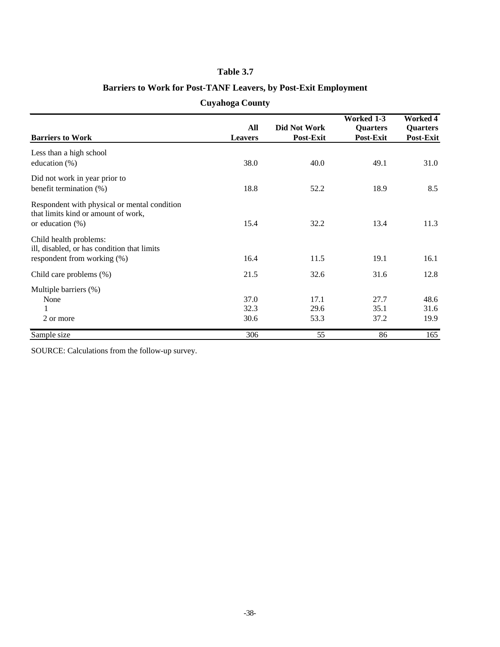# **Table 3.7**

# **Barriers to Work for Post-TANF Leavers, by Post-Exit Employment**

|  | <b>Cuyahoga County</b> |
|--|------------------------|
|  |                        |

|                                                                                     |                |                  | <b>Worked 1-3</b> | <b>Worked 4</b> |
|-------------------------------------------------------------------------------------|----------------|------------------|-------------------|-----------------|
|                                                                                     | All            | Did Not Work     | <b>Quarters</b>   | <b>Quarters</b> |
| <b>Barriers to Work</b>                                                             | <b>Leavers</b> | <b>Post-Exit</b> | Post-Exit         | Post-Exit       |
| Less than a high school                                                             |                |                  |                   |                 |
| education $(\%)$                                                                    | 38.0           | 40.0             | 49.1              | 31.0            |
| Did not work in year prior to                                                       |                |                  |                   |                 |
| benefit termination (%)                                                             | 18.8           | 52.2             | 18.9              | 8.5             |
| Respondent with physical or mental condition<br>that limits kind or amount of work, |                |                  |                   |                 |
| or education $(\%)$                                                                 | 15.4           | 32.2             | 13.4              | 11.3            |
| Child health problems:<br>ill, disabled, or has condition that limits               |                |                  |                   |                 |
| respondent from working (%)                                                         | 16.4           | 11.5             | 19.1              | 16.1            |
| Child care problems (%)                                                             | 21.5           | 32.6             | 31.6              | 12.8            |
| Multiple barriers (%)                                                               |                |                  |                   |                 |
| None                                                                                | 37.0           | 17.1             | 27.7              | 48.6            |
| 1                                                                                   | 32.3           | 29.6             | 35.1              | 31.6            |
| 2 or more                                                                           | 30.6           | 53.3             | 37.2              | 19.9            |
| Sample size                                                                         | 306            | 55               | 86                | 165             |

SOURCE: Calculations from the follow-up survey.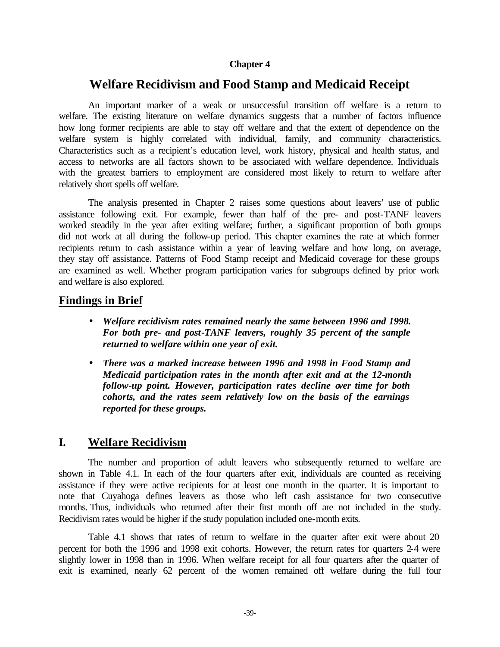### **Chapter 4**

# **Welfare Recidivism and Food Stamp and Medicaid Receipt**

An important marker of a weak or unsuccessful transition off welfare is a return to welfare. The existing literature on welfare dynamics suggests that a number of factors influence how long former recipients are able to stay off welfare and that the extent of dependence on the welfare system is highly correlated with individual, family, and community characteristics. Characteristics such as a recipient's education level, work history, physical and health status, and access to networks are all factors shown to be associated with welfare dependence. Individuals with the greatest barriers to employment are considered most likely to return to welfare after relatively short spells off welfare.

The analysis presented in Chapter 2 raises some questions about leavers' use of public assistance following exit. For example, fewer than half of the pre- and post-TANF leavers worked steadily in the year after exiting welfare; further, a significant proportion of both groups did not work at all during the follow-up period. This chapter examines the rate at which former recipients return to cash assistance within a year of leaving welfare and how long, on average, they stay off assistance. Patterns of Food Stamp receipt and Medicaid coverage for these groups are examined as well. Whether program participation varies for subgroups defined by prior work and welfare is also explored.

### **Findings in Brief**

- *Welfare recidivism rates remained nearly the same between 1996 and 1998. For both pre- and post-TANF leavers, roughly 35 percent of the sample returned to welfare within one year of exit.*
- *There was a marked increase between 1996 and 1998 in Food Stamp and Medicaid participation rates in the month after exit and at the 12-month follow-up point. However, participation rates decline over time for both cohorts, and the rates seem relatively low on the basis of the earnings reported for these groups.*

### **I. Welfare Recidivism**

The number and proportion of adult leavers who subsequently returned to welfare are shown in Table 4.1. In each of the four quarters after exit, individuals are counted as receiving assistance if they were active recipients for at least one month in the quarter. It is important to note that Cuyahoga defines leavers as those who left cash assistance for two consecutive months. Thus, individuals who returned after their first month off are not included in the study. Recidivism rates would be higher if the study population included one-month exits.

Table 4.1 shows that rates of return to welfare in the quarter after exit were about 20 percent for both the 1996 and 1998 exit cohorts. However, the return rates for quarters 2-4 were slightly lower in 1998 than in 1996. When welfare receipt for all four quarters after the quarter of exit is examined, nearly 62 percent of the women remained off welfare during the full four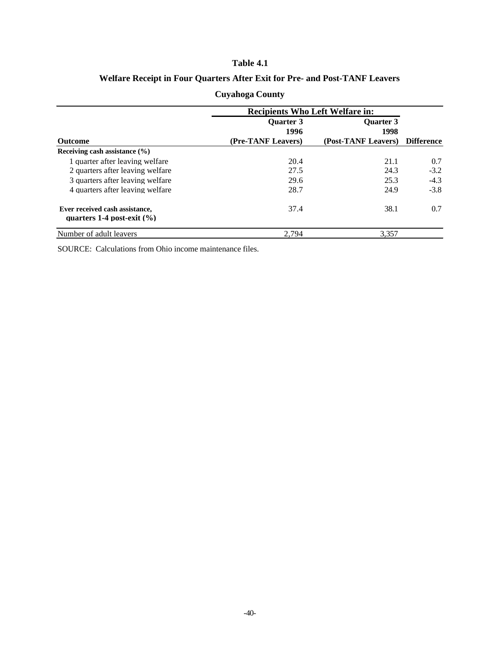#### **Table 4.1**

# **Welfare Receipt in Four Quarters After Exit for Pre- and Post-TANF Leavers**

|                                                                  | <b>Recipients Who Left Welfare in:</b> |                     |            |
|------------------------------------------------------------------|----------------------------------------|---------------------|------------|
|                                                                  | <b>Ouarter 3</b>                       | <b>Ouarter 3</b>    |            |
|                                                                  | 1996                                   | 1998                |            |
| <b>Outcome</b>                                                   | (Pre-TANF Leavers)                     | (Post-TANF Leavers) | Difference |
| Receiving cash assistance $(\% )$                                |                                        |                     |            |
| 1 quarter after leaving welfare                                  | 20.4                                   | 21.1                | 0.7        |
| 2 quarters after leaving welfare                                 | 27.5                                   | 24.3                | $-3.2$     |
| 3 quarters after leaving welfare                                 | 29.6                                   | 25.3                | $-4.3$     |
| 4 quarters after leaving welfare                                 | 28.7                                   | 24.9                | $-3.8$     |
| Ever received cash assistance.<br>quarters 1-4 post-exit $(\% )$ | 37.4                                   | 38.1                | 0.7        |
| Number of adult leavers                                          | 2.794                                  | 3.357               |            |

# **Cuyahoga County**

SOURCE: Calculations from Ohio income maintenance files.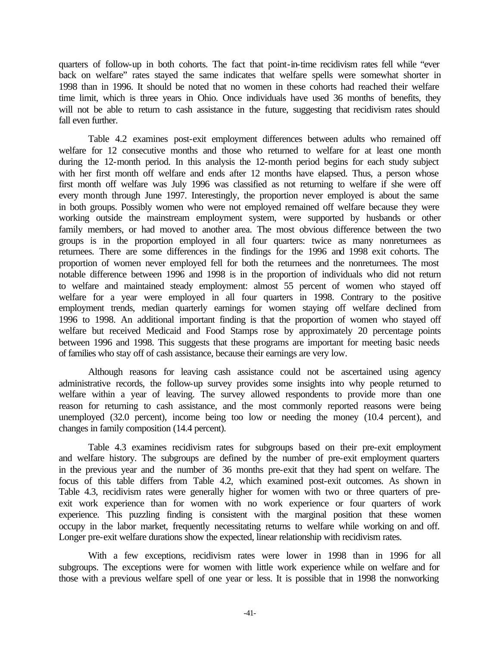quarters of follow-up in both cohorts. The fact that point-in-time recidivism rates fell while "ever back on welfare" rates stayed the same indicates that welfare spells were somewhat shorter in 1998 than in 1996. It should be noted that no women in these cohorts had reached their welfare time limit, which is three years in Ohio. Once individuals have used 36 months of benefits, they will not be able to return to cash assistance in the future, suggesting that recidivism rates should fall even further.

Table 4.2 examines post-exit employment differences between adults who remained off welfare for 12 consecutive months and those who returned to welfare for at least one month during the 12-month period. In this analysis the 12-month period begins for each study subject with her first month off welfare and ends after 12 months have elapsed. Thus, a person whose first month off welfare was July 1996 was classified as not returning to welfare if she were off every month through June 1997. Interestingly, the proportion never employed is about the same in both groups. Possibly women who were not employed remained off welfare because they were working outside the mainstream employment system, were supported by husbands or other family members, or had moved to another area. The most obvious difference between the two groups is in the proportion employed in all four quarters: twice as many nonreturnees as returnees. There are some differences in the findings for the 1996 and 1998 exit cohorts. The proportion of women never employed fell for both the returnees and the nonreturnees. The most notable difference between 1996 and 1998 is in the proportion of individuals who did not return to welfare and maintained steady employment: almost 55 percent of women who stayed off welfare for a year were employed in all four quarters in 1998. Contrary to the positive employment trends, median quarterly earnings for women staying off welfare declined from 1996 to 1998. An additional important finding is that the proportion of women who stayed off welfare but received Medicaid and Food Stamps rose by approximately 20 percentage points between 1996 and 1998. This suggests that these programs are important for meeting basic needs of families who stay off of cash assistance, because their earnings are very low.

Although reasons for leaving cash assistance could not be ascertained using agency administrative records, the follow-up survey provides some insights into why people returned to welfare within a year of leaving. The survey allowed respondents to provide more than one reason for returning to cash assistance, and the most commonly reported reasons were being unemployed (32.0 percent), income being too low or needing the money (10.4 percent), and changes in family composition (14.4 percent).

Table 4.3 examines recidivism rates for subgroups based on their pre-exit employment and welfare history. The subgroups are defined by the number of pre-exit employment quarters in the previous year and the number of 36 months pre-exit that they had spent on welfare. The focus of this table differs from Table 4.2, which examined post-exit outcomes. As shown in Table 4.3, recidivism rates were generally higher for women with two or three quarters of preexit work experience than for women with no work experience or four quarters of work experience. This puzzling finding is consistent with the marginal position that these women occupy in the labor market, frequently necessitating returns to welfare while working on and off. Longer pre-exit welfare durations show the expected, linear relationship with recidivism rates.

With a few exceptions, recidivism rates were lower in 1998 than in 1996 for all subgroups. The exceptions were for women with little work experience while on welfare and for those with a previous welfare spell of one year or less. It is possible that in 1998 the nonworking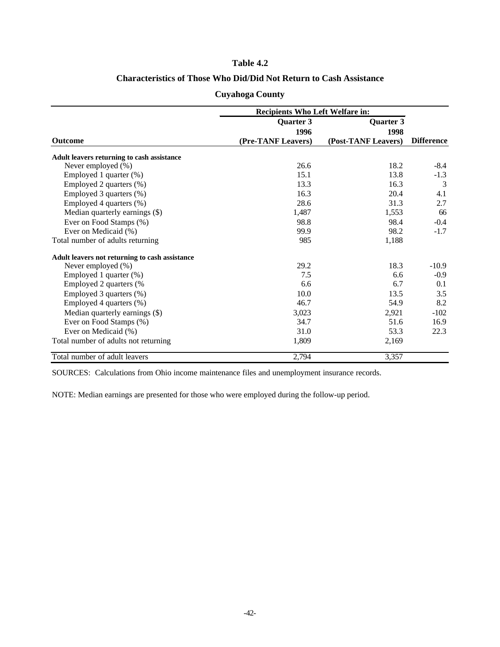#### **Table 4.2**

### **Characteristics of Those Who Did/Did Not Return to Cash Assistance**

| <b>Cuyahoga County</b> |  |
|------------------------|--|
|------------------------|--|

|                                                | <b>Recipients Who Left Welfare in:</b> |                     |                   |
|------------------------------------------------|----------------------------------------|---------------------|-------------------|
|                                                | Quarter 3                              | Quarter 3           |                   |
|                                                | 1996                                   | 1998                |                   |
| <b>Outcome</b>                                 | (Pre-TANF Leavers)                     | (Post-TANF Leavers) | <b>Difference</b> |
| Adult leavers returning to cash assistance     |                                        |                     |                   |
| Never employed (%)                             | 26.6                                   | 18.2                | $-8.4$            |
| Employed 1 quarter (%)                         | 15.1                                   | 13.8                | $-1.3$            |
| Employed 2 quarters (%)                        | 13.3                                   | 16.3                | 3                 |
| Employed 3 quarters (%)                        | 16.3                                   | 20.4                | 4.1               |
| Employed 4 quarters (%)                        | 28.6                                   | 31.3                | 2.7               |
| Median quarterly earnings (\$)                 | 1,487                                  | 1,553               | 66                |
| Ever on Food Stamps (%)                        | 98.8                                   | 98.4                | $-0.4$            |
| Ever on Medicaid (%)                           | 99.9                                   | 98.2                | $-1.7$            |
| Total number of adults returning               | 985                                    | 1,188               |                   |
| Adult leavers not returning to cash assistance |                                        |                     |                   |
| Never employed (%)                             | 29.2                                   | 18.3                | $-10.9$           |
| Employed 1 quarter (%)                         | 7.5                                    | 6.6                 | $-0.9$            |
| Employed 2 quarters (%                         | 6.6                                    | 6.7                 | 0.1               |
| Employed 3 quarters (%)                        | 10.0                                   | 13.5                | 3.5               |
| Employed 4 quarters (%)                        | 46.7                                   | 54.9                | 8.2               |
| Median quarterly earnings (\$)                 | 3,023                                  | 2,921               | $-102$            |
| Ever on Food Stamps (%)                        | 34.7                                   | 51.6                | 16.9              |
| Ever on Medicaid (%)                           | 31.0                                   | 53.3                | 22.3              |
| Total number of adults not returning           | 1,809                                  | 2,169               |                   |
| Total number of adult leavers                  | 2,794                                  | 3,357               |                   |

SOURCES: Calculations from Ohio income maintenance files and unemployment insurance records.

NOTE: Median earnings are presented for those who were employed during the follow-up period.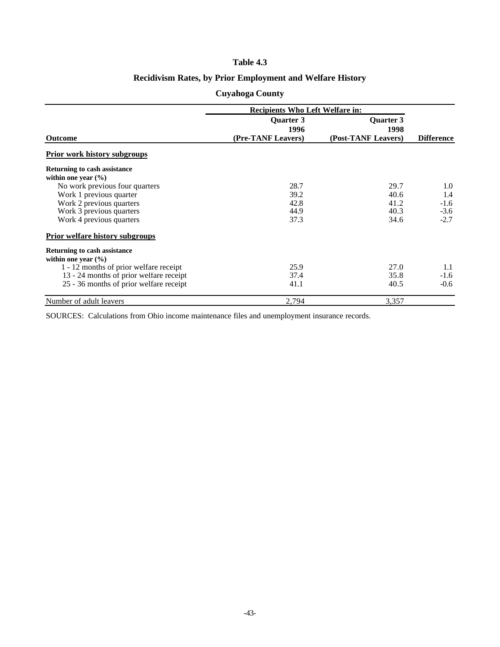#### **Table 4.3**

# **Recidivism Rates, by Prior Employment and Welfare History**

### **Cuyahoga County**

|                                         | <b>Recipients Who Left Welfare in:</b> |                     |                   |
|-----------------------------------------|----------------------------------------|---------------------|-------------------|
|                                         | <b>Ouarter 3</b>                       | Quarter 3           |                   |
|                                         | 1996                                   | 1998                |                   |
| <b>Outcome</b>                          | (Pre-TANF Leavers)                     | (Post-TANF Leavers) | <b>Difference</b> |
| <b>Prior work history subgroups</b>     |                                        |                     |                   |
| <b>Returning to cash assistance</b>     |                                        |                     |                   |
| within one year $(\% )$                 |                                        |                     |                   |
| No work previous four quarters          | 28.7                                   | 29.7                | 1.0               |
| Work 1 previous quarter                 | 39.2                                   | 40.6                | 1.4               |
| Work 2 previous quarters                | 42.8                                   | 41.2                | $-1.6$            |
| Work 3 previous quarters                | 44.9                                   | 40.3                | $-3.6$            |
| Work 4 previous quarters                | 37.3                                   | 34.6                | $-2.7$            |
| <b>Prior welfare history subgroups</b>  |                                        |                     |                   |
| Returning to cash assistance            |                                        |                     |                   |
| within one year $(\% )$                 |                                        |                     |                   |
| 1 - 12 months of prior welfare receipt  | 25.9                                   | 27.0                | 1.1               |
| 13 - 24 months of prior welfare receipt | 37.4                                   | 35.8                | $-1.6$            |
| 25 - 36 months of prior welfare receipt | 41.1                                   | 40.5                | $-0.6$            |
| Number of adult leavers                 | 2,794                                  | 3,357               |                   |

SOURCES: Calculations from Ohio income maintenance files and unemployment insurance records.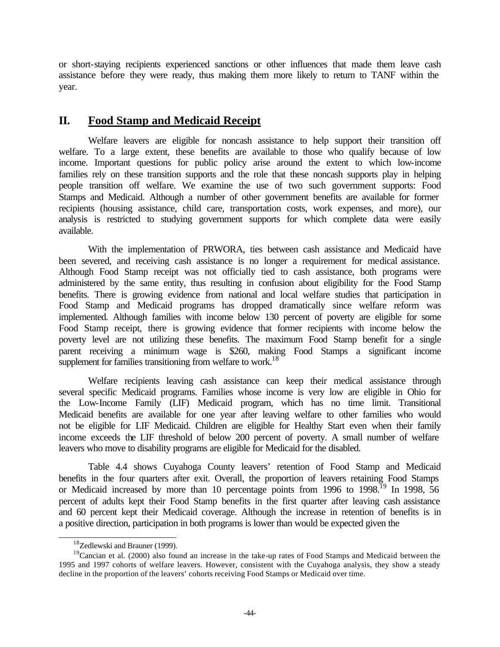or short-staying recipients experienced sanctions or other influences that made them leave cash assistance before they were ready, thus making them more likely to return to TANF within the year.

# **II. Food Stamp and Medicaid Receipt**

Welfare leavers are eligible for noncash assistance to help support their transition off welfare. To a large extent, these benefits are available to those who qualify because of low income. Important questions for public policy arise around the extent to which low-income families rely on these transition supports and the role that these noncash supports play in helping people transition off welfare. We examine the use of two such government supports: Food Stamps and Medicaid. Although a number of other government benefits are available for former recipients (housing assistance, child care, transportation costs, work expenses, and more), our analysis is restricted to studying government supports for which complete data were easily available.

With the implementation of PRWORA, ties between cash assistance and Medicaid have been severed, and receiving cash assistance is no longer a requirement for medical assistance. Although Food Stamp receipt was not officially tied to cash assistance, both programs were administered by the same entity, thus resulting in confusion about eligibility for the Food Stamp benefits. There is growing evidence from national and local welfare studies that participation in Food Stamp and Medicaid programs has dropped dramatically since welfare reform was implemented. Although families with income below 130 percent of poverty are eligible for some Food Stamp receipt, there is growing evidence that former recipients with income below the poverty level are not utilizing these benefits. The maximum Food Stamp benefit for a single parent receiving a minimum wage is \$260, making Food Stamps a significant income supplement for families transitioning from welfare to work.<sup>18</sup>

Welfare recipients leaving cash assistance can keep their medical assistance through several specific Medicaid programs. Families whose income is very low are eligible in Ohio for the Low-Income Family (LIF) Medicaid program, which has no time limit. Transitional Medicaid benefits are available for one year after leaving welfare to other families who would not be eligible for LIF Medicaid. Children are eligible for Healthy Start even when their family income exceeds the LIF threshold of below 200 percent of poverty. A small number of welfare leavers who move to disability programs are eligible for Medicaid for the disabled.

Table 4.4 shows Cuyahoga County leavers' retention of Food Stamp and Medicaid benefits in the four quarters after exit. Overall, the proportion of leavers retaining Food Stamps or Medicaid increased by more than 10 percentage points from 1996 to 1998.<sup>19</sup> In 1998, 56 percent of adults kept their Food Stamp benefits in the first quarter after leaving cash assistance and 60 percent kept their Medicaid coverage. Although the increase in retention of benefits is in a positive direction, participation in both programs is lower than would be expected given the

<sup>&</sup>lt;sup>18</sup>Zedlewski and Brauner (1999).

 $19$ Cancian et al. (2000) also found an increase in the take-up rates of Food Stamps and Medicaid between the 1995 and 1997 cohorts of welfare leavers. However, consistent with the Cuyahoga analysis, they show a steady decline in the proportion of the leavers' cohorts receiving Food Stamps or Medicaid over time.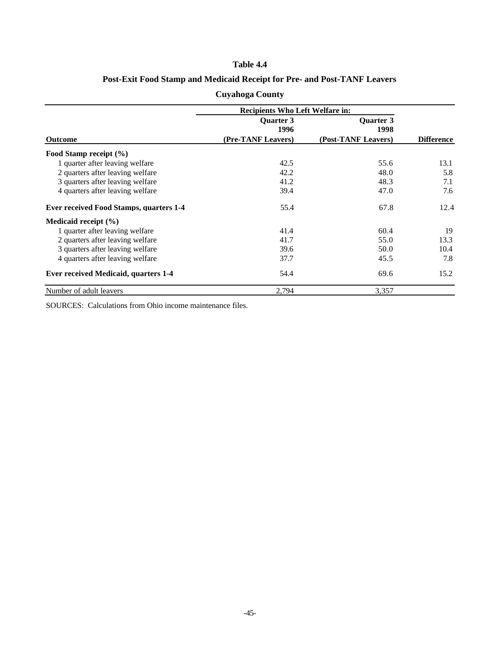### **Table 4.4**

### **Post-Exit Food Stamp and Medicaid Receipt for Pre- and Post-TANF Leavers**

|                                                | <b>Recipients Who Left Welfare in:</b> |                          |                   |
|------------------------------------------------|----------------------------------------|--------------------------|-------------------|
|                                                | <b>Ouarter 3</b><br>1996               | <b>Ouarter 3</b><br>1998 |                   |
| <b>Outcome</b>                                 | (Pre-TANF Leavers)                     | (Post-TANF Leavers)      | <b>Difference</b> |
| Food Stamp receipt (%)                         |                                        |                          |                   |
| 1 quarter after leaving welfare                | 42.5                                   | 55.6                     | 13.1              |
| 2 quarters after leaving welfare               | 42.2                                   | 48.0                     | 5.8               |
| 3 quarters after leaving welfare               | 41.2                                   | 48.3                     | 7.1               |
| 4 quarters after leaving welfare               | 39.4                                   | 47.0                     | 7.6               |
| <b>Ever received Food Stamps, quarters 1-4</b> | 55.4                                   | 67.8                     | 12.4              |
| Medicaid receipt $(\% )$                       |                                        |                          |                   |
| 1 quarter after leaving welfare                | 41.4                                   | 60.4                     | 19                |
| 2 quarters after leaving welfare               | 41.7                                   | 55.0                     | 13.3              |
| 3 quarters after leaving welfare               | 39.6                                   | 50.0                     | 10.4              |
| 4 quarters after leaving welfare               | 37.7                                   | 45.5                     | 7.8               |
| <b>Ever received Medicaid, quarters 1-4</b>    | 54.4                                   | 69.6                     | 15.2              |
| Number of adult leavers                        | 2,794                                  | 3,357                    |                   |

**Cuyahoga County**

SOURCES: Calculations from Ohio income maintenance files.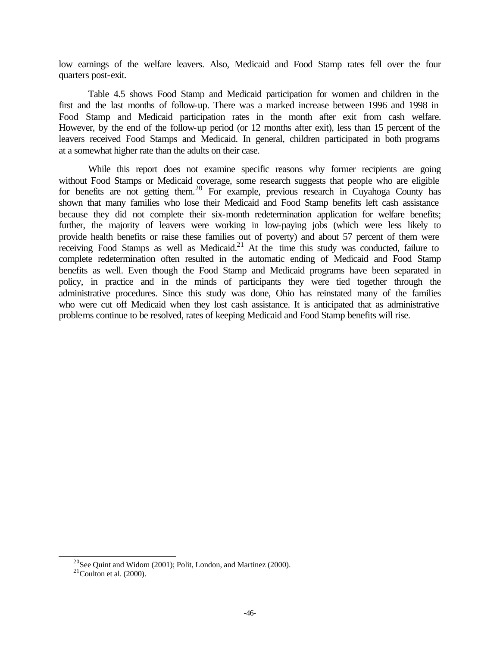low earnings of the welfare leavers. Also, Medicaid and Food Stamp rates fell over the four quarters post-exit.

Table 4.5 shows Food Stamp and Medicaid participation for women and children in the first and the last months of follow-up. There was a marked increase between 1996 and 1998 in Food Stamp and Medicaid participation rates in the month after exit from cash welfare. However, by the end of the follow-up period (or 12 months after exit), less than 15 percent of the leavers received Food Stamps and Medicaid. In general, children participated in both programs at a somewhat higher rate than the adults on their case.

While this report does not examine specific reasons why former recipients are going without Food Stamps or Medicaid coverage, some research suggests that people who are eligible for benefits are not getting them.<sup>20</sup> For example, previous research in Cuyahoga County has shown that many families who lose their Medicaid and Food Stamp benefits left cash assistance because they did not complete their six-month redetermination application for welfare benefits; further, the majority of leavers were working in low-paying jobs (which were less likely to provide health benefits or raise these families out of poverty) and about 57 percent of them were receiving Food Stamps as well as Medicaid.<sup>21</sup> At the time this study was conducted, failure to complete redetermination often resulted in the automatic ending of Medicaid and Food Stamp benefits as well. Even though the Food Stamp and Medicaid programs have been separated in policy, in practice and in the minds of participants they were tied together through the administrative procedures. Since this study was done, Ohio has reinstated many of the families who were cut off Medicaid when they lost cash assistance. It is anticipated that as administrative problems continue to be resolved, rates of keeping Medicaid and Food Stamp benefits will rise.

<sup>&</sup>lt;sup>20</sup>See Quint and Widom (2001); Polit, London, and Martinez (2000).

 $21$ Coulton et al. (2000).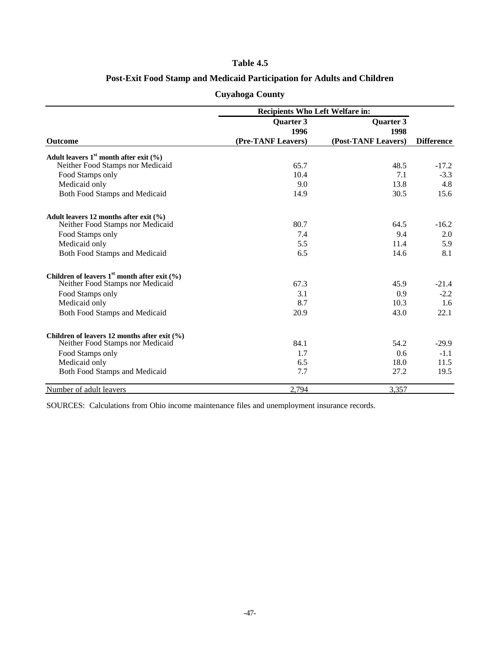### **Table 4.5**

### **Post-Exit Food Stamp and Medicaid Participation for Adults and Children**

|                                                    | Recipients Who Left Welfare in: |                     |                   |
|----------------------------------------------------|---------------------------------|---------------------|-------------------|
|                                                    | <b>Quarter 3</b>                | <b>Quarter 3</b>    |                   |
|                                                    | 1996                            | 1998                |                   |
| <b>Outcome</b>                                     | (Pre-TANF Leavers)              | (Post-TANF Leavers) | <b>Difference</b> |
| Adult leavers $1st$ month after exit $(\% )$       |                                 |                     |                   |
| Neither Food Stamps nor Medicaid                   | 65.7                            | 48.5                | $-17.2$           |
| Food Stamps only                                   | 10.4                            | 7.1                 | $-3.3$            |
| Medicaid only                                      | 9.0                             | 13.8                | 4.8               |
| Both Food Stamps and Medicaid                      | 14.9                            | 30.5                | 15.6              |
| Adult leavers 12 months after exit $(%$ )          |                                 |                     |                   |
| Neither Food Stamps nor Medicaid                   | 80.7                            | 64.5                | $-16.2$           |
| Food Stamps only                                   | 7.4                             | 9.4                 | 2.0               |
| Medicaid only                                      | 5.5                             | 11.4                | 5.9               |
| Both Food Stamps and Medicaid                      | 6.5                             | 14.6                | 8.1               |
| Children of leavers $1st$ month after exit $(\% )$ |                                 |                     |                   |
| Neither Food Stamps nor Medicaid                   | 67.3                            | 45.9                | $-21.4$           |
| Food Stamps only                                   | 3.1                             | 0.9                 | $-2.2$            |
| Medicaid only                                      | 8.7                             | 10.3                | 1.6               |
| Both Food Stamps and Medicaid                      | 20.9                            | 43.0                | 22.1              |
| Children of leavers 12 months after exit (%)       |                                 |                     |                   |
| Neither Food Stamps nor Medicaid                   | 84.1                            | 54.2                | $-29.9$           |
| Food Stamps only                                   | 1.7                             | 0.6                 | $-1.1$            |
| Medicaid only                                      | 6.5                             | 18.0                | 11.5              |
| Both Food Stamps and Medicaid                      | 7.7                             | 27.2                | 19.5              |
| Number of adult leavers                            | 2,794                           | 3,357               |                   |

# **Cuyahoga County**

SOURCES: Calculations from Ohio income maintenance files and unemployment insurance records.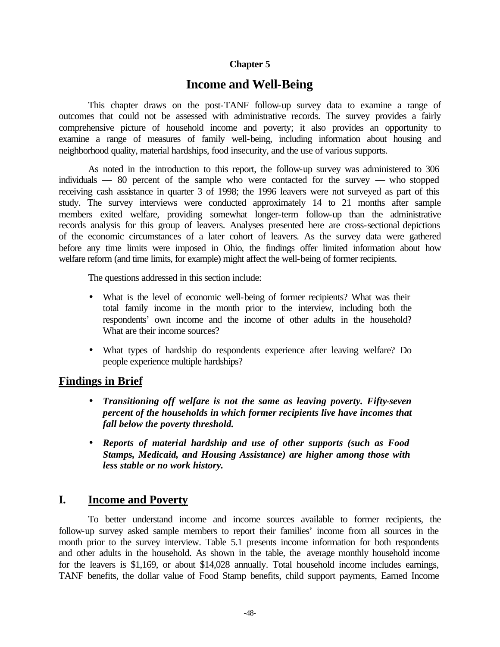### **Chapter 5**

# **Income and Well-Being**

This chapter draws on the post-TANF follow-up survey data to examine a range of outcomes that could not be assessed with administrative records. The survey provides a fairly comprehensive picture of household income and poverty; it also provides an opportunity to examine a range of measures of family well-being, including information about housing and neighborhood quality, material hardships, food insecurity, and the use of various supports.

As noted in the introduction to this report, the follow-up survey was administered to 306 individuals — 80 percent of the sample who were contacted for the survey — who stopped receiving cash assistance in quarter 3 of 1998; the 1996 leavers were not surveyed as part of this study. The survey interviews were conducted approximately 14 to 21 months after sample members exited welfare, providing somewhat longer-term follow-up than the administrative records analysis for this group of leavers. Analyses presented here are cross-sectional depictions of the economic circumstances of a later cohort of leavers. As the survey data were gathered before any time limits were imposed in Ohio, the findings offer limited information about how welfare reform (and time limits, for example) might affect the well-being of former recipients.

The questions addressed in this section include:

- What is the level of economic well-being of former recipients? What was their total family income in the month prior to the interview, including both the respondents' own income and the income of other adults in the household? What are their income sources?
- What types of hardship do respondents experience after leaving welfare? Do people experience multiple hardships?

# **Findings in Brief**

- *Transitioning off welfare is not the same as leaving poverty. Fifty-seven percent of the households in which former recipients live have incomes that fall below the poverty threshold.*
- *Reports of material hardship and use of other supports (such as Food Stamps, Medicaid, and Housing Assistance) are higher among those with less stable or no work history.*

# **I. Income and Poverty**

To better understand income and income sources available to former recipients, the follow-up survey asked sample members to report their families' income from all sources in the month prior to the survey interview. Table 5.1 presents income information for both respondents and other adults in the household. As shown in the table, the average monthly household income for the leavers is \$1,169, or about \$14,028 annually. Total household income includes earnings, TANF benefits, the dollar value of Food Stamp benefits, child support payments, Earned Income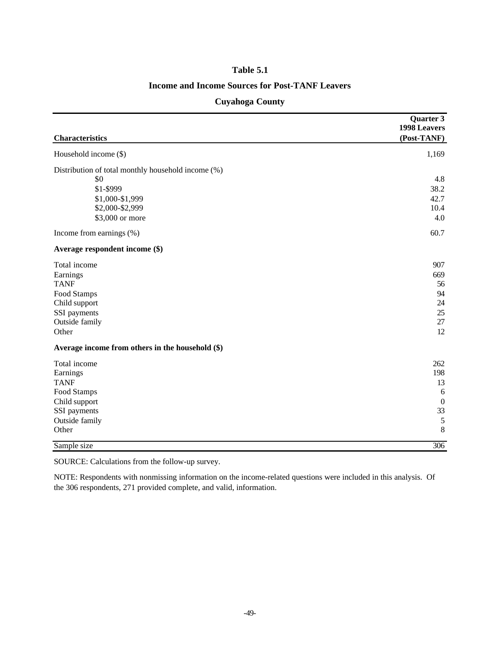#### **Table 5.1**

### **Income and Income Sources for Post-TANF Leavers**

|                                                    | Quarter 3        |
|----------------------------------------------------|------------------|
|                                                    | 1998 Leavers     |
| <b>Characteristics</b>                             | (Post-TANF)      |
| Household income (\$)                              | 1,169            |
| Distribution of total monthly household income (%) |                  |
| \$0                                                | 4.8              |
| \$1-\$999                                          | 38.2             |
| \$1,000-\$1,999                                    | 42.7             |
| \$2,000-\$2,999                                    | 10.4             |
| \$3,000 or more                                    | 4.0              |
| Income from earnings (%)                           | 60.7             |
| Average respondent income (\$)                     |                  |
| Total income                                       | 907              |
| Earnings                                           | 669              |
| <b>TANF</b>                                        | 56               |
| Food Stamps                                        | 94               |
| Child support                                      | 24               |
| SSI payments                                       | 25               |
| Outside family                                     | 27               |
| Other                                              | 12               |
| Average income from others in the household (\$)   |                  |
| Total income                                       | 262              |
| Earnings                                           | 198              |
| <b>TANF</b>                                        | 13               |
| Food Stamps                                        | 6                |
| Child support                                      | $\boldsymbol{0}$ |
| SSI payments                                       | 33               |
| Outside family                                     | $\sqrt{5}$       |
| Other                                              | $\,8\,$          |
| Sample size                                        | 306              |

### **Cuyahoga County**

SOURCE: Calculations from the follow-up survey.

NOTE: Respondents with nonmissing information on the income-related questions were included in this analysis. Of the 306 respondents, 271 provided complete, and valid, information.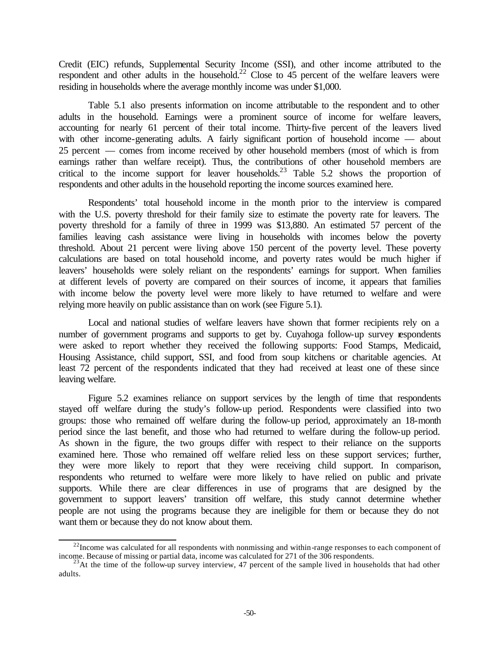Credit (EIC) refunds, Supplemental Security Income (SSI), and other income attributed to the respondent and other adults in the household.<sup>22</sup> Close to 45 percent of the welfare leavers were residing in households where the average monthly income was under \$1,000.

Table 5.1 also presents information on income attributable to the respondent and to other adults in the household. Earnings were a prominent source of income for welfare leavers, accounting for nearly 61 percent of their total income. Thirty-five percent of the leavers lived with other income-generating adults. A fairly significant portion of household income — about 25 percent — comes from income received by other household members (most of which is from earnings rather than welfare receipt). Thus, the contributions of other household members are critical to the income support for leaver households.<sup>23</sup> Table 5.2 shows the proportion of respondents and other adults in the household reporting the income sources examined here.

Respondents' total household income in the month prior to the interview is compared with the U.S. poverty threshold for their family size to estimate the poverty rate for leavers. The poverty threshold for a family of three in 1999 was \$13,880. An estimated 57 percent of the families leaving cash assistance were living in households with incomes below the poverty threshold. About 21 percent were living above 150 percent of the poverty level. These poverty calculations are based on total household income, and poverty rates would be much higher if leavers' households were solely reliant on the respondents' earnings for support. When families at different levels of poverty are compared on their sources of income, it appears that families with income below the poverty level were more likely to have returned to welfare and were relying more heavily on public assistance than on work (see Figure 5.1).

Local and national studies of welfare leavers have shown that former recipients rely on a number of government programs and supports to get by. Cuyahoga follow-up survey respondents were asked to report whether they received the following supports: Food Stamps, Medicaid, Housing Assistance, child support, SSI, and food from soup kitchens or charitable agencies. At least 72 percent of the respondents indicated that they had received at least one of these since leaving welfare.

Figure 5.2 examines reliance on support services by the length of time that respondents stayed off welfare during the study's follow-up period. Respondents were classified into two groups: those who remained off welfare during the follow-up period, approximately an 18-month period since the last benefit, and those who had returned to welfare during the follow-up period. As shown in the figure, the two groups differ with respect to their reliance on the supports examined here. Those who remained off welfare relied less on these support services; further, they were more likely to report that they were receiving child support. In comparison, respondents who returned to welfare were more likely to have relied on public and private supports. While there are clear differences in use of programs that are designed by the government to support leavers' transition off welfare, this study cannot determine whether people are not using the programs because they are ineligible for them or because they do not want them or because they do not know about them.

l  $^{22}$ Income was calculated for all respondents with nonmissing and within-range responses to each component of income. Because of missing or partial data, income was calculated for 271 of the 306 respondents.

 $^{23}$ At the time of the follow-up survey interview, 47 percent of the sample lived in households that had other adults.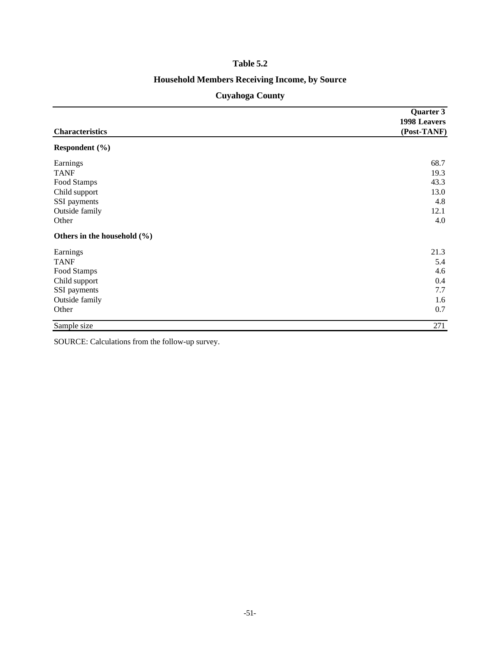### **Table 5.2**

# **Household Members Receiving Income, by Source**

# **Cuyahoga County**

|                             | Quarter 3                   |  |
|-----------------------------|-----------------------------|--|
| <b>Characteristics</b>      | 1998 Leavers<br>(Post-TANF) |  |
| Respondent (%)              |                             |  |
| Earnings                    | 68.7                        |  |
| <b>TANF</b>                 | 19.3                        |  |
| Food Stamps                 | 43.3                        |  |
| Child support               | 13.0                        |  |
| SSI payments                | 4.8                         |  |
| Outside family              | 12.1                        |  |
| Other                       | 4.0                         |  |
| Others in the household (%) |                             |  |
| Earnings                    | 21.3                        |  |
| <b>TANF</b>                 | 5.4                         |  |
| Food Stamps                 | 4.6                         |  |
| Child support               | 0.4                         |  |
| SSI payments                | 7.7                         |  |
| Outside family              | 1.6                         |  |
| Other                       | 0.7                         |  |
| Sample size                 | 271                         |  |

SOURCE: Calculations from the follow-up survey.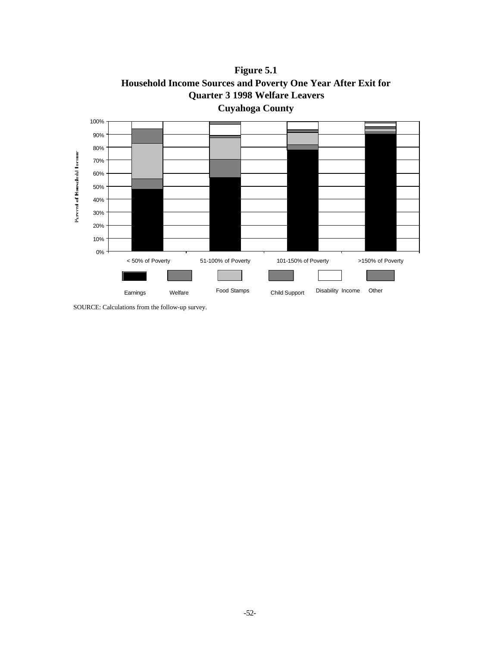

**Figure 5.1 Household Income Sources and Poverty One Year After Exit for Quarter 3 1998 Welfare Leavers** 

SOURCE: Calculations from the follow-up survey.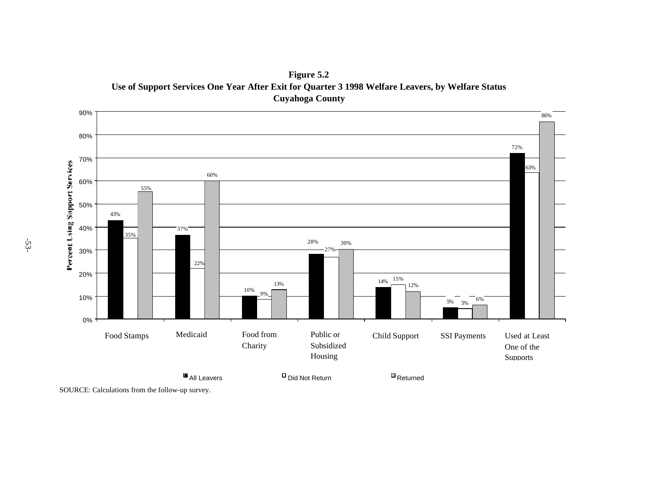

**Figure 5.2 Use of Support Services One Year After Exit for Quarter 3 1998 Welfare Leavers, by Welfare Status Cuyahoga County**

SOURCE: Calculations from the follow-up survey.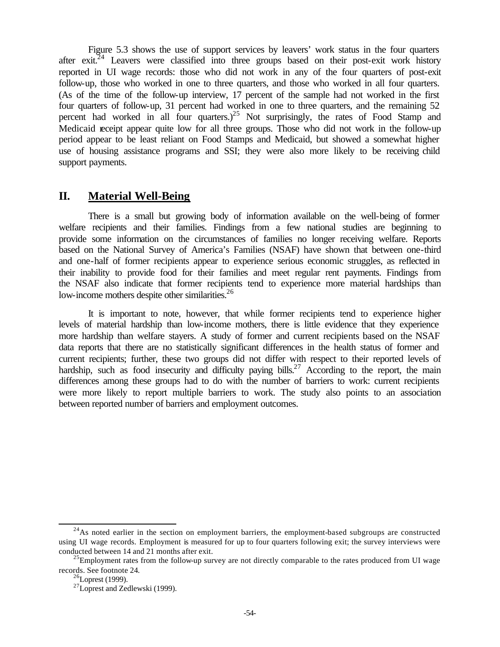Figure 5.3 shows the use of support services by leavers' work status in the four quarters after  $exit^{24}$  Leavers were classified into three groups based on their post-exit work history reported in UI wage records: those who did not work in any of the four quarters of post-exit follow-up, those who worked in one to three quarters, and those who worked in all four quarters. (As of the time of the follow-up interview, 17 percent of the sample had not worked in the first four quarters of follow-up, 31 percent had worked in one to three quarters, and the remaining 52 percent had worked in all four quarters.)<sup>25</sup> Not surprisingly, the rates of Food Stamp and Medicaid receipt appear quite low for all three groups. Those who did not work in the follow-up period appear to be least reliant on Food Stamps and Medicaid, but showed a somewhat higher use of housing assistance programs and SSI; they were also more likely to be receiving child support payments.

### **II. Material Well-Being**

There is a small but growing body of information available on the well-being of former welfare recipients and their families. Findings from a few national studies are beginning to provide some information on the circumstances of families no longer receiving welfare. Reports based on the National Survey of America's Families (NSAF) have shown that between one-third and one-half of former recipients appear to experience serious economic struggles, as reflected in their inability to provide food for their families and meet regular rent payments. Findings from the NSAF also indicate that former recipients tend to experience more material hardships than low-income mothers despite other similarities.<sup>26</sup>

It is important to note, however, that while former recipients tend to experience higher levels of material hardship than low-income mothers, there is little evidence that they experience more hardship than welfare stayers. A study of former and current recipients based on the NSAF data reports that there are no statistically significant differences in the health status of former and current recipients; further, these two groups did not differ with respect to their reported levels of hardship, such as food insecurity and difficulty paying bills.<sup>27</sup> According to the report, the main differences among these groups had to do with the number of barriers to work: current recipients were more likely to report multiple barriers to work. The study also points to an association between reported number of barriers and employment outcomes.

 $^{24}$ As noted earlier in the section on employment barriers, the employment-based subgroups are constructed using UI wage records. Employment is measured for up to four quarters following exit; the survey interviews were conducted between 14 and 21 months after exit.

<sup>&</sup>lt;sup>25</sup>Employment rates from the follow-up survey are not directly comparable to the rates produced from UI wage records. See footnote 24.

 $^{26}$ Loprest (1999).

<sup>27</sup>Loprest and Zedlewski (1999).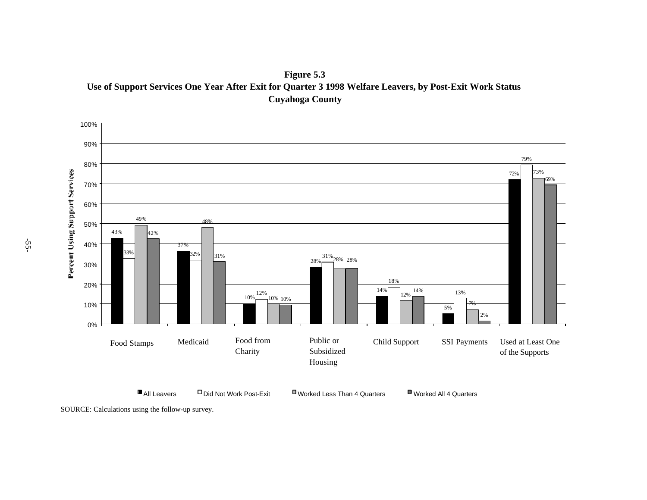**Figure 5.3 Use of Support Services One Year After Exit for Quarter 3 1998 Welfare Leavers, by Post-Exit Work Status Cuyahoga County**



SOURCE: Calculations using the follow-up survey.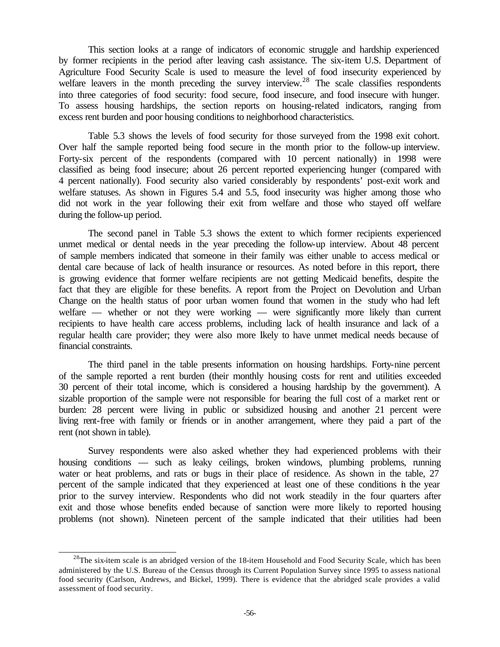This section looks at a range of indicators of economic struggle and hardship experienced by former recipients in the period after leaving cash assistance. The six-item U.S. Department of Agriculture Food Security Scale is used to measure the level of food insecurity experienced by welfare leavers in the month preceding the survey interview.<sup>28</sup> The scale classifies respondents into three categories of food security: food secure, food insecure, and food insecure with hunger. To assess housing hardships, the section reports on housing-related indicators, ranging from excess rent burden and poor housing conditions to neighborhood characteristics.

Table 5.3 shows the levels of food security for those surveyed from the 1998 exit cohort. Over half the sample reported being food secure in the month prior to the follow-up interview. Forty-six percent of the respondents (compared with 10 percent nationally) in 1998 were classified as being food insecure; about 26 percent reported experiencing hunger (compared with 4 percent nationally). Food security also varied considerably by respondents' post-exit work and welfare statuses. As shown in Figures 5.4 and 5.5, food insecurity was higher among those who did not work in the year following their exit from welfare and those who stayed off welfare during the follow-up period.

The second panel in Table 5.3 shows the extent to which former recipients experienced unmet medical or dental needs in the year preceding the follow-up interview. About 48 percent of sample members indicated that someone in their family was either unable to access medical or dental care because of lack of health insurance or resources. As noted before in this report, there is growing evidence that former welfare recipients are not getting Medicaid benefits, despite the fact that they are eligible for these benefits. A report from the Project on Devolution and Urban Change on the health status of poor urban women found that women in the study who had left welfare — whether or not they were working — were significantly more likely than current recipients to have health care access problems, including lack of health insurance and lack of a regular health care provider; they were also more likely to have unmet medical needs because of financial constraints.

The third panel in the table presents information on housing hardships. Forty-nine percent of the sample reported a rent burden (their monthly housing costs for rent and utilities exceeded 30 percent of their total income, which is considered a housing hardship by the government). A sizable proportion of the sample were not responsible for bearing the full cost of a market rent or burden: 28 percent were living in public or subsidized housing and another 21 percent were living rent-free with family or friends or in another arrangement, where they paid a part of the rent (not shown in table).

Survey respondents were also asked whether they had experienced problems with their housing conditions — such as leaky ceilings, broken windows, plumbing problems, running water or heat problems, and rats or bugs in their place of residence. As shown in the table, 27 percent of the sample indicated that they experienced at least one of these conditions in the year prior to the survey interview. Respondents who did not work steadily in the four quarters after exit and those whose benefits ended because of sanction were more likely to reported housing problems (not shown). Nineteen percent of the sample indicated that their utilities had been

<sup>&</sup>lt;sup>28</sup>The six-item scale is an abridged version of the 18-item Household and Food Security Scale, which has been administered by the U.S. Bureau of the Census through its Current Population Survey since 1995 to assess national food security (Carlson, Andrews, and Bickel, 1999). There is evidence that the abridged scale provides a valid assessment of food security.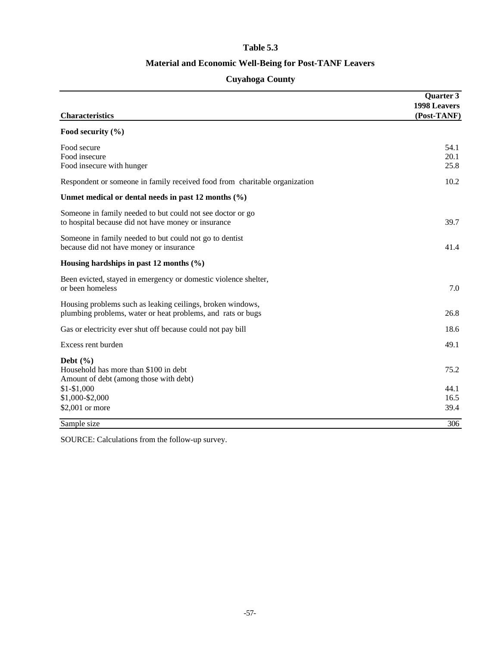### **Table 5.3**

### **Material and Economic Well-Being for Post-TANF Leavers**

# **Cuyahoga County**

| <b>Characteristics</b>                                                                                                    | <b>Ouarter 3</b><br>1998 Leavers<br>(Post-TANF) |
|---------------------------------------------------------------------------------------------------------------------------|-------------------------------------------------|
| Food security $(\% )$                                                                                                     |                                                 |
| Food secure<br>Food insecure<br>Food insecure with hunger                                                                 | 54.1<br>20.1<br>25.8                            |
| Respondent or someone in family received food from charitable organization                                                | 10.2                                            |
| Unmet medical or dental needs in past 12 months $(\% )$                                                                   |                                                 |
| Someone in family needed to but could not see doctor or go<br>to hospital because did not have money or insurance         | 39.7                                            |
| Someone in family needed to but could not go to dentist<br>because did not have money or insurance                        | 41.4                                            |
| Housing hardships in past 12 months $(\% )$                                                                               |                                                 |
| Been evicted, stayed in emergency or domestic violence shelter,<br>or been homeless                                       | 7.0                                             |
| Housing problems such as leaking ceilings, broken windows,<br>plumbing problems, water or heat problems, and rats or bugs | 26.8                                            |
| Gas or electricity ever shut off because could not pay bill                                                               | 18.6                                            |
| Excess rent burden                                                                                                        | 49.1                                            |
| Debt $(\% )$<br>Household has more than \$100 in debt<br>Amount of debt (among those with debt)                           | 75.2                                            |
| $$1 - $1,000$                                                                                                             | 44.1                                            |
| \$1,000-\$2,000<br>\$2,001 or more                                                                                        | 16.5<br>39.4                                    |
| Sample size                                                                                                               | 306                                             |

SOURCE: Calculations from the follow-up survey.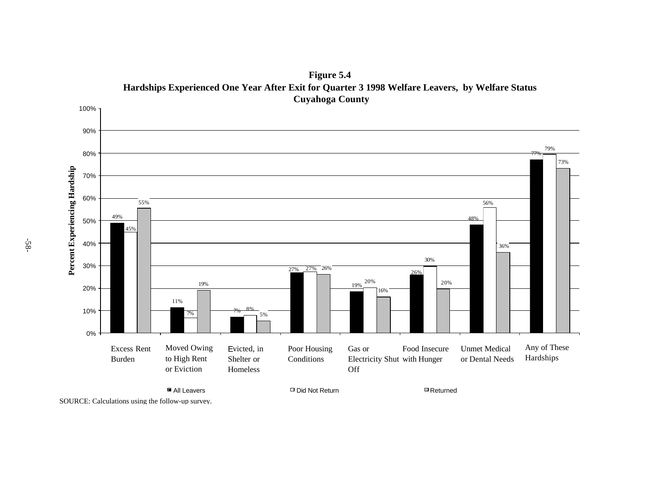

**Figure 5.4 Hardships Experienced One Year After Exit for Quarter 3 1998 Welfare Leavers, by Welfare Status Cuyahoga County**

SOURCE: Calculations using the follow-up survey.

-58-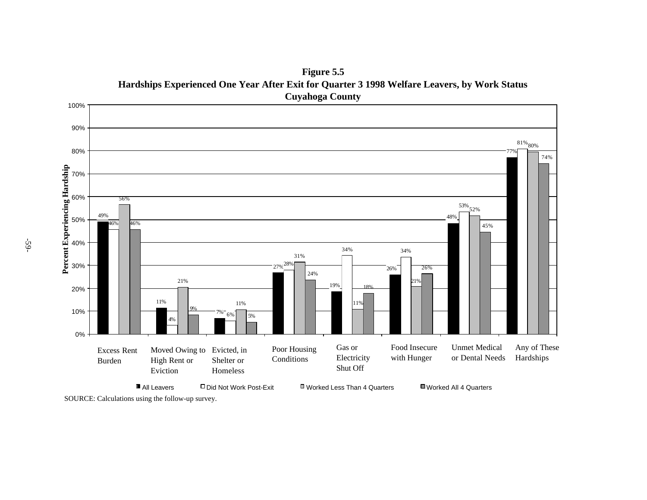49% 11% 7% 27% 28% 77% 4% 6% 34% 34%  $\frac{53\%}{52\%}$ 81% 80% 56% 21% 11% 31% 11% 21% 46% 9% 5% 18% 26% 19% 26% 48% 46% 24% 45% 74% 0% 10% 20% 30% 40% 50% 60% 70% 80% 90% 100% **Percent Experiencing Hardship All Leavers** Did Not Work Post-Exit Worked Less Than 4 Quarters Worked All 4 Quarters Excess Rent Burden Moved Owing to Evicted, in High Rent or Eviction Poor Housing **Conditions** Shelter or Homeless Gas or Electricity Shut Off Food Insecure with Hunger Unmet Medical or Dental Needs Any of These Hardships

**Figure 5.5 Hardships Experienced One Year After Exit for Quarter 3 1998 Welfare Leavers, by Work Status Cuyahoga County**

SOURCE: Calculations using the follow-up survey.

-59-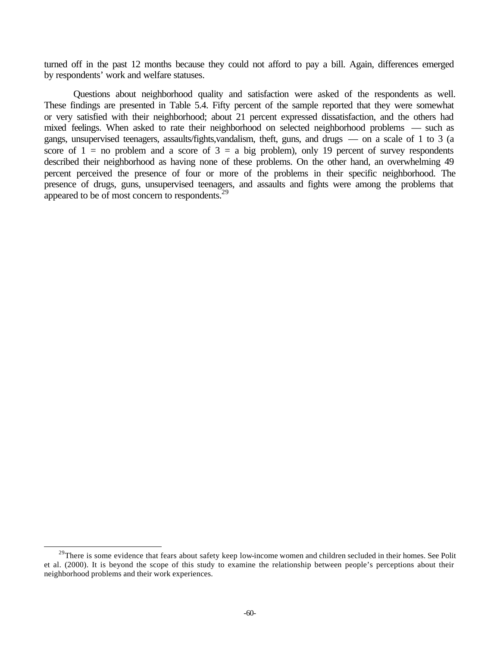turned off in the past 12 months because they could not afford to pay a bill. Again, differences emerged by respondents' work and welfare statuses.

Questions about neighborhood quality and satisfaction were asked of the respondents as well. These findings are presented in Table 5.4. Fifty percent of the sample reported that they were somewhat or very satisfied with their neighborhood; about 21 percent expressed dissatisfaction, and the others had mixed feelings. When asked to rate their neighborhood on selected neighborhood problems — such as gangs, unsupervised teenagers, assaults/fights,vandalism, theft, guns, and drugs — on a scale of 1 to 3 (a score of  $1 =$  no problem and a score of  $3 =$  a big problem), only 19 percent of survey respondents described their neighborhood as having none of these problems. On the other hand, an overwhelming 49 percent perceived the presence of four or more of the problems in their specific neighborhood. The presence of drugs, guns, unsupervised teenagers, and assaults and fights were among the problems that appeared to be of most concern to respondents.<sup>29</sup>

 $29$ There is some evidence that fears about safety keep low-income women and children secluded in their homes. See Polit et al. (2000). It is beyond the scope of this study to examine the relationship between people's perceptions about their neighborhood problems and their work experiences.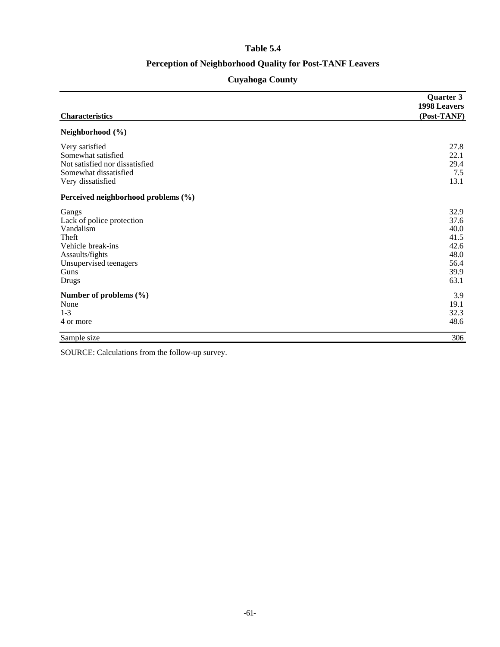### **Table 5.4**

# **Perception of Neighborhood Quality for Post-TANF Leavers**

# **Cuyahoga County**

|                                     | Quarter 3<br>1998 Leavers |
|-------------------------------------|---------------------------|
| <b>Characteristics</b>              | (Post-TANF)               |
| Neighborhood (%)                    |                           |
| Very satisfied                      | 27.8                      |
| Somewhat satisfied                  | 22.1                      |
| Not satisfied nor dissatisfied      | 29.4                      |
| Somewhat dissatisfied               | 7.5                       |
| Very dissatisfied                   | 13.1                      |
| Perceived neighborhood problems (%) |                           |
| Gangs                               | 32.9                      |
| Lack of police protection           | 37.6                      |
| Vandalism                           | 40.0                      |
| Theft                               | 41.5                      |
| Vehicle break-ins                   | 42.6                      |
| Assaults/fights                     | 48.0                      |
| Unsupervised teenagers              | 56.4                      |
| Guns                                | 39.9                      |
| <b>Drugs</b>                        | 63.1                      |
| Number of problems (%)              | 3.9                       |
| None                                | 19.1                      |
| $1 - 3$                             | 32.3                      |
| 4 or more                           | 48.6                      |
| Sample size                         | 306                       |

SOURCE: Calculations from the follow-up survey.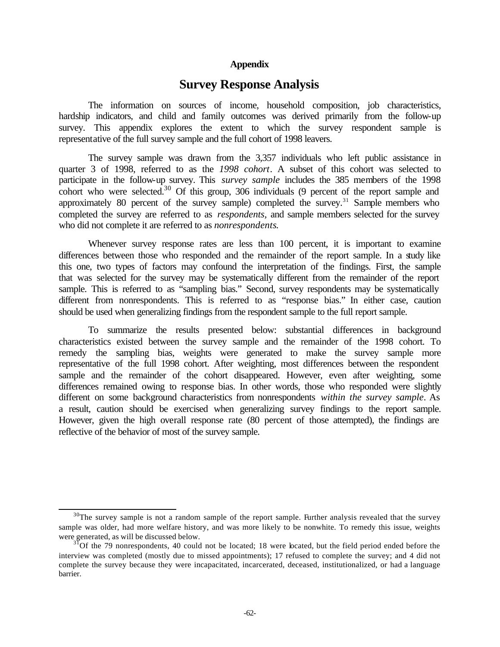#### **Appendix**

# **Survey Response Analysis**

The information on sources of income, household composition, job characteristics, hardship indicators, and child and family outcomes was derived primarily from the follow-up survey. This appendix explores the extent to which the survey respondent sample is representative of the full survey sample and the full cohort of 1998 leavers.

The survey sample was drawn from the 3,357 individuals who left public assistance in quarter 3 of 1998, referred to as the *1998 cohort*. A subset of this cohort was selected to participate in the follow-up survey. This *survey sample* includes the 385 members of the 1998 cohort who were selected.<sup>30</sup> Of this group, 306 individuals  $(9)$  percent of the report sample and approximately 80 percent of the survey sample) completed the survey.<sup>31</sup> Sample members who completed the survey are referred to as *respondents,* and sample members selected for the survey who did not complete it are referred to as *nonrespondents*.

Whenever survey response rates are less than 100 percent, it is important to examine differences between those who responded and the remainder of the report sample. In a study like this one, two types of factors may confound the interpretation of the findings. First, the sample that was selected for the survey may be systematically different from the remainder of the report sample. This is referred to as "sampling bias." Second, survey respondents may be systematically different from nonrespondents. This is referred to as "response bias." In either case, caution should be used when generalizing findings from the respondent sample to the full report sample.

To summarize the results presented below: substantial differences in background characteristics existed between the survey sample and the remainder of the 1998 cohort. To remedy the sampling bias, weights were generated to make the survey sample more representative of the full 1998 cohort. After weighting, most differences between the respondent sample and the remainder of the cohort disappeared. However, even after weighting, some differences remained owing to response bias. In other words, those who responded were slightly different on some background characteristics from nonrespondents *within the survey sample*. As a result, caution should be exercised when generalizing survey findings to the report sample. However, given the high overall response rate (80 percent of those attempted), the findings are reflective of the behavior of most of the survey sample.

 $30$ The survey sample is not a random sample of the report sample. Further analysis revealed that the survey sample was older, had more welfare history, and was more likely to be nonwhite. To remedy this issue, weights were generated, as will be discussed below.

 $31$ Of the 79 nonrespondents, 40 could not be located; 18 were located, but the field period ended before the interview was completed (mostly due to missed appointments); 17 refused to complete the survey; and 4 did not complete the survey because they were incapacitated, incarcerated, deceased, institutionalized, or had a language barrier.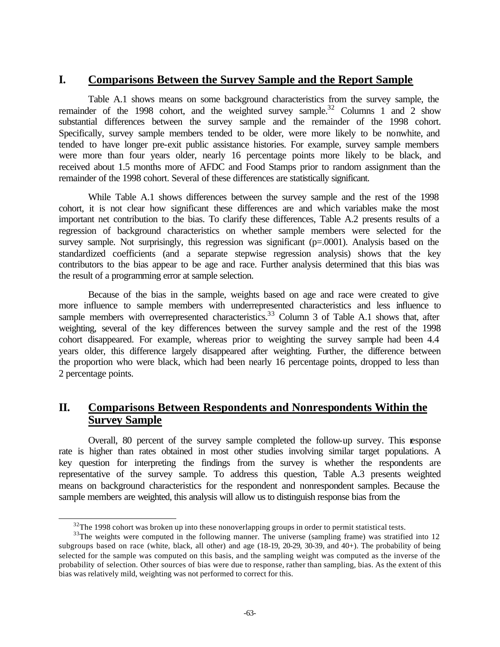# **I. Comparisons Between the Survey Sample and the Report Sample**

Table A.1 shows means on some background characteristics from the survey sample, the remainder of the 1998 cohort, and the weighted survey sample.<sup>32</sup> Columns 1 and 2 show substantial differences between the survey sample and the remainder of the 1998 cohort. Specifically, survey sample members tended to be older, were more likely to be nonwhite, and tended to have longer pre-exit public assistance histories. For example, survey sample members were more than four years older, nearly 16 percentage points more likely to be black, and received about 1.5 months more of AFDC and Food Stamps prior to random assignment than the remainder of the 1998 cohort. Several of these differences are statistically significant.

While Table A.1 shows differences between the survey sample and the rest of the 1998 cohort, it is not clear how significant these differences are and which variables make the most important net contribution to the bias. To clarify these differences, Table A.2 presents results of a regression of background characteristics on whether sample members were selected for the survey sample. Not surprisingly, this regression was significant (p=.0001). Analysis based on the standardized coefficients (and a separate stepwise regression analysis) shows that the key contributors to the bias appear to be age and race. Further analysis determined that this bias was the result of a programming error at sample selection.

Because of the bias in the sample, weights based on age and race were created to give more influence to sample members with underrepresented characteristics and less influence to sample members with overrepresented characteristics.<sup>33</sup> Column 3 of Table A.1 shows that, after weighting, several of the key differences between the survey sample and the rest of the 1998 cohort disappeared. For example, whereas prior to weighting the survey sample had been 4.4 years older, this difference largely disappeared after weighting. Further, the difference between the proportion who were black, which had been nearly 16 percentage points, dropped to less than 2 percentage points.

# **II. Comparisons Between Respondents and Nonrespondents Within the Survey Sample**

Overall, 80 percent of the survey sample completed the follow-up survey. This response rate is higher than rates obtained in most other studies involving similar target populations. A key question for interpreting the findings from the survey is whether the respondents are representative of the survey sample. To address this question, Table A.3 presents weighted means on background characteristics for the respondent and nonrespondent samples. Because the sample members are weighted, this analysis will allow us to distinguish response bias from the

 $32$ The 1998 cohort was broken up into these nonoverlapping groups in order to permit statistical tests.

<sup>&</sup>lt;sup>33</sup>The weights were computed in the following manner. The universe (sampling frame) was stratified into 12 subgroups based on race (white, black, all other) and age (18-19, 20-29, 30-39, and 40+). The probability of being selected for the sample was computed on this basis, and the sampling weight was computed as the inverse of the probability of selection. Other sources of bias were due to response, rather than sampling, bias. As the extent of this bias was relatively mild, weighting was not performed to correct for this.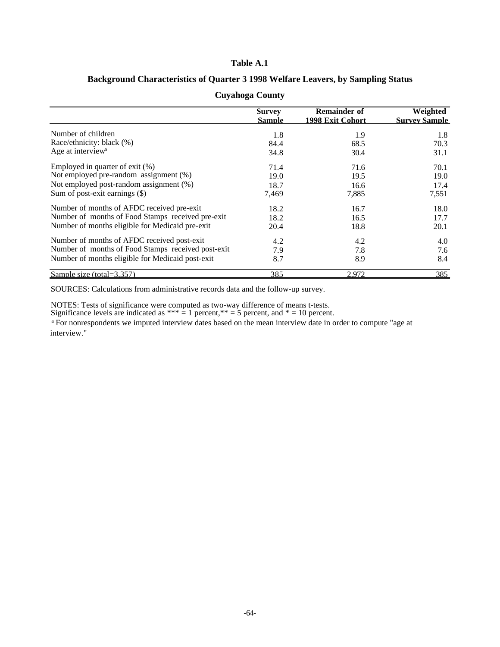#### **Table A.1**

### **Background Characteristics of Quarter 3 1998 Welfare Leavers, by Sampling Status**

|                                                    | <b>Survey</b> | <b>Remainder of</b> | Weighted             |
|----------------------------------------------------|---------------|---------------------|----------------------|
|                                                    | Sample        | 1998 Exit Cohort    | <b>Survey Sample</b> |
| Number of children                                 | 1.8           | 1.9                 | 1.8                  |
| Race/ethnicity: black (%)                          | 84.4          | 68.5                | 70.3                 |
| Age at interview <sup>a</sup>                      | 34.8          | 30.4                | 31.1                 |
| Employed in quarter of exit $(\%)$                 | 71.4          | 71.6                | 70.1                 |
| Not employed pre-random assignment (%)             | 19.0          | 19.5                | 19.0                 |
| Not employed post-random assignment (%)            | 18.7          | 16.6                | 17.4                 |
| Sum of post-exit earnings (\$)                     | 7,469         | 7,885               | 7,551                |
| Number of months of AFDC received pre-exit         | 18.2          | 16.7                | 18.0                 |
| Number of months of Food Stamps received pre-exit  | 18.2          | 16.5                | 17.7                 |
| Number of months eligible for Medicaid pre-exit    | 20.4          | 18.8                | 20.1                 |
| Number of months of AFDC received post-exit        | 4.2           | 4.2                 | 4.0                  |
| Number of months of Food Stamps received post-exit | 7.9           | 7.8                 | 7.6                  |
| Number of months eligible for Medicaid post-exit   | 8.7           | 8.9                 | 8.4                  |
| Sample size (total= $3,357$ )                      | 385           | 2,972               | 385                  |

#### **Cuyahoga County**

SOURCES: Calculations from administrative records data and the follow-up survey.

NOTES: Tests of significance were computed as two-way difference of means t-tests.

Significance levels are indicated as \*\*\*  $= 1$  percent,\*\*  $= 5$  percent, and  $* = 10$  percent.

<sup>a</sup> For nonrespondents we imputed interview dates based on the mean interview date in order to compute "age at interview."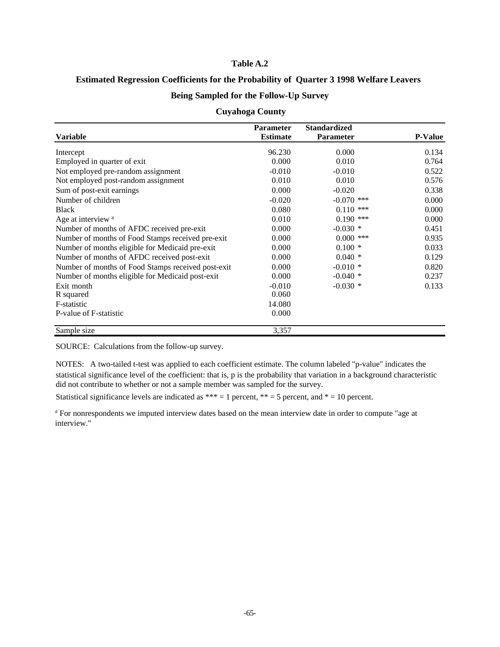#### **Table A.2**

#### **Estimated Regression Coefficients for the Probability of Quarter 3 1998 Welfare Leavers**

#### **Being Sampled for the Follow-Up Survey**

#### **Cuyahoga County**

|                                                    | <b>Parameter</b> | <b>Standardized</b> |                |
|----------------------------------------------------|------------------|---------------------|----------------|
| <b>Variable</b>                                    | <b>Estimate</b>  | Parameter           | <b>P-Value</b> |
| Intercept                                          | 96.230           | 0.000               | 0.134          |
| Employed in quarter of exit                        | 0.000            | 0.010               | 0.764          |
| Not employed pre-random assignment                 | $-0.010$         | $-0.010$            | 0.522          |
| Not employed post-random assignment                | 0.010            | 0.010               | 0.576          |
| Sum of post-exit earnings                          | 0.000            | $-0.020$            | 0.338          |
| Number of children                                 | $-0.020$         | $-0.070$ ***        | 0.000          |
| <b>Black</b>                                       | 0.080            | $0.110$ ***         | 0.000          |
| Age at interview <sup>a</sup>                      | 0.010            | $0.190$ ***         | 0.000          |
| Number of months of AFDC received pre-exit         | 0.000            | $-0.030*$           | 0.451          |
| Number of months of Food Stamps received pre-exit  | 0.000            | $0.000$ ***         | 0.935          |
| Number of months eligible for Medicaid pre-exit    | 0.000            | $0.100*$            | 0.033          |
| Number of months of AFDC received post-exit        | 0.000            | $0.040*$            | 0.129          |
| Number of months of Food Stamps received post-exit | 0.000            | $-0.010*$           | 0.820          |
| Number of months eligible for Medicaid post-exit   | 0.000            | $-0.040*$           | 0.237          |
| Exit month                                         | $-0.010$         | $-0.030*$           | 0.133          |
| R squared                                          | 0.060            |                     |                |
| F-statistic                                        | 14.080           |                     |                |
| P-value of F-statistic                             | 0.000            |                     |                |
| Sample size                                        | 3,357            |                     |                |

SOURCE: Calculations from the follow-up survey.

NOTES: A two-tailed t-test was applied to each coefficient estimate. The column labeled "p-value" indicates the statistical significance level of the coefficient: that is, p is the probability that variation in a background characteristic did not contribute to whether or not a sample member was sampled for the survey.

Statistical significance levels are indicated as \*\*\* = 1 percent, \*\* = 5 percent, and \* = 10 percent.

<sup>a</sup> For nonrespondents we imputed interview dates based on the mean interview date in order to compute "age at interview."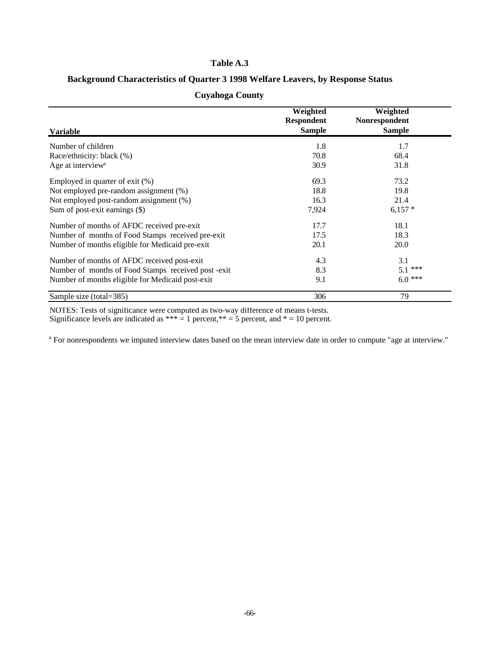### **Table A.3**

### **Background Characteristics of Quarter 3 1998 Welfare Leavers, by Response Status**

| <b>Variable</b>                                    | Weighted<br><b>Respondent</b><br><b>Sample</b> | Weighted<br>Nonrespondent<br><b>Sample</b> |
|----------------------------------------------------|------------------------------------------------|--------------------------------------------|
| Number of children                                 | 1.8                                            | 1.7                                        |
| Race/ethnicity: black (%)                          | 70.8                                           | 68.4                                       |
| Age at interview <sup>a</sup>                      | 30.9                                           | 31.8                                       |
| Employed in quarter of exit $(\%)$                 | 69.3                                           | 73.2                                       |
| Not employed pre-random assignment (%)             | 18.8                                           | 19.8                                       |
| Not employed post-random assignment (%)            | 16.3                                           | 21.4                                       |
| Sum of post-exit earnings $(\$)$                   | 7,924                                          | $6,157*$                                   |
| Number of months of AFDC received pre-exit         | 17.7                                           | 18.1                                       |
| Number of months of Food Stamps received pre-exit  | 17.5                                           | 18.3                                       |
| Number of months eligible for Medicaid pre-exit    | 20.1                                           | 20.0                                       |
| Number of months of AFDC received post-exit        | 4.3                                            | 3.1                                        |
| Number of months of Food Stamps received post-exit | 8.3                                            | $5.1$ ***                                  |
| Number of months eligible for Medicaid post-exit   | 9.1                                            | $6.0$ ***                                  |
| Sample size (total=385)                            | 306                                            | 79                                         |

### **Cuyahoga County**

NOTES: Tests of significance were computed as two-way difference of means t-tests.

Significance levels are indicated as  $*** = 1$  percent,  $** = 5$  percent, and  $* = 10$  percent.

<sup>a</sup> For nonrespondents we imputed interview dates based on the mean interview date in order to compute "age at interview."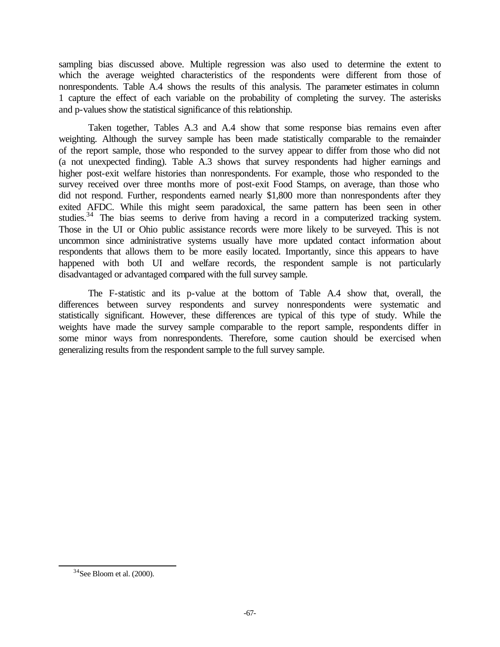sampling bias discussed above. Multiple regression was also used to determine the extent to which the average weighted characteristics of the respondents were different from those of nonrespondents. Table A.4 shows the results of this analysis. The parameter estimates in column 1 capture the effect of each variable on the probability of completing the survey. The asterisks and p-values show the statistical significance of this relationship.

Taken together, Tables A.3 and A.4 show that some response bias remains even after weighting. Although the survey sample has been made statistically comparable to the remainder of the report sample, those who responded to the survey appear to differ from those who did not (a not unexpected finding). Table A.3 shows that survey respondents had higher earnings and higher post-exit welfare histories than nonrespondents. For example, those who responded to the survey received over three months more of post-exit Food Stamps, on average, than those who did not respond. Further, respondents earned nearly \$1,800 more than nonrespondents after they exited AFDC. While this might seem paradoxical, the same pattern has been seen in other studies.<sup>34</sup> The bias seems to derive from having a record in a computerized tracking system. Those in the UI or Ohio public assistance records were more likely to be surveyed. This is not uncommon since administrative systems usually have more updated contact information about respondents that allows them to be more easily located. Importantly, since this appears to have happened with both UI and welfare records, the respondent sample is not particularly disadvantaged or advantaged compared with the full survey sample.

The F-statistic and its p-value at the bottom of Table A.4 show that, overall, the differences between survey respondents and survey nonrespondents were systematic and statistically significant. However, these differences are typical of this type of study. While the weights have made the survey sample comparable to the report sample, respondents differ in some minor ways from nonrespondents. Therefore, some caution should be exercised when generalizing results from the respondent sample to the full survey sample.

l

 $34$ See Bloom et al. (2000).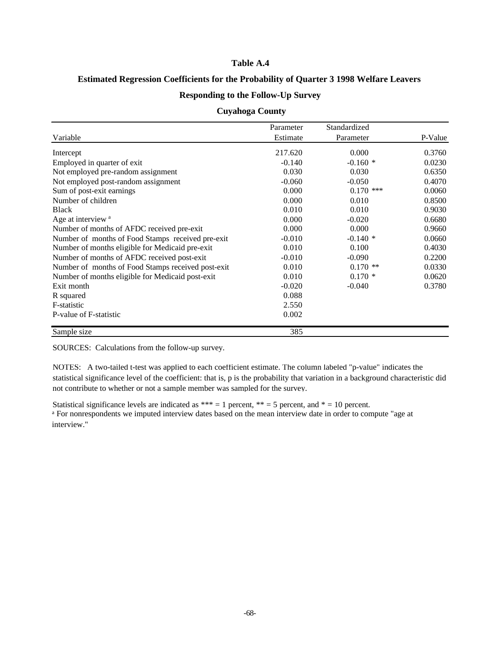#### **Table A.4**

## **Estimated Regression Coefficients for the Probability of Quarter 3 1998 Welfare Leavers**

## **Responding to the Follow-Up Survey**

### **Cuyahoga County**

| Variable                                           | Parameter<br>Estimate | Standardized<br>Parameter | P-Value |
|----------------------------------------------------|-----------------------|---------------------------|---------|
|                                                    |                       |                           |         |
| Employed in quarter of exit.                       | $-0.140$              | $-0.160*$                 | 0.0230  |
| Not employed pre-random assignment                 | 0.030                 | 0.030                     | 0.6350  |
| Not employed post-random assignment                | $-0.060$              | $-0.050$                  | 0.4070  |
| Sum of post-exit earnings                          | 0.000                 | $0.170$ ***               | 0.0060  |
| Number of children                                 | 0.000                 | 0.010                     | 0.8500  |
| <b>Black</b>                                       | 0.010                 | 0.010                     | 0.9030  |
| Age at interview <sup>a</sup>                      | 0.000                 | $-0.020$                  | 0.6680  |
| Number of months of AFDC received pre-exit         | 0.000                 | 0.000                     | 0.9660  |
| Number of months of Food Stamps received pre-exit  | $-0.010$              | $-0.140*$                 | 0.0660  |
| Number of months eligible for Medicaid pre-exit    | 0.010                 | 0.100                     | 0.4030  |
| Number of months of AFDC received post-exit        | $-0.010$              | $-0.090$                  | 0.2200  |
| Number of months of Food Stamps received post-exit | 0.010                 | $0.170$ **                | 0.0330  |
| Number of months eligible for Medicaid post-exit   | 0.010                 | $0.170*$                  | 0.0620  |
| Exit month                                         | $-0.020$              | $-0.040$                  | 0.3780  |
| R squared                                          | 0.088                 |                           |         |
| F-statistic                                        | 2.550                 |                           |         |
| P-value of F-statistic                             | 0.002                 |                           |         |
| Sample size                                        | 385                   |                           |         |

SOURCES: Calculations from the follow-up survey.

NOTES: A two-tailed t-test was applied to each coefficient estimate. The column labeled "p-value" indicates the statistical significance level of the coefficient: that is, p is the probability that variation in a background characteristic did not contribute to whether or not a sample member was sampled for the survey.

Statistical significance levels are indicated as \*\*\* = 1 percent, \*\* = 5 percent, and \* = 10 percent. <sup>a</sup> For nonrespondents we imputed interview dates based on the mean interview date in order to compute "age at interview."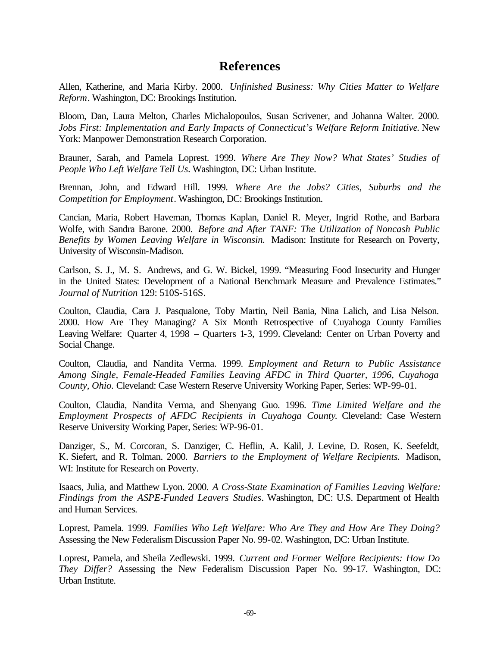# **References**

Allen, Katherine, and Maria Kirby. 2000. *Unfinished Business: Why Cities Matter to Welfare Reform*. Washington, DC: Brookings Institution.

Bloom, Dan, Laura Melton, Charles Michalopoulos, Susan Scrivener, and Johanna Walter. 2000. *Jobs First: Implementation and Early Impacts of Connecticut's Welfare Reform Initiative*. New York: Manpower Demonstration Research Corporation.

Brauner, Sarah, and Pamela Loprest. 1999. *Where Are They Now? What States' Studies of People Who Left Welfare Tell Us*. Washington, DC: Urban Institute.

Brennan, John, and Edward Hill. 1999. *Where Are the Jobs? Cities, Suburbs and the Competition for Employment*. Washington, DC: Brookings Institution.

Cancian, Maria, Robert Haveman, Thomas Kaplan, Daniel R. Meyer, Ingrid Rothe, and Barbara Wolfe, with Sandra Barone. 2000. *Before and After TANF: The Utilization of Noncash Public Benefits by Women Leaving Welfare in Wisconsin.* Madison: Institute for Research on Poverty, University of Wisconsin-Madison.

Carlson, S. J., M. S. Andrews, and G. W. Bickel, 1999. "Measuring Food Insecurity and Hunger in the United States: Development of a National Benchmark Measure and Prevalence Estimates." *Journal of Nutrition* 129: 510S-516S.

Coulton, Claudia, Cara J. Pasqualone, Toby Martin, Neil Bania, Nina Lalich, and Lisa Nelson. 2000. How Are They Managing? A Six Month Retrospective of Cuyahoga County Families Leaving Welfare: Quarter 4, 1998 – Quarters 1-3, 1999. Cleveland: Center on Urban Poverty and Social Change.

Coulton, Claudia, and Nandita Verma. 1999. *Employment and Return to Public Assistance Among Single, Female-Headed Families Leaving AFDC in Third Quarter, 1996, Cuyahoga County, Ohio.* Cleveland: Case Western Reserve University Working Paper, Series: WP-99-01.

Coulton, Claudia, Nandita Verma, and Shenyang Guo. 1996. *Time Limited Welfare and the Employment Prospects of AFDC Recipients in Cuyahoga County*. Cleveland: Case Western Reserve University Working Paper, Series: WP-96-01.

Danziger, S., M. Corcoran, S. Danziger, C. Heflin, A. Kalil, J. Levine, D. Rosen, K. Seefeldt, K. Siefert, and R. Tolman. 2000. *Barriers to the Employment of Welfare Recipients.* Madison, WI: Institute for Research on Poverty.

Isaacs, Julia, and Matthew Lyon. 2000. *A Cross-State Examination of Families Leaving Welfare: Findings from the ASPE-Funded Leavers Studies*. Washington, DC: U.S. Department of Health and Human Services.

Loprest, Pamela. 1999. *Families Who Left Welfare: Who Are They and How Are They Doing?*  Assessing the New Federalism Discussion Paper No. 99-02. Washington, DC: Urban Institute.

Loprest, Pamela, and Sheila Zedlewski. 1999. *Current and Former Welfare Recipients: How Do They Differ?* Assessing the New Federalism Discussion Paper No. 99-17. Washington, DC: Urban Institute.